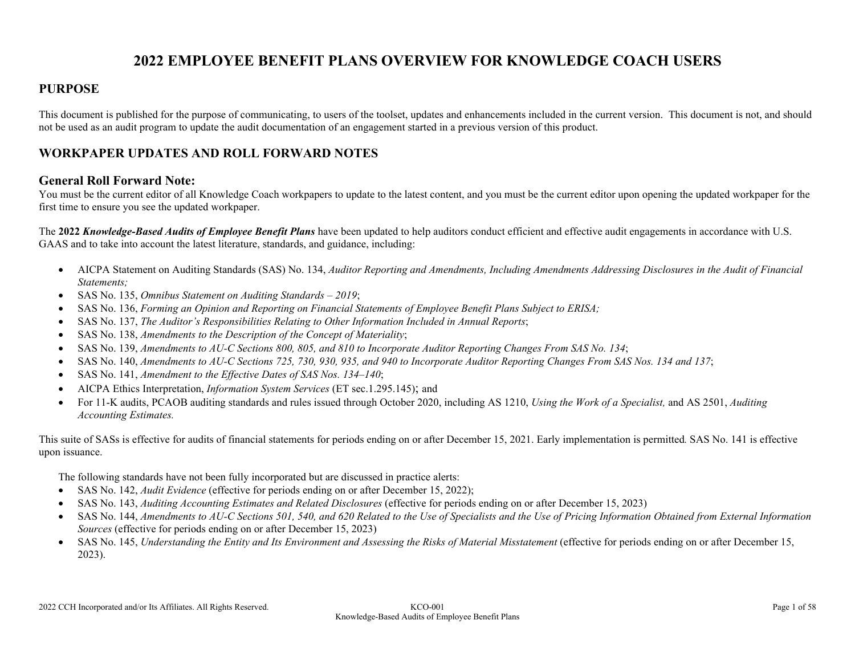# **2022 EMPLOYEE BENEFIT PLANS OVERVIEW FOR KNOWLEDGE COACH USERS**

### **PURPOSE**

This document is published for the purpose of communicating, to users of the toolset, updates and enhancements included in the current version. This document is not, and should not be used as an audit program to update the audit documentation of an engagement started in a previous version of this product.

### **WORKPAPER UPDATES AND ROLL FORWARD NOTES**

#### **General Roll Forward Note:**

You must be the current editor of all Knowledge Coach workpapers to update to the latest content, and you must be the current editor upon opening the updated workpaper for the first time to ensure you see the updated workpaper.

The **2022** *Knowledge-Based Audits of Employee Benefit Plans* have been updated to help auditors conduct efficient and effective audit engagements in accordance with U.S. GAAS and to take into account the latest literature, standards, and guidance, including:

- AICPA Statement on Auditing Standards (SAS) No. 134, *Auditor Reporting and Amendments, Including Amendments Addressing Disclosures in the Audit of Financial Statements;*
- SAS No. 135, *Omnibus Statement on Auditing Standards – 2019*;
- SAS No. 136, *Forming an Opinion and Reporting on Financial Statements of Employee Benefit Plans Subject to ERISA;*
- SAS No. 137, *The Auditor's Responsibilities Relating to Other Information Included in Annual Reports*;
- SAS No. 138, *Amendments to the Description of the Concept of Materiality*;
- SAS No. 139, *Amendments to AU-C Sections 800, 805, and 810 to Incorporate Auditor Reporting Changes From SAS No. 134*;
- SAS No. 140, *Amendments to AU-C Sections 725, 730, 930, 935, and 940 to Incorporate Auditor Reporting Changes From SAS Nos. 134 and 137*;
- SAS No. 141, *Amendment to the Effective Dates of SAS Nos. 134–140*;
- AICPA Ethics Interpretation, *Information System Services* (ET sec.1.295.145); and
- For 11-K audits, PCAOB auditing standards and rules issued through October 2020, including AS 1210, *Using the Work of a Specialist,* and AS 2501, *Auditing Accounting Estimates.*

This suite of SASs is effective for audits of financial statements for periods ending on or after December 15, 2021. Early implementation is permitted*.* SAS No. 141 is effective upon issuance.

The following standards have not been fully incorporated but are discussed in practice alerts:

- SAS No. 142, *Audit Evidence* (effective for periods ending on or after December 15, 2022);
- SAS No. 143, *Auditing Accounting Estimates and Related Disclosures* (effective for periods ending on or after December 15, 2023)
- SAS No. 144, *Amendments to AU-C Sections 501, 540, and 620 Related to the Use of Specialists and the Use of Pricing Information Obtained from External Information Sources* (effective for periods ending on or after December 15, 2023)
- SAS No. 145, *Understanding the Entity and Its Environment and Assessing the Risks of Material Misstatement* (effective for periods ending on or after December 15, 2023).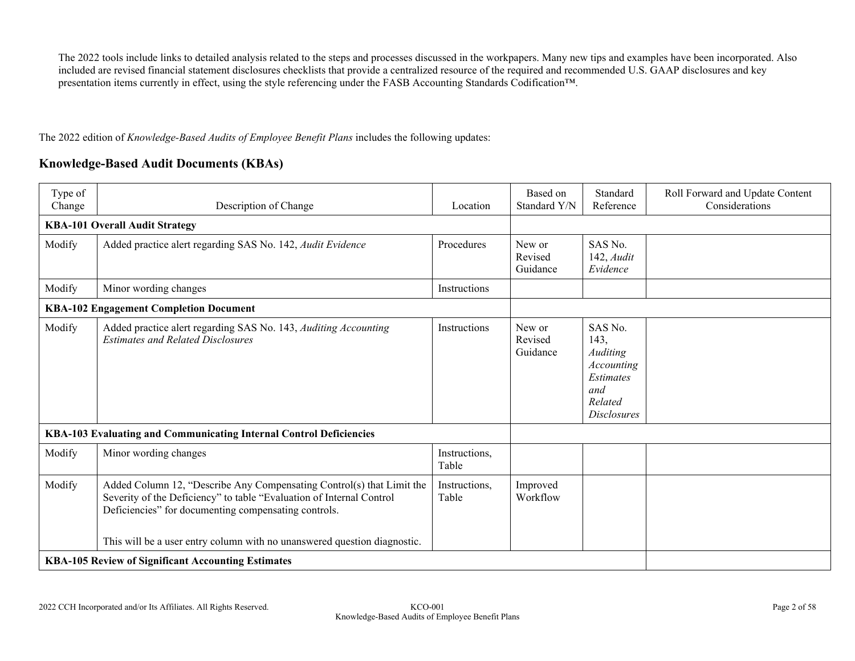The 2022 tools include links to detailed analysis related to the steps and processes discussed in the workpapers. Many new tips and examples have been incorporated. Also included are revised financial statement disclosures checklists that provide a centralized resource of the required and recommended U.S. GAAP disclosures and key presentation items currently in effect, using the style referencing under the FASB Accounting Standards Codification™.

The 2022 edition of *Knowledge-Based Audits of Employee Benefit Plans* includes the following updates:

### **Knowledge-Based Audit Documents (KBAs)**

| Type of<br>Change | Description of Change                                                                                                                                                                                                                                                             | Location               | Based on<br>Standard Y/N      | Standard<br>Reference                                                                          | Roll Forward and Update Content<br>Considerations |
|-------------------|-----------------------------------------------------------------------------------------------------------------------------------------------------------------------------------------------------------------------------------------------------------------------------------|------------------------|-------------------------------|------------------------------------------------------------------------------------------------|---------------------------------------------------|
|                   | <b>KBA-101 Overall Audit Strategy</b>                                                                                                                                                                                                                                             |                        |                               |                                                                                                |                                                   |
| Modify            | Added practice alert regarding SAS No. 142, Audit Evidence                                                                                                                                                                                                                        | Procedures             | New or<br>Revised<br>Guidance | SAS No.<br>142, Audit<br>Evidence                                                              |                                                   |
| Modify            | Minor wording changes                                                                                                                                                                                                                                                             | Instructions           |                               |                                                                                                |                                                   |
|                   | <b>KBA-102 Engagement Completion Document</b>                                                                                                                                                                                                                                     |                        |                               |                                                                                                |                                                   |
| Modify            | Added practice alert regarding SAS No. 143, Auditing Accounting<br><b>Estimates and Related Disclosures</b>                                                                                                                                                                       | Instructions           | New or<br>Revised<br>Guidance | SAS No.<br>143,<br>Auditing<br>Accounting<br>Estimates<br>and<br>Related<br><b>Disclosures</b> |                                                   |
|                   | KBA-103 Evaluating and Communicating Internal Control Deficiencies                                                                                                                                                                                                                |                        |                               |                                                                                                |                                                   |
| Modify            | Minor wording changes                                                                                                                                                                                                                                                             | Instructions,<br>Table |                               |                                                                                                |                                                   |
| Modify            | Added Column 12, "Describe Any Compensating Control(s) that Limit the<br>Severity of the Deficiency" to table "Evaluation of Internal Control<br>Deficiencies" for documenting compensating controls.<br>This will be a user entry column with no unanswered question diagnostic. | Instructions,<br>Table | Improved<br>Workflow          |                                                                                                |                                                   |
|                   | <b>KBA-105 Review of Significant Accounting Estimates</b>                                                                                                                                                                                                                         |                        |                               |                                                                                                |                                                   |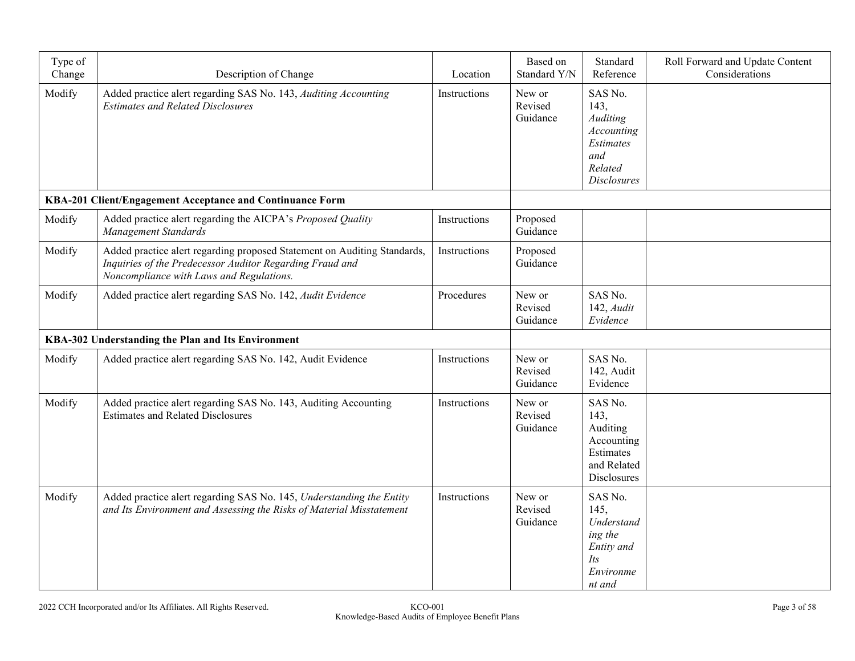| Type of<br>Change | Description of Change                                                                                                                                                            | Location     | Based on<br>Standard Y/N      | Standard<br>Reference                                                                          | Roll Forward and Update Content<br>Considerations |
|-------------------|----------------------------------------------------------------------------------------------------------------------------------------------------------------------------------|--------------|-------------------------------|------------------------------------------------------------------------------------------------|---------------------------------------------------|
| Modify            | Added practice alert regarding SAS No. 143, Auditing Accounting<br><b>Estimates and Related Disclosures</b>                                                                      | Instructions | New or<br>Revised<br>Guidance | SAS No.<br>143,<br>Auditing<br>Accounting<br>Estimates<br>and<br>Related<br><b>Disclosures</b> |                                                   |
|                   | KBA-201 Client/Engagement Acceptance and Continuance Form                                                                                                                        |              |                               |                                                                                                |                                                   |
| Modify            | Added practice alert regarding the AICPA's Proposed Quality<br>Management Standards                                                                                              | Instructions | Proposed<br>Guidance          |                                                                                                |                                                   |
| Modify            | Added practice alert regarding proposed Statement on Auditing Standards,<br>Inquiries of the Predecessor Auditor Regarding Fraud and<br>Noncompliance with Laws and Regulations. | Instructions | Proposed<br>Guidance          |                                                                                                |                                                   |
| Modify            | Added practice alert regarding SAS No. 142, Audit Evidence                                                                                                                       | Procedures   | New or<br>Revised<br>Guidance | SAS No.<br>$142$ , Audit<br>Evidence                                                           |                                                   |
|                   | KBA-302 Understanding the Plan and Its Environment                                                                                                                               |              |                               |                                                                                                |                                                   |
| Modify            | Added practice alert regarding SAS No. 142, Audit Evidence                                                                                                                       | Instructions | New or<br>Revised<br>Guidance | SAS No.<br>142, Audit<br>Evidence                                                              |                                                   |
| Modify            | Added practice alert regarding SAS No. 143, Auditing Accounting<br><b>Estimates and Related Disclosures</b>                                                                      | Instructions | New or<br>Revised<br>Guidance | SAS No.<br>143,<br>Auditing<br>Accounting<br>Estimates<br>and Related<br>Disclosures           |                                                   |
| Modify            | Added practice alert regarding SAS No. 145, Understanding the Entity<br>and Its Environment and Assessing the Risks of Material Misstatement                                     | Instructions | New or<br>Revised<br>Guidance | SAS No.<br>145.<br>Understand<br>ing the<br>Entity and<br><i>Its</i><br>Environme<br>nt and    |                                                   |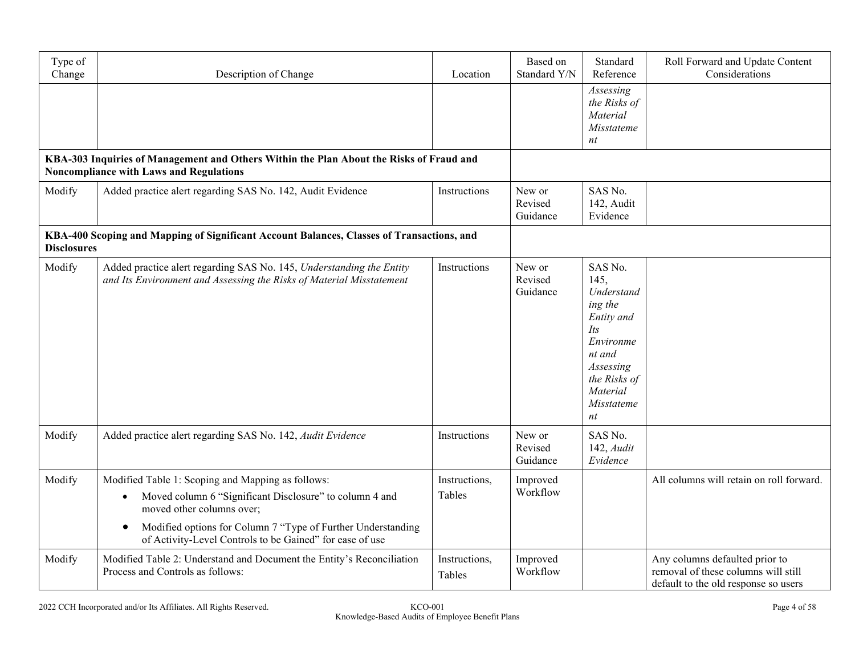| Type of<br>Change  | Description of Change                                                                                                                                                                                                                                                                           | Location                | Based on<br>Standard Y/N      | Standard<br>Reference                                                                                                                             | Roll Forward and Update Content<br>Considerations                                                             |
|--------------------|-------------------------------------------------------------------------------------------------------------------------------------------------------------------------------------------------------------------------------------------------------------------------------------------------|-------------------------|-------------------------------|---------------------------------------------------------------------------------------------------------------------------------------------------|---------------------------------------------------------------------------------------------------------------|
|                    |                                                                                                                                                                                                                                                                                                 |                         |                               | Assessing<br>the Risks of<br>Material<br>Misstateme<br>nt                                                                                         |                                                                                                               |
|                    | KBA-303 Inquiries of Management and Others Within the Plan About the Risks of Fraud and<br><b>Noncompliance with Laws and Regulations</b>                                                                                                                                                       |                         |                               |                                                                                                                                                   |                                                                                                               |
| Modify             | Added practice alert regarding SAS No. 142, Audit Evidence                                                                                                                                                                                                                                      | Instructions            | New or<br>Revised<br>Guidance | SAS No.<br>142, Audit<br>Evidence                                                                                                                 |                                                                                                               |
| <b>Disclosures</b> | KBA-400 Scoping and Mapping of Significant Account Balances, Classes of Transactions, and                                                                                                                                                                                                       |                         |                               |                                                                                                                                                   |                                                                                                               |
| Modify             | Added practice alert regarding SAS No. 145, Understanding the Entity<br>and Its Environment and Assessing the Risks of Material Misstatement                                                                                                                                                    | Instructions            | New or<br>Revised<br>Guidance | SAS No.<br>145,<br>Understand<br>ing the<br>Entity and<br>Its<br>Environme<br>nt and<br>Assessing<br>the Risks of<br>Material<br>Misstateme<br>nt |                                                                                                               |
| Modify             | Added practice alert regarding SAS No. 142, Audit Evidence                                                                                                                                                                                                                                      | Instructions            | New or<br>Revised<br>Guidance | SAS No.<br>$142$ , Audit<br>Evidence                                                                                                              |                                                                                                               |
| Modify             | Modified Table 1: Scoping and Mapping as follows:<br>Moved column 6 "Significant Disclosure" to column 4 and<br>$\bullet$<br>moved other columns over;<br>Modified options for Column 7 "Type of Further Understanding<br>$\bullet$<br>of Activity-Level Controls to be Gained" for ease of use | Instructions,<br>Tables | Improved<br>Workflow          |                                                                                                                                                   | All columns will retain on roll forward.                                                                      |
| Modify             | Modified Table 2: Understand and Document the Entity's Reconciliation<br>Process and Controls as follows:                                                                                                                                                                                       | Instructions,<br>Tables | Improved<br>Workflow          |                                                                                                                                                   | Any columns defaulted prior to<br>removal of these columns will still<br>default to the old response so users |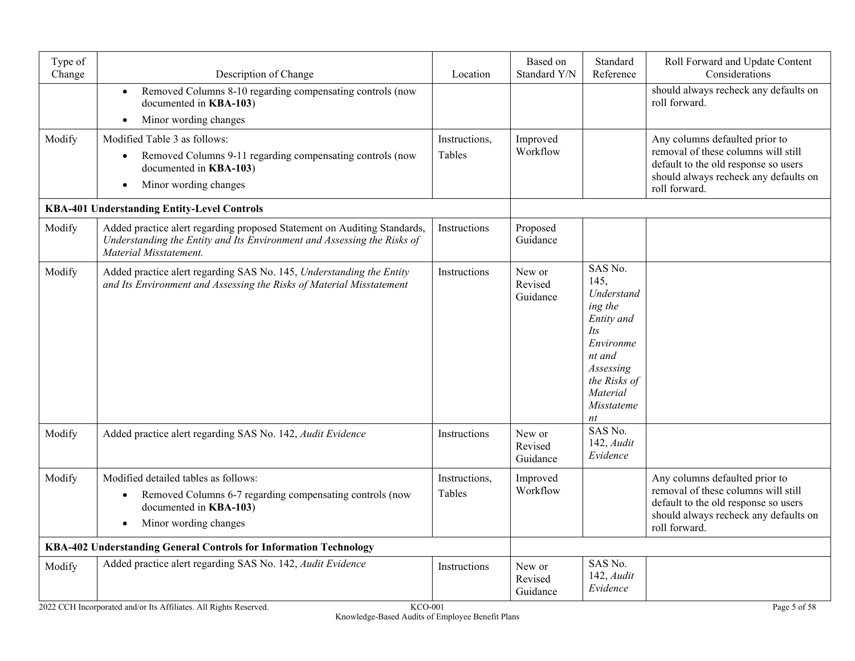| Type of<br>Change                                                                   | Description of Change                                                                                                                                                         | Location                | Based on<br>Standard Y/N      | Standard<br>Reference                                                                                                                                    | Roll Forward and Update Content<br>Considerations                                                                                                                       |
|-------------------------------------------------------------------------------------|-------------------------------------------------------------------------------------------------------------------------------------------------------------------------------|-------------------------|-------------------------------|----------------------------------------------------------------------------------------------------------------------------------------------------------|-------------------------------------------------------------------------------------------------------------------------------------------------------------------------|
|                                                                                     | Removed Columns 8-10 regarding compensating controls (now<br>$\bullet$<br>documented in KBA-103)<br>Minor wording changes<br>$\bullet$                                        |                         |                               |                                                                                                                                                          | should always recheck any defaults on<br>roll forward.                                                                                                                  |
| Modify                                                                              | Modified Table 3 as follows:<br>Removed Columns 9-11 regarding compensating controls (now<br>$\bullet$<br>documented in KBA-103)<br>Minor wording changes                     | Instructions,<br>Tables | Improved<br>Workflow          |                                                                                                                                                          | Any columns defaulted prior to<br>removal of these columns will still<br>default to the old response so users<br>should always recheck any defaults on<br>roll forward. |
|                                                                                     | KBA-401 Understanding Entity-Level Controls                                                                                                                                   |                         |                               |                                                                                                                                                          |                                                                                                                                                                         |
| Modify                                                                              | Added practice alert regarding proposed Statement on Auditing Standards,<br>Understanding the Entity and Its Environment and Assessing the Risks of<br>Material Misstatement. | Instructions            | Proposed<br>Guidance          |                                                                                                                                                          |                                                                                                                                                                         |
| Modify                                                                              | Added practice alert regarding SAS No. 145, Understanding the Entity<br>and Its Environment and Assessing the Risks of Material Misstatement                                  | Instructions            | New or<br>Revised<br>Guidance | SAS No.<br>145.<br>Understand<br>ing the<br>Entity and<br><i>Its</i><br>Environme<br>nt and<br>Assessing<br>the Risks of<br>Material<br>Misstateme<br>nt |                                                                                                                                                                         |
| Modify                                                                              | Added practice alert regarding SAS No. 142, Audit Evidence                                                                                                                    | Instructions            | New or<br>Revised<br>Guidance | SAS No.<br>$142$ , Audit<br>Evidence                                                                                                                     |                                                                                                                                                                         |
| Modify                                                                              | Modified detailed tables as follows:<br>Removed Columns 6-7 regarding compensating controls (now<br>$\bullet$<br>documented in KBA-103)<br>Minor wording changes<br>$\bullet$ | Instructions,<br>Tables | Improved<br>Workflow          |                                                                                                                                                          | Any columns defaulted prior to<br>removal of these columns will still<br>default to the old response so users<br>should always recheck any defaults on<br>roll forward. |
| KBA-402 Understanding General Controls for Information Technology                   |                                                                                                                                                                               |                         |                               |                                                                                                                                                          |                                                                                                                                                                         |
| Modify                                                                              | Added practice alert regarding SAS No. 142, Audit Evidence                                                                                                                    | Instructions            | New or<br>Revised<br>Guidance | SAS No.<br>142, Audit<br>Evidence                                                                                                                        |                                                                                                                                                                         |
| 2022 CCH Incorporated and/or Its Affiliates. All Rights Reserved.<br><b>KCO-001</b> |                                                                                                                                                                               |                         |                               |                                                                                                                                                          | Page 5 of 58                                                                                                                                                            |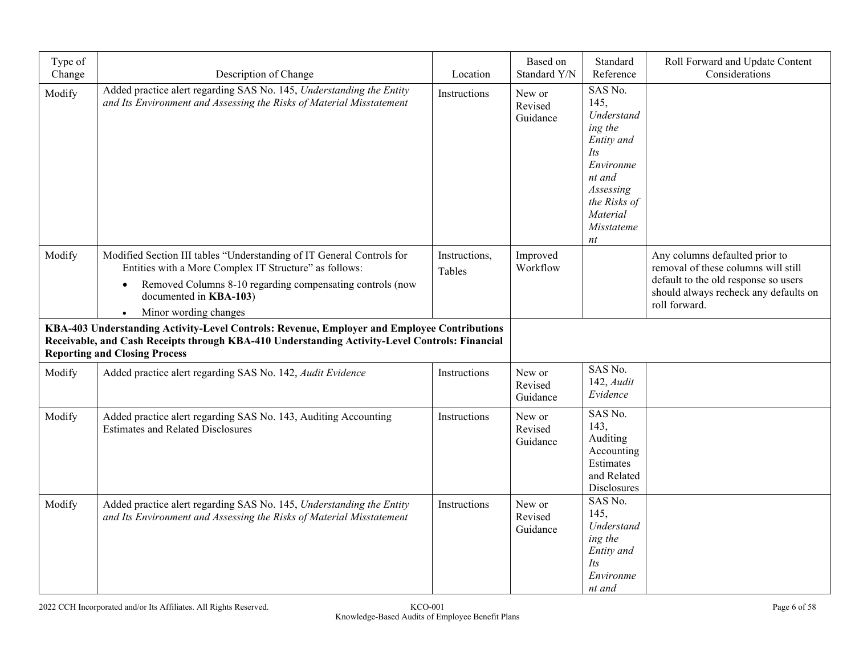| Type of<br>Change | Description of Change                                                                                                                                                                                                                                        | Location                | Based on<br>Standard Y/N      | Standard<br>Reference                                                                                                                             | Roll Forward and Update Content<br>Considerations                                                                                                                       |
|-------------------|--------------------------------------------------------------------------------------------------------------------------------------------------------------------------------------------------------------------------------------------------------------|-------------------------|-------------------------------|---------------------------------------------------------------------------------------------------------------------------------------------------|-------------------------------------------------------------------------------------------------------------------------------------------------------------------------|
| Modify            | Added practice alert regarding SAS No. 145, Understanding the Entity<br>and Its Environment and Assessing the Risks of Material Misstatement                                                                                                                 | Instructions            | New or<br>Revised<br>Guidance | SAS No.<br>145,<br>Understand<br>ing the<br>Entity and<br>Its<br>Environme<br>nt and<br>Assessing<br>the Risks of<br>Material<br>Misstateme<br>nt |                                                                                                                                                                         |
| Modify            | Modified Section III tables "Understanding of IT General Controls for<br>Entities with a More Complex IT Structure" as follows:<br>Removed Columns 8-10 regarding compensating controls (now<br>$\bullet$<br>documented in KBA-103)<br>Minor wording changes | Instructions,<br>Tables | Improved<br>Workflow          |                                                                                                                                                   | Any columns defaulted prior to<br>removal of these columns will still<br>default to the old response so users<br>should always recheck any defaults on<br>roll forward. |
|                   | KBA-403 Understanding Activity-Level Controls: Revenue, Employer and Employee Contributions<br>Receivable, and Cash Receipts through KBA-410 Understanding Activity-Level Controls: Financial<br><b>Reporting and Closing Process</b>                        |                         |                               |                                                                                                                                                   |                                                                                                                                                                         |
| Modify            | Added practice alert regarding SAS No. 142, Audit Evidence                                                                                                                                                                                                   | Instructions            | New or<br>Revised<br>Guidance | SAS No.<br>$142$ , Audit<br>Evidence                                                                                                              |                                                                                                                                                                         |
| Modify            | Added practice alert regarding SAS No. 143, Auditing Accounting<br><b>Estimates and Related Disclosures</b>                                                                                                                                                  | Instructions            | New or<br>Revised<br>Guidance | SAS No.<br>143,<br>Auditing<br>Accounting<br>Estimates<br>and Related<br>Disclosures                                                              |                                                                                                                                                                         |
| Modify            | Added practice alert regarding SAS No. 145, Understanding the Entity<br>and Its Environment and Assessing the Risks of Material Misstatement                                                                                                                 | Instructions            | New or<br>Revised<br>Guidance | SAS No.<br>145,<br>Understand<br>ing the<br>Entity and<br>Its<br>Environme<br>nt and                                                              |                                                                                                                                                                         |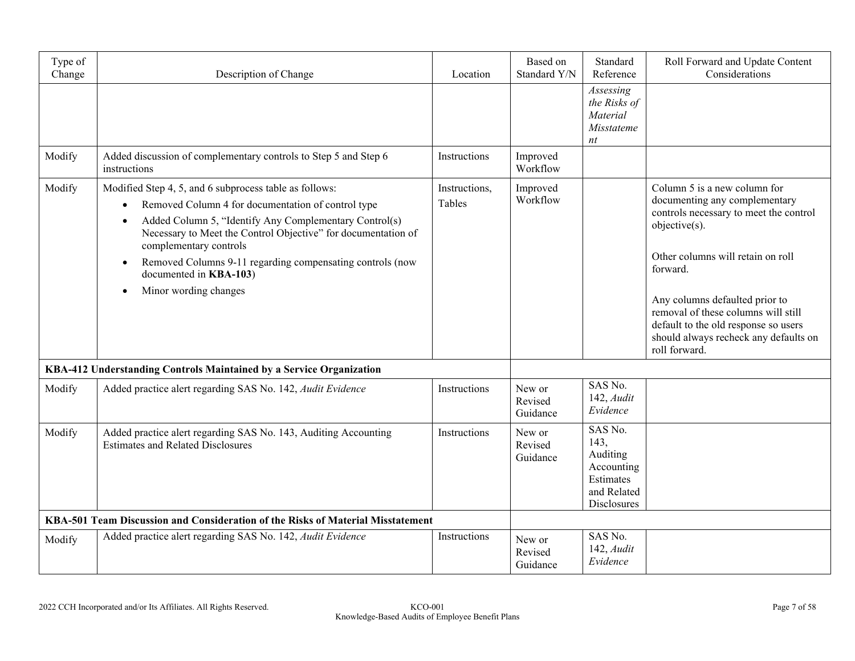| Type of<br>Change                                                               | Description of Change                                                                                                                                                                                                                                                                                                                                                             | Location                | Based on<br>Standard Y/N      | Standard<br>Reference                                                                | Roll Forward and Update Content<br>Considerations                                                                                                                                                                                                                                                                                                    |
|---------------------------------------------------------------------------------|-----------------------------------------------------------------------------------------------------------------------------------------------------------------------------------------------------------------------------------------------------------------------------------------------------------------------------------------------------------------------------------|-------------------------|-------------------------------|--------------------------------------------------------------------------------------|------------------------------------------------------------------------------------------------------------------------------------------------------------------------------------------------------------------------------------------------------------------------------------------------------------------------------------------------------|
|                                                                                 |                                                                                                                                                                                                                                                                                                                                                                                   |                         |                               | Assessing<br>the Risks of<br>Material<br>Misstateme<br>nt                            |                                                                                                                                                                                                                                                                                                                                                      |
| Modify                                                                          | Added discussion of complementary controls to Step 5 and Step 6<br>instructions                                                                                                                                                                                                                                                                                                   | Instructions            | Improved<br>Workflow          |                                                                                      |                                                                                                                                                                                                                                                                                                                                                      |
| Modify                                                                          | Modified Step 4, 5, and 6 subprocess table as follows:<br>Removed Column 4 for documentation of control type<br>Added Column 5, "Identify Any Complementary Control(s)<br>Necessary to Meet the Control Objective" for documentation of<br>complementary controls<br>Removed Columns 9-11 regarding compensating controls (now<br>documented in KBA-103)<br>Minor wording changes | Instructions,<br>Tables | Improved<br>Workflow          |                                                                                      | Column 5 is a new column for<br>documenting any complementary<br>controls necessary to meet the control<br>objective(s).<br>Other columns will retain on roll<br>forward.<br>Any columns defaulted prior to<br>removal of these columns will still<br>default to the old response so users<br>should always recheck any defaults on<br>roll forward. |
|                                                                                 | KBA-412 Understanding Controls Maintained by a Service Organization                                                                                                                                                                                                                                                                                                               |                         |                               |                                                                                      |                                                                                                                                                                                                                                                                                                                                                      |
| Modify                                                                          | Added practice alert regarding SAS No. 142, Audit Evidence                                                                                                                                                                                                                                                                                                                        | Instructions            | New or<br>Revised<br>Guidance | SAS No.<br>$142$ , $Audit$<br>Evidence                                               |                                                                                                                                                                                                                                                                                                                                                      |
| Modify                                                                          | Added practice alert regarding SAS No. 143, Auditing Accounting<br><b>Estimates and Related Disclosures</b>                                                                                                                                                                                                                                                                       | Instructions            | New or<br>Revised<br>Guidance | SAS No.<br>143,<br>Auditing<br>Accounting<br>Estimates<br>and Related<br>Disclosures |                                                                                                                                                                                                                                                                                                                                                      |
| KBA-501 Team Discussion and Consideration of the Risks of Material Misstatement |                                                                                                                                                                                                                                                                                                                                                                                   |                         |                               |                                                                                      |                                                                                                                                                                                                                                                                                                                                                      |
| Modify                                                                          | Added practice alert regarding SAS No. 142, Audit Evidence                                                                                                                                                                                                                                                                                                                        | Instructions            | New or<br>Revised<br>Guidance | SAS No.<br>$142$ , $Audit$<br>Evidence                                               |                                                                                                                                                                                                                                                                                                                                                      |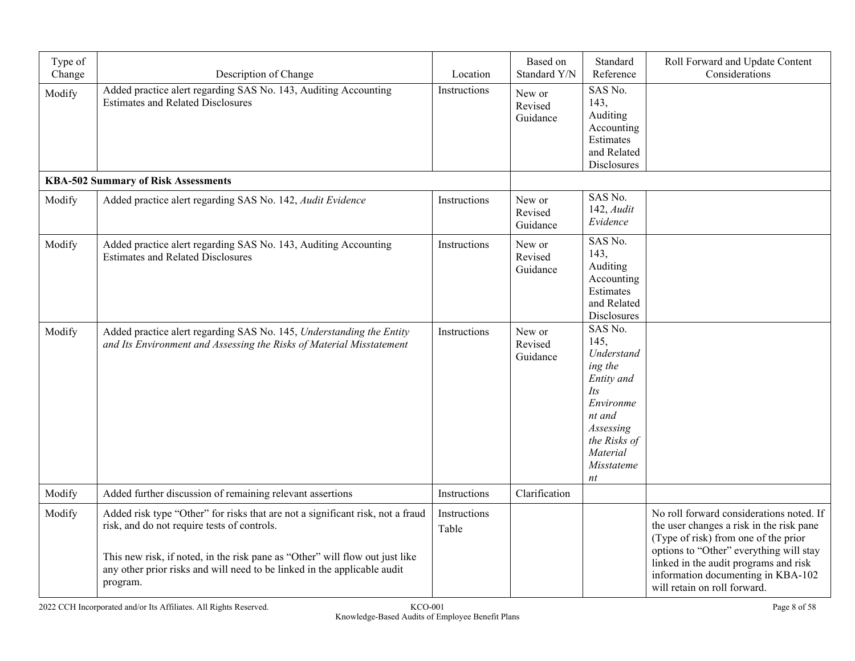| Type of<br>Change | Description of Change                                                                                                                                                                                                                                                                                 | Location              | Based on<br>Standard Y/N      | Standard<br>Reference                                                                                                                             | Roll Forward and Update Content<br>Considerations                                                                                                                                                                                                                                      |
|-------------------|-------------------------------------------------------------------------------------------------------------------------------------------------------------------------------------------------------------------------------------------------------------------------------------------------------|-----------------------|-------------------------------|---------------------------------------------------------------------------------------------------------------------------------------------------|----------------------------------------------------------------------------------------------------------------------------------------------------------------------------------------------------------------------------------------------------------------------------------------|
| Modify            | Added practice alert regarding SAS No. 143, Auditing Accounting<br><b>Estimates and Related Disclosures</b>                                                                                                                                                                                           | Instructions          | New or<br>Revised<br>Guidance | SAS No.<br>143,<br>Auditing<br>Accounting<br>Estimates<br>and Related<br>Disclosures                                                              |                                                                                                                                                                                                                                                                                        |
|                   | <b>KBA-502 Summary of Risk Assessments</b>                                                                                                                                                                                                                                                            |                       |                               |                                                                                                                                                   |                                                                                                                                                                                                                                                                                        |
| Modify            | Added practice alert regarding SAS No. 142, Audit Evidence                                                                                                                                                                                                                                            | Instructions          | New or<br>Revised<br>Guidance | SAS No.<br>$142$ , $Audit$<br>Evidence                                                                                                            |                                                                                                                                                                                                                                                                                        |
| Modify            | Added practice alert regarding SAS No. 143, Auditing Accounting<br><b>Estimates and Related Disclosures</b>                                                                                                                                                                                           | Instructions          | New or<br>Revised<br>Guidance | SAS No.<br>143,<br>Auditing<br>Accounting<br>Estimates<br>and Related<br>Disclosures                                                              |                                                                                                                                                                                                                                                                                        |
| Modify            | Added practice alert regarding SAS No. 145, Understanding the Entity<br>and Its Environment and Assessing the Risks of Material Misstatement                                                                                                                                                          | Instructions          | New or<br>Revised<br>Guidance | SAS No.<br>145,<br>Understand<br>ing the<br>Entity and<br>Its<br>Environme<br>nt and<br>Assessing<br>the Risks of<br>Material<br>Misstateme<br>nt |                                                                                                                                                                                                                                                                                        |
| Modify            | Added further discussion of remaining relevant assertions                                                                                                                                                                                                                                             | Instructions          | Clarification                 |                                                                                                                                                   |                                                                                                                                                                                                                                                                                        |
| Modify            | Added risk type "Other" for risks that are not a significant risk, not a fraud<br>risk, and do not require tests of controls.<br>This new risk, if noted, in the risk pane as "Other" will flow out just like<br>any other prior risks and will need to be linked in the applicable audit<br>program. | Instructions<br>Table |                               |                                                                                                                                                   | No roll forward considerations noted. If<br>the user changes a risk in the risk pane<br>(Type of risk) from one of the prior<br>options to "Other" everything will stay<br>linked in the audit programs and risk<br>information documenting in KBA-102<br>will retain on roll forward. |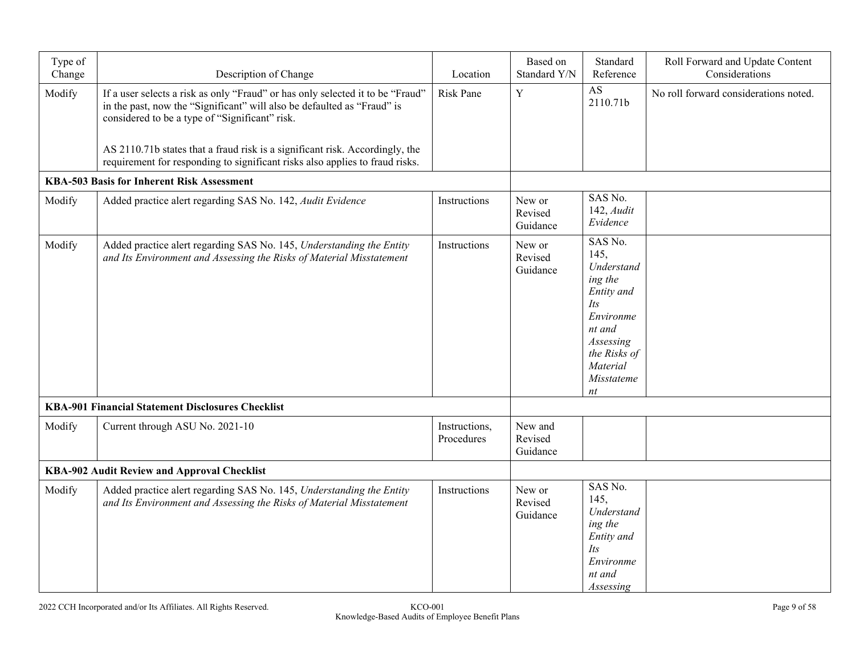| Type of<br>Change                           | Description of Change                                                                                                                                                                                       | Location                    | Based on<br>Standard Y/N       | Standard<br>Reference                                                                                                                             | Roll Forward and Update Content<br>Considerations |
|---------------------------------------------|-------------------------------------------------------------------------------------------------------------------------------------------------------------------------------------------------------------|-----------------------------|--------------------------------|---------------------------------------------------------------------------------------------------------------------------------------------------|---------------------------------------------------|
| Modify                                      | If a user selects a risk as only "Fraud" or has only selected it to be "Fraud"<br>in the past, now the "Significant" will also be defaulted as "Fraud" is<br>considered to be a type of "Significant" risk. | <b>Risk Pane</b>            | $\mathbf Y$                    | AS<br>2110.71b                                                                                                                                    | No roll forward considerations noted.             |
|                                             | AS 2110.71b states that a fraud risk is a significant risk. Accordingly, the<br>requirement for responding to significant risks also applies to fraud risks.                                                |                             |                                |                                                                                                                                                   |                                                   |
|                                             | <b>KBA-503 Basis for Inherent Risk Assessment</b>                                                                                                                                                           |                             |                                |                                                                                                                                                   |                                                   |
| Modify                                      | Added practice alert regarding SAS No. 142, Audit Evidence                                                                                                                                                  | Instructions                | New or<br>Revised<br>Guidance  | SAS No.<br>$142$ , $Audit$<br>Evidence                                                                                                            |                                                   |
| Modify                                      | Added practice alert regarding SAS No. 145, Understanding the Entity<br>and Its Environment and Assessing the Risks of Material Misstatement                                                                | Instructions                | New or<br>Revised<br>Guidance  | SAS No.<br>145,<br>Understand<br>ing the<br>Entity and<br>Its<br>Environme<br>nt and<br>Assessing<br>the Risks of<br>Material<br>Misstateme<br>nt |                                                   |
|                                             | <b>KBA-901 Financial Statement Disclosures Checklist</b>                                                                                                                                                    |                             |                                |                                                                                                                                                   |                                                   |
| Modify                                      | Current through ASU No. 2021-10                                                                                                                                                                             | Instructions,<br>Procedures | New and<br>Revised<br>Guidance |                                                                                                                                                   |                                                   |
| KBA-902 Audit Review and Approval Checklist |                                                                                                                                                                                                             |                             |                                |                                                                                                                                                   |                                                   |
| Modify                                      | Added practice alert regarding SAS No. 145, Understanding the Entity<br>and Its Environment and Assessing the Risks of Material Misstatement                                                                | Instructions                | New or<br>Revised<br>Guidance  | SAS No.<br>145,<br>Understand<br>ing the<br>Entity and<br><i>Its</i><br>Environme<br>nt and<br>Assessing                                          |                                                   |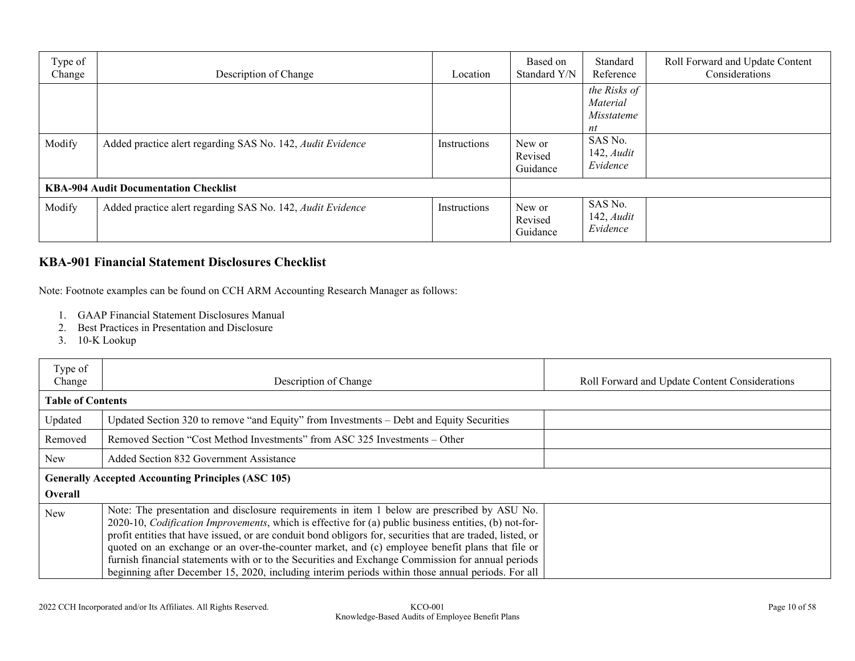| Type of<br>Change                            | Description of Change                                      | Location     | Based on<br>Standard Y/N      | Standard<br>Reference                        | Roll Forward and Update Content<br>Considerations |
|----------------------------------------------|------------------------------------------------------------|--------------|-------------------------------|----------------------------------------------|---------------------------------------------------|
|                                              |                                                            |              |                               | the Risks of<br>Material<br>Misstateme<br>nt |                                                   |
| Modify                                       | Added practice alert regarding SAS No. 142, Audit Evidence | Instructions | New or<br>Revised<br>Guidance | SAS No.<br>$142$ , <i>Audit</i><br>Evidence  |                                                   |
| <b>KBA-904 Audit Documentation Checklist</b> |                                                            |              |                               |                                              |                                                   |
| Modify                                       | Added practice alert regarding SAS No. 142, Audit Evidence | Instructions | New or<br>Revised<br>Guidance | SAS No.<br>$142$ , <i>Audit</i><br>Evidence  |                                                   |

## **KBA-901 Financial Statement Disclosures Checklist**

Note: Footnote examples can be found on CCH ARM Accounting Research Manager as follows:

- 1. GAAP Financial Statement Disclosures Manual
- 2. Best Practices in Presentation and Disclosure
- 3. 10-K Lookup

| Type of<br>Change        | Description of Change                                                                                                                                                                                                                                                                                                                                                                                                                                                                                                                                                                                                                     | Roll Forward and Update Content Considerations |
|--------------------------|-------------------------------------------------------------------------------------------------------------------------------------------------------------------------------------------------------------------------------------------------------------------------------------------------------------------------------------------------------------------------------------------------------------------------------------------------------------------------------------------------------------------------------------------------------------------------------------------------------------------------------------------|------------------------------------------------|
| <b>Table of Contents</b> |                                                                                                                                                                                                                                                                                                                                                                                                                                                                                                                                                                                                                                           |                                                |
| Updated                  | Updated Section 320 to remove "and Equity" from Investments – Debt and Equity Securities                                                                                                                                                                                                                                                                                                                                                                                                                                                                                                                                                  |                                                |
| Removed                  | Removed Section "Cost Method Investments" from ASC 325 Investments – Other                                                                                                                                                                                                                                                                                                                                                                                                                                                                                                                                                                |                                                |
| New                      | Added Section 832 Government Assistance                                                                                                                                                                                                                                                                                                                                                                                                                                                                                                                                                                                                   |                                                |
|                          | <b>Generally Accepted Accounting Principles (ASC 105)</b>                                                                                                                                                                                                                                                                                                                                                                                                                                                                                                                                                                                 |                                                |
| Overall                  |                                                                                                                                                                                                                                                                                                                                                                                                                                                                                                                                                                                                                                           |                                                |
| <b>New</b>               | Note: The presentation and disclosure requirements in item 1 below are prescribed by ASU No.<br>2020-10, <i>Codification Improvements</i> , which is effective for (a) public business entities, (b) not-for-<br>profit entities that have issued, or are conduit bond obligors for, securities that are traded, listed, or<br>quoted on an exchange or an over-the-counter market, and (c) employee benefit plans that file or<br>furnish financial statements with or to the Securities and Exchange Commission for annual periods<br>beginning after December 15, 2020, including interim periods within those annual periods. For all |                                                |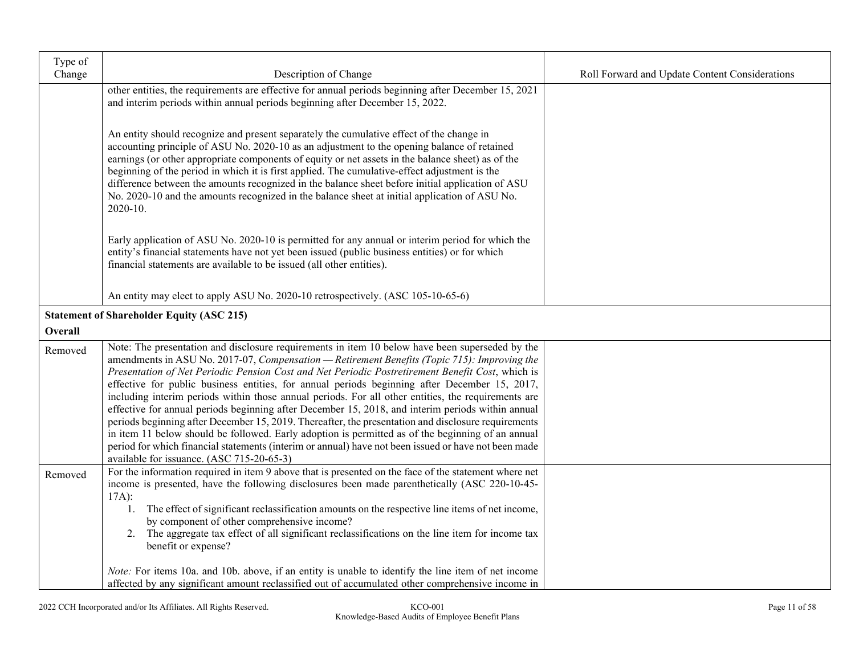| Type of |                                                                                                                                                                                                          |                                                |
|---------|----------------------------------------------------------------------------------------------------------------------------------------------------------------------------------------------------------|------------------------------------------------|
| Change  | Description of Change                                                                                                                                                                                    | Roll Forward and Update Content Considerations |
|         | other entities, the requirements are effective for annual periods beginning after December 15, 2021                                                                                                      |                                                |
|         | and interim periods within annual periods beginning after December 15, 2022.                                                                                                                             |                                                |
|         |                                                                                                                                                                                                          |                                                |
|         | An entity should recognize and present separately the cumulative effect of the change in                                                                                                                 |                                                |
|         | accounting principle of ASU No. 2020-10 as an adjustment to the opening balance of retained                                                                                                              |                                                |
|         | earnings (or other appropriate components of equity or net assets in the balance sheet) as of the<br>beginning of the period in which it is first applied. The cumulative-effect adjustment is the       |                                                |
|         | difference between the amounts recognized in the balance sheet before initial application of ASU                                                                                                         |                                                |
|         | No. 2020-10 and the amounts recognized in the balance sheet at initial application of ASU No.                                                                                                            |                                                |
|         | 2020-10.                                                                                                                                                                                                 |                                                |
|         |                                                                                                                                                                                                          |                                                |
|         | Early application of ASU No. 2020-10 is permitted for any annual or interim period for which the                                                                                                         |                                                |
|         | entity's financial statements have not yet been issued (public business entities) or for which                                                                                                           |                                                |
|         | financial statements are available to be issued (all other entities).                                                                                                                                    |                                                |
|         |                                                                                                                                                                                                          |                                                |
|         | An entity may elect to apply ASU No. 2020-10 retrospectively. (ASC 105-10-65-6)                                                                                                                          |                                                |
|         | <b>Statement of Shareholder Equity (ASC 215)</b>                                                                                                                                                         |                                                |
| Overall |                                                                                                                                                                                                          |                                                |
| Removed | Note: The presentation and disclosure requirements in item 10 below have been superseded by the                                                                                                          |                                                |
|         | amendments in ASU No. 2017-07, Compensation - Retirement Benefits (Topic 715): Improving the                                                                                                             |                                                |
|         | Presentation of Net Periodic Pension Cost and Net Periodic Postretirement Benefit Cost, which is                                                                                                         |                                                |
|         | effective for public business entities, for annual periods beginning after December 15, 2017,                                                                                                            |                                                |
|         | including interim periods within those annual periods. For all other entities, the requirements are                                                                                                      |                                                |
|         | effective for annual periods beginning after December 15, 2018, and interim periods within annual<br>periods beginning after December 15, 2019. Thereafter, the presentation and disclosure requirements |                                                |
|         | in item 11 below should be followed. Early adoption is permitted as of the beginning of an annual                                                                                                        |                                                |
|         | period for which financial statements (interim or annual) have not been issued or have not been made                                                                                                     |                                                |
|         | available for issuance. (ASC 715-20-65-3)                                                                                                                                                                |                                                |
| Removed | For the information required in item 9 above that is presented on the face of the statement where net                                                                                                    |                                                |
|         | income is presented, have the following disclosures been made parenthetically (ASC 220-10-45-                                                                                                            |                                                |
|         | $17A$ :                                                                                                                                                                                                  |                                                |
|         | 1. The effect of significant reclassification amounts on the respective line items of net income,<br>by component of other comprehensive income?                                                         |                                                |
|         | The aggregate tax effect of all significant reclassifications on the line item for income tax<br>2.                                                                                                      |                                                |
|         | benefit or expense?                                                                                                                                                                                      |                                                |
|         |                                                                                                                                                                                                          |                                                |
|         | <i>Note:</i> For items 10a. and 10b. above, if an entity is unable to identify the line item of net income                                                                                               |                                                |
|         | affected by any significant amount reclassified out of accumulated other comprehensive income in                                                                                                         |                                                |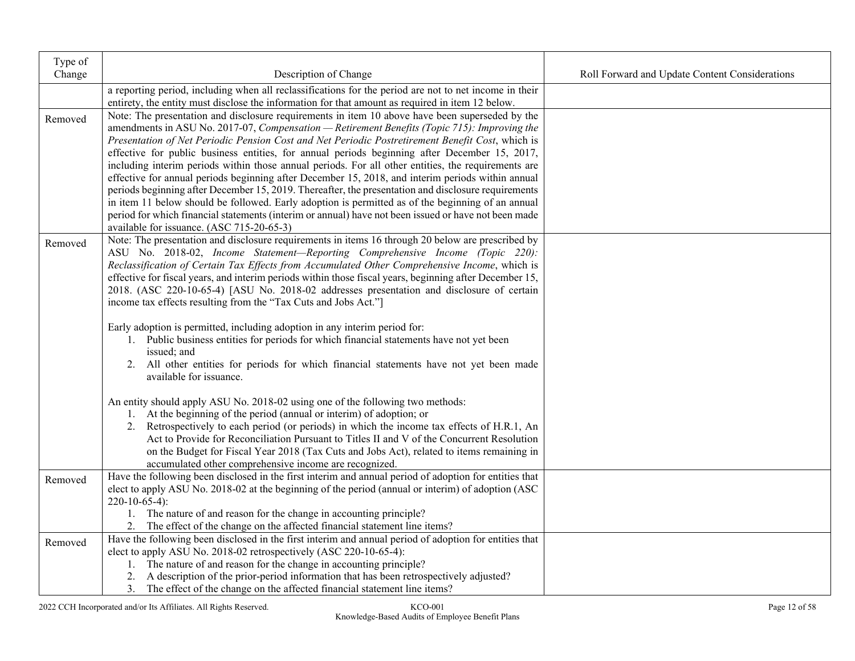| Type of |                                                                                                                                                                                                      |                                                |
|---------|------------------------------------------------------------------------------------------------------------------------------------------------------------------------------------------------------|------------------------------------------------|
| Change  | Description of Change                                                                                                                                                                                | Roll Forward and Update Content Considerations |
|         | a reporting period, including when all reclassifications for the period are not to net income in their                                                                                               |                                                |
|         | entirety, the entity must disclose the information for that amount as required in item 12 below.                                                                                                     |                                                |
| Removed | Note: The presentation and disclosure requirements in item 10 above have been superseded by the                                                                                                      |                                                |
|         | amendments in ASU No. 2017-07, Compensation - Retirement Benefits (Topic 715): Improving the                                                                                                         |                                                |
|         | Presentation of Net Periodic Pension Cost and Net Periodic Postretirement Benefit Cost, which is                                                                                                     |                                                |
|         | effective for public business entities, for annual periods beginning after December 15, 2017,<br>including interim periods within those annual periods. For all other entities, the requirements are |                                                |
|         | effective for annual periods beginning after December 15, 2018, and interim periods within annual                                                                                                    |                                                |
|         | periods beginning after December 15, 2019. Thereafter, the presentation and disclosure requirements                                                                                                  |                                                |
|         | in item 11 below should be followed. Early adoption is permitted as of the beginning of an annual                                                                                                    |                                                |
|         | period for which financial statements (interim or annual) have not been issued or have not been made                                                                                                 |                                                |
|         | available for issuance. (ASC 715-20-65-3)                                                                                                                                                            |                                                |
| Removed | Note: The presentation and disclosure requirements in items 16 through 20 below are prescribed by                                                                                                    |                                                |
|         | ASU No. 2018-02, Income Statement-Reporting Comprehensive Income (Topic 220):                                                                                                                        |                                                |
|         | Reclassification of Certain Tax Effects from Accumulated Other Comprehensive Income, which is                                                                                                        |                                                |
|         | effective for fiscal years, and interim periods within those fiscal years, beginning after December 15,                                                                                              |                                                |
|         | 2018. (ASC 220-10-65-4) [ASU No. 2018-02 addresses presentation and disclosure of certain                                                                                                            |                                                |
|         | income tax effects resulting from the "Tax Cuts and Jobs Act."]                                                                                                                                      |                                                |
|         | Early adoption is permitted, including adoption in any interim period for:                                                                                                                           |                                                |
|         | 1. Public business entities for periods for which financial statements have not yet been                                                                                                             |                                                |
|         | issued; and                                                                                                                                                                                          |                                                |
|         | 2. All other entities for periods for which financial statements have not yet been made                                                                                                              |                                                |
|         | available for issuance.                                                                                                                                                                              |                                                |
|         |                                                                                                                                                                                                      |                                                |
|         | An entity should apply ASU No. 2018-02 using one of the following two methods:                                                                                                                       |                                                |
|         | 1. At the beginning of the period (annual or interim) of adoption; or<br>2. Retrospectively to each period (or periods) in which the income tax effects of H.R.1, An                                 |                                                |
|         | Act to Provide for Reconciliation Pursuant to Titles II and V of the Concurrent Resolution                                                                                                           |                                                |
|         | on the Budget for Fiscal Year 2018 (Tax Cuts and Jobs Act), related to items remaining in                                                                                                            |                                                |
|         | accumulated other comprehensive income are recognized.                                                                                                                                               |                                                |
| Removed | Have the following been disclosed in the first interim and annual period of adoption for entities that                                                                                               |                                                |
|         | elect to apply ASU No. 2018-02 at the beginning of the period (annual or interim) of adoption (ASC                                                                                                   |                                                |
|         | $220-10-65-4$ :                                                                                                                                                                                      |                                                |
|         | 1. The nature of and reason for the change in accounting principle?                                                                                                                                  |                                                |
|         | 2. The effect of the change on the affected financial statement line items?                                                                                                                          |                                                |
| Removed | Have the following been disclosed in the first interim and annual period of adoption for entities that                                                                                               |                                                |
|         | elect to apply ASU No. 2018-02 retrospectively (ASC 220-10-65-4):                                                                                                                                    |                                                |
|         | 1. The nature of and reason for the change in accounting principle?                                                                                                                                  |                                                |
|         | 2. A description of the prior-period information that has been retrospectively adjusted?                                                                                                             |                                                |
|         | 3. The effect of the change on the affected financial statement line items?                                                                                                                          |                                                |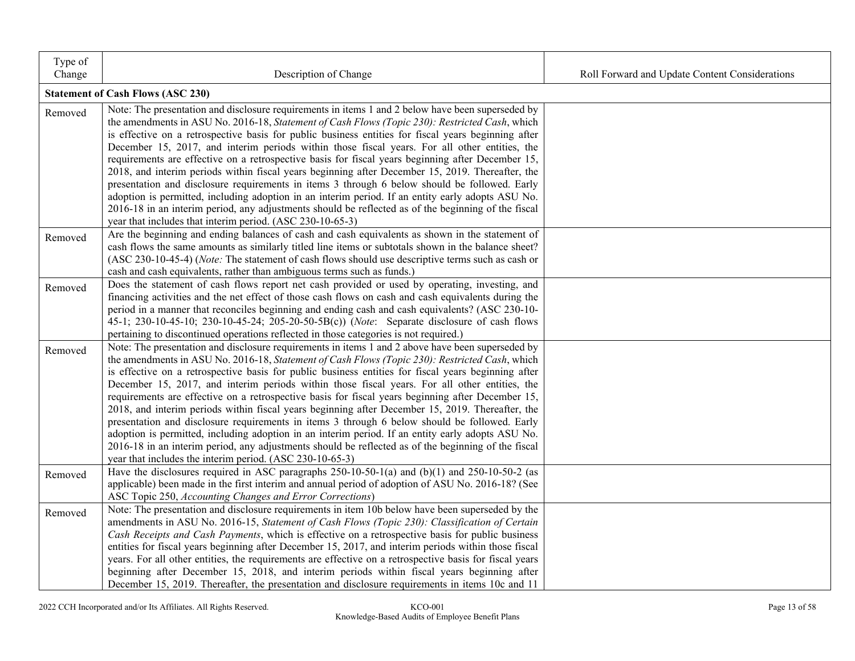| Type of<br>Change | Description of Change                                                                                                                                                                                                                                                                                                                                                                                                                                                                                                                                                                                                                                                                                                                                                                                                                                                                                                                                                                         | Roll Forward and Update Content Considerations |
|-------------------|-----------------------------------------------------------------------------------------------------------------------------------------------------------------------------------------------------------------------------------------------------------------------------------------------------------------------------------------------------------------------------------------------------------------------------------------------------------------------------------------------------------------------------------------------------------------------------------------------------------------------------------------------------------------------------------------------------------------------------------------------------------------------------------------------------------------------------------------------------------------------------------------------------------------------------------------------------------------------------------------------|------------------------------------------------|
|                   | <b>Statement of Cash Flows (ASC 230)</b>                                                                                                                                                                                                                                                                                                                                                                                                                                                                                                                                                                                                                                                                                                                                                                                                                                                                                                                                                      |                                                |
| Removed           | Note: The presentation and disclosure requirements in items 1 and 2 below have been superseded by<br>the amendments in ASU No. 2016-18, Statement of Cash Flows (Topic 230): Restricted Cash, which<br>is effective on a retrospective basis for public business entities for fiscal years beginning after<br>December 15, 2017, and interim periods within those fiscal years. For all other entities, the<br>requirements are effective on a retrospective basis for fiscal years beginning after December 15,<br>2018, and interim periods within fiscal years beginning after December 15, 2019. Thereafter, the<br>presentation and disclosure requirements in items 3 through 6 below should be followed. Early<br>adoption is permitted, including adoption in an interim period. If an entity early adopts ASU No.<br>2016-18 in an interim period, any adjustments should be reflected as of the beginning of the fiscal                                                             |                                                |
| Removed           | year that includes that interim period. (ASC 230-10-65-3)<br>Are the beginning and ending balances of cash and cash equivalents as shown in the statement of<br>cash flows the same amounts as similarly titled line items or subtotals shown in the balance sheet?<br>(ASC 230-10-45-4) (Note: The statement of cash flows should use descriptive terms such as cash or<br>cash and cash equivalents, rather than ambiguous terms such as funds.)                                                                                                                                                                                                                                                                                                                                                                                                                                                                                                                                            |                                                |
| Removed           | Does the statement of cash flows report net cash provided or used by operating, investing, and<br>financing activities and the net effect of those cash flows on cash and cash equivalents during the<br>period in a manner that reconciles beginning and ending cash and cash equivalents? (ASC 230-10-<br>45-1; 230-10-45-10; 230-10-45-24; 205-20-50-5B(c)) (Note: Separate disclosure of cash flows<br>pertaining to discontinued operations reflected in those categories is not required.)                                                                                                                                                                                                                                                                                                                                                                                                                                                                                              |                                                |
| Removed           | Note: The presentation and disclosure requirements in items 1 and 2 above have been superseded by<br>the amendments in ASU No. 2016-18, Statement of Cash Flows (Topic 230): Restricted Cash, which<br>is effective on a retrospective basis for public business entities for fiscal years beginning after<br>December 15, 2017, and interim periods within those fiscal years. For all other entities, the<br>requirements are effective on a retrospective basis for fiscal years beginning after December 15,<br>2018, and interim periods within fiscal years beginning after December 15, 2019. Thereafter, the<br>presentation and disclosure requirements in items 3 through 6 below should be followed. Early<br>adoption is permitted, including adoption in an interim period. If an entity early adopts ASU No.<br>2016-18 in an interim period, any adjustments should be reflected as of the beginning of the fiscal<br>year that includes the interim period. (ASC 230-10-65-3) |                                                |
| Removed           | Have the disclosures required in ASC paragraphs $250-10-50-1$ (a) and $(b)(1)$ and $250-10-50-2$ (as<br>applicable) been made in the first interim and annual period of adoption of ASU No. 2016-18? (See<br>ASC Topic 250, Accounting Changes and Error Corrections)                                                                                                                                                                                                                                                                                                                                                                                                                                                                                                                                                                                                                                                                                                                         |                                                |
| Removed           | Note: The presentation and disclosure requirements in item 10b below have been superseded by the<br>amendments in ASU No. 2016-15, Statement of Cash Flows (Topic 230): Classification of Certain<br>Cash Receipts and Cash Payments, which is effective on a retrospective basis for public business<br>entities for fiscal years beginning after December 15, 2017, and interim periods within those fiscal<br>years. For all other entities, the requirements are effective on a retrospective basis for fiscal years<br>beginning after December 15, 2018, and interim periods within fiscal years beginning after<br>December 15, 2019. Thereafter, the presentation and disclosure requirements in items 10c and 11                                                                                                                                                                                                                                                                     |                                                |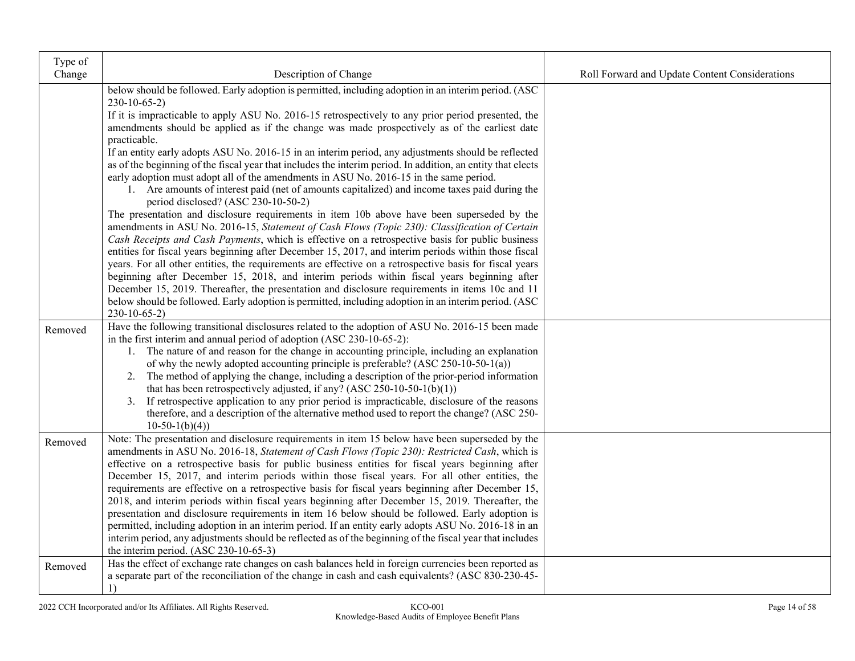| Type of<br>Change | Description of Change                                                                                                                                                                                                                                                                                                                                                                                                                                                                                                                                                                                                                                                                                                                                                                                                                                                                                                                                                                                                                                                                                                                                                                                                                                                                                                                                                                                                                                                                                                                                                                                                                               | Roll Forward and Update Content Considerations |
|-------------------|-----------------------------------------------------------------------------------------------------------------------------------------------------------------------------------------------------------------------------------------------------------------------------------------------------------------------------------------------------------------------------------------------------------------------------------------------------------------------------------------------------------------------------------------------------------------------------------------------------------------------------------------------------------------------------------------------------------------------------------------------------------------------------------------------------------------------------------------------------------------------------------------------------------------------------------------------------------------------------------------------------------------------------------------------------------------------------------------------------------------------------------------------------------------------------------------------------------------------------------------------------------------------------------------------------------------------------------------------------------------------------------------------------------------------------------------------------------------------------------------------------------------------------------------------------------------------------------------------------------------------------------------------------|------------------------------------------------|
|                   | below should be followed. Early adoption is permitted, including adoption in an interim period. (ASC<br>$230-10-65-2$<br>If it is impracticable to apply ASU No. 2016-15 retrospectively to any prior period presented, the<br>amendments should be applied as if the change was made prospectively as of the earliest date<br>practicable.<br>If an entity early adopts ASU No. 2016-15 in an interim period, any adjustments should be reflected<br>as of the beginning of the fiscal year that includes the interim period. In addition, an entity that elects<br>early adoption must adopt all of the amendments in ASU No. 2016-15 in the same period.<br>1. Are amounts of interest paid (net of amounts capitalized) and income taxes paid during the<br>period disclosed? (ASC 230-10-50-2)<br>The presentation and disclosure requirements in item 10b above have been superseded by the<br>amendments in ASU No. 2016-15, Statement of Cash Flows (Topic 230): Classification of Certain<br>Cash Receipts and Cash Payments, which is effective on a retrospective basis for public business<br>entities for fiscal years beginning after December 15, 2017, and interim periods within those fiscal<br>years. For all other entities, the requirements are effective on a retrospective basis for fiscal years<br>beginning after December 15, 2018, and interim periods within fiscal years beginning after<br>December 15, 2019. Thereafter, the presentation and disclosure requirements in items 10c and 11<br>below should be followed. Early adoption is permitted, including adoption in an interim period. (ASC<br>$230-10-65-2$ |                                                |
| Removed           | Have the following transitional disclosures related to the adoption of ASU No. 2016-15 been made<br>in the first interim and annual period of adoption (ASC 230-10-65-2):<br>1. The nature of and reason for the change in accounting principle, including an explanation<br>of why the newly adopted accounting principle is preferable? (ASC 250-10-50-1(a))<br>2. The method of applying the change, including a description of the prior-period information<br>that has been retrospectively adjusted, if any? (ASC 250-10-50-1(b)(1))<br>3. If retrospective application to any prior period is impracticable, disclosure of the reasons<br>therefore, and a description of the alternative method used to report the change? (ASC 250-<br>$10-50-1(b)(4)$                                                                                                                                                                                                                                                                                                                                                                                                                                                                                                                                                                                                                                                                                                                                                                                                                                                                                     |                                                |
| Removed           | Note: The presentation and disclosure requirements in item 15 below have been superseded by the<br>amendments in ASU No. 2016-18, Statement of Cash Flows (Topic 230): Restricted Cash, which is<br>effective on a retrospective basis for public business entities for fiscal years beginning after<br>December 15, 2017, and interim periods within those fiscal years. For all other entities, the<br>requirements are effective on a retrospective basis for fiscal years beginning after December 15,<br>2018, and interim periods within fiscal years beginning after December 15, 2019. Thereafter, the<br>presentation and disclosure requirements in item 16 below should be followed. Early adoption is<br>permitted, including adoption in an interim period. If an entity early adopts ASU No. 2016-18 in an<br>interim period, any adjustments should be reflected as of the beginning of the fiscal year that includes<br>the interim period. (ASC 230-10-65-3)                                                                                                                                                                                                                                                                                                                                                                                                                                                                                                                                                                                                                                                                       |                                                |
| Removed           | Has the effect of exchange rate changes on cash balances held in foreign currencies been reported as<br>a separate part of the reconciliation of the change in cash and cash equivalents? (ASC 830-230-45-<br>1)                                                                                                                                                                                                                                                                                                                                                                                                                                                                                                                                                                                                                                                                                                                                                                                                                                                                                                                                                                                                                                                                                                                                                                                                                                                                                                                                                                                                                                    |                                                |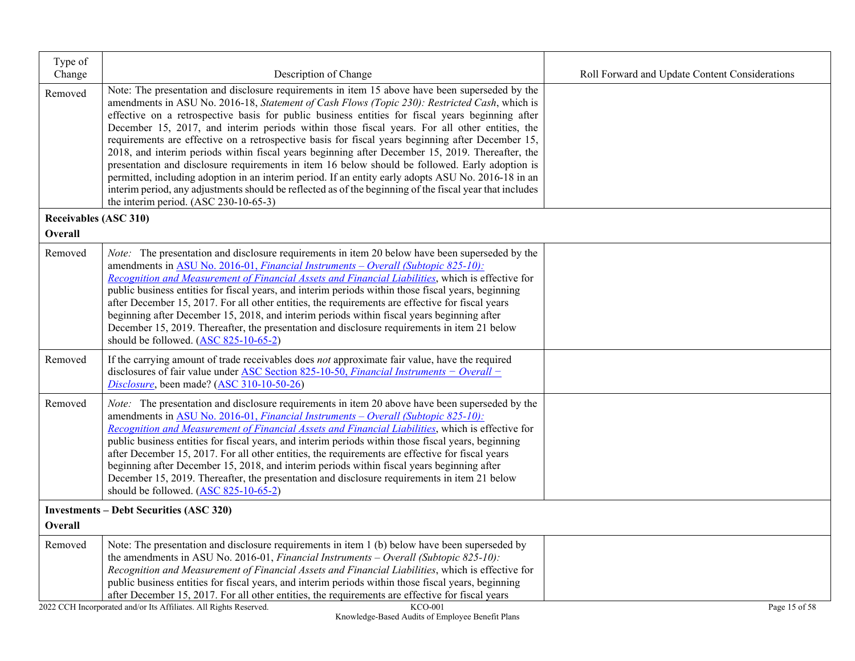| Type of<br>Change            | Description of Change                                                                                                                                                                                                                                                                                                                                                                                                                                                                                                                                                                                                                                                                                                                                                                                                                                                                                                                                                         | Roll Forward and Update Content Considerations |
|------------------------------|-------------------------------------------------------------------------------------------------------------------------------------------------------------------------------------------------------------------------------------------------------------------------------------------------------------------------------------------------------------------------------------------------------------------------------------------------------------------------------------------------------------------------------------------------------------------------------------------------------------------------------------------------------------------------------------------------------------------------------------------------------------------------------------------------------------------------------------------------------------------------------------------------------------------------------------------------------------------------------|------------------------------------------------|
| Removed                      | Note: The presentation and disclosure requirements in item 15 above have been superseded by the<br>amendments in ASU No. 2016-18, Statement of Cash Flows (Topic 230): Restricted Cash, which is<br>effective on a retrospective basis for public business entities for fiscal years beginning after<br>December 15, 2017, and interim periods within those fiscal years. For all other entities, the<br>requirements are effective on a retrospective basis for fiscal years beginning after December 15,<br>2018, and interim periods within fiscal years beginning after December 15, 2019. Thereafter, the<br>presentation and disclosure requirements in item 16 below should be followed. Early adoption is<br>permitted, including adoption in an interim period. If an entity early adopts ASU No. 2016-18 in an<br>interim period, any adjustments should be reflected as of the beginning of the fiscal year that includes<br>the interim period. (ASC 230-10-65-3) |                                                |
| <b>Receivables (ASC 310)</b> |                                                                                                                                                                                                                                                                                                                                                                                                                                                                                                                                                                                                                                                                                                                                                                                                                                                                                                                                                                               |                                                |
| Overall                      |                                                                                                                                                                                                                                                                                                                                                                                                                                                                                                                                                                                                                                                                                                                                                                                                                                                                                                                                                                               |                                                |
| Removed                      | Note: The presentation and disclosure requirements in item 20 below have been superseded by the<br>amendments in ASU No. 2016-01, Financial Instruments - Overall (Subtopic 825-10):<br>Recognition and Measurement of Financial Assets and Financial Liabilities, which is effective for<br>public business entities for fiscal years, and interim periods within those fiscal years, beginning<br>after December 15, 2017. For all other entities, the requirements are effective for fiscal years<br>beginning after December 15, 2018, and interim periods within fiscal years beginning after<br>December 15, 2019. Thereafter, the presentation and disclosure requirements in item 21 below<br>should be followed. (ASC 825-10-65-2)                                                                                                                                                                                                                                   |                                                |
| Removed                      | If the carrying amount of trade receivables does not approximate fair value, have the required<br>disclosures of fair value under ASC Section 825-10-50, <i>Financial Instruments – Overall –</i><br>Disclosure, been made? (ASC 310-10-50-26)                                                                                                                                                                                                                                                                                                                                                                                                                                                                                                                                                                                                                                                                                                                                |                                                |
| Removed                      | Note: The presentation and disclosure requirements in item 20 above have been superseded by the<br>amendments in ASU No. 2016-01, Financial Instruments - Overall (Subtopic 825-10):<br>Recognition and Measurement of Financial Assets and Financial Liabilities, which is effective for<br>public business entities for fiscal years, and interim periods within those fiscal years, beginning<br>after December 15, 2017. For all other entities, the requirements are effective for fiscal years<br>beginning after December 15, 2018, and interim periods within fiscal years beginning after<br>December 15, 2019. Thereafter, the presentation and disclosure requirements in item 21 below<br>should be followed. (ASC 825-10-65-2)                                                                                                                                                                                                                                   |                                                |
|                              | <b>Investments – Debt Securities (ASC 320)</b>                                                                                                                                                                                                                                                                                                                                                                                                                                                                                                                                                                                                                                                                                                                                                                                                                                                                                                                                |                                                |
| Overall                      |                                                                                                                                                                                                                                                                                                                                                                                                                                                                                                                                                                                                                                                                                                                                                                                                                                                                                                                                                                               |                                                |
| Removed                      | Note: The presentation and disclosure requirements in item 1 (b) below have been superseded by<br>the amendments in ASU No. 2016-01, <i>Financial Instruments – Overall (Subtopic 825-10)</i> :<br>Recognition and Measurement of Financial Assets and Financial Liabilities, which is effective for<br>public business entities for fiscal years, and interim periods within those fiscal years, beginning<br>after December 15, 2017. For all other entities, the requirements are effective for fiscal years<br><b>KCO-001</b>                                                                                                                                                                                                                                                                                                                                                                                                                                             | Page 15 of 58                                  |
|                              | 2022 CCH Incorporated and/or Its Affiliates. All Rights Reserved.                                                                                                                                                                                                                                                                                                                                                                                                                                                                                                                                                                                                                                                                                                                                                                                                                                                                                                             |                                                |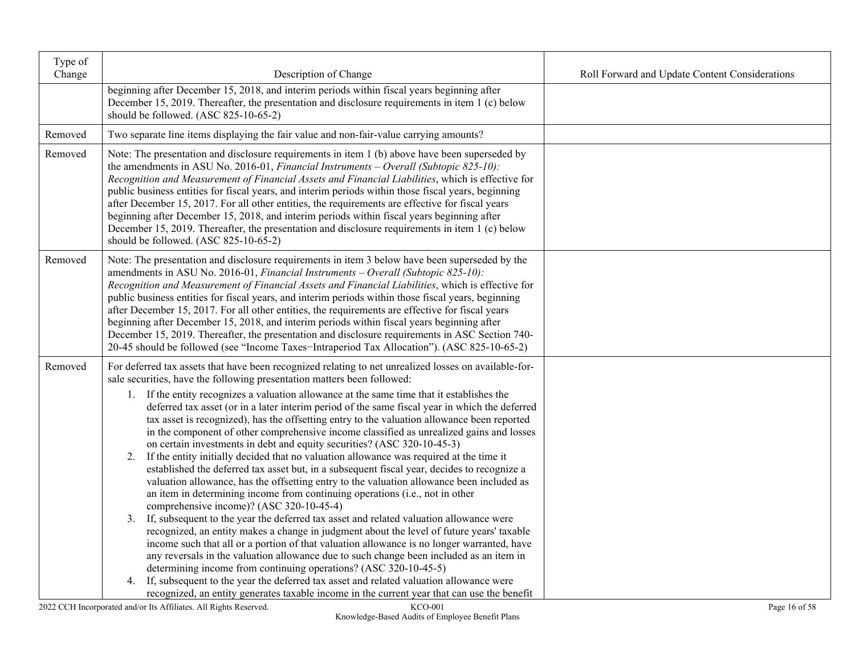| Type of<br>Change | Description of Change                                                                                                                                                                                                                                                                                                                                                                                                                                                                                                                                                                                                                                                                                                                                                                                                                                                                                                                                                                                                                                                                                                                                                                                                                                                                                                                                                                                                                                                                                                                                                                                                                                                                                                              | Roll Forward and Update Content Considerations |
|-------------------|------------------------------------------------------------------------------------------------------------------------------------------------------------------------------------------------------------------------------------------------------------------------------------------------------------------------------------------------------------------------------------------------------------------------------------------------------------------------------------------------------------------------------------------------------------------------------------------------------------------------------------------------------------------------------------------------------------------------------------------------------------------------------------------------------------------------------------------------------------------------------------------------------------------------------------------------------------------------------------------------------------------------------------------------------------------------------------------------------------------------------------------------------------------------------------------------------------------------------------------------------------------------------------------------------------------------------------------------------------------------------------------------------------------------------------------------------------------------------------------------------------------------------------------------------------------------------------------------------------------------------------------------------------------------------------------------------------------------------------|------------------------------------------------|
|                   | beginning after December 15, 2018, and interim periods within fiscal years beginning after<br>December 15, 2019. Thereafter, the presentation and disclosure requirements in item 1 (c) below<br>should be followed. (ASC 825-10-65-2)                                                                                                                                                                                                                                                                                                                                                                                                                                                                                                                                                                                                                                                                                                                                                                                                                                                                                                                                                                                                                                                                                                                                                                                                                                                                                                                                                                                                                                                                                             |                                                |
| Removed           | Two separate line items displaying the fair value and non-fair-value carrying amounts?                                                                                                                                                                                                                                                                                                                                                                                                                                                                                                                                                                                                                                                                                                                                                                                                                                                                                                                                                                                                                                                                                                                                                                                                                                                                                                                                                                                                                                                                                                                                                                                                                                             |                                                |
| Removed           | Note: The presentation and disclosure requirements in item 1 (b) above have been superseded by<br>the amendments in ASU No. 2016-01, Financial Instruments – Overall (Subtopic 825-10):<br>Recognition and Measurement of Financial Assets and Financial Liabilities, which is effective for<br>public business entities for fiscal years, and interim periods within those fiscal years, beginning<br>after December 15, 2017. For all other entities, the requirements are effective for fiscal years<br>beginning after December 15, 2018, and interim periods within fiscal years beginning after<br>December 15, 2019. Thereafter, the presentation and disclosure requirements in item 1 (c) below<br>should be followed. (ASC 825-10-65-2)                                                                                                                                                                                                                                                                                                                                                                                                                                                                                                                                                                                                                                                                                                                                                                                                                                                                                                                                                                                  |                                                |
| Removed           | Note: The presentation and disclosure requirements in item 3 below have been superseded by the<br>amendments in ASU No. 2016-01, Financial Instruments - Overall (Subtopic 825-10):<br>Recognition and Measurement of Financial Assets and Financial Liabilities, which is effective for<br>public business entities for fiscal years, and interim periods within those fiscal years, beginning<br>after December 15, 2017. For all other entities, the requirements are effective for fiscal years<br>beginning after December 15, 2018, and interim periods within fiscal years beginning after<br>December 15, 2019. Thereafter, the presentation and disclosure requirements in ASC Section 740-<br>20-45 should be followed (see "Income Taxes-Intraperiod Tax Allocation"). (ASC 825-10-65-2)                                                                                                                                                                                                                                                                                                                                                                                                                                                                                                                                                                                                                                                                                                                                                                                                                                                                                                                                |                                                |
| Removed           | For deferred tax assets that have been recognized relating to net unrealized losses on available-for-<br>sale securities, have the following presentation matters been followed:<br>1. If the entity recognizes a valuation allowance at the same time that it establishes the<br>deferred tax asset (or in a later interim period of the same fiscal year in which the deferred<br>tax asset is recognized), has the offsetting entry to the valuation allowance been reported<br>in the component of other comprehensive income classified as unrealized gains and losses<br>on certain investments in debt and equity securities? (ASC 320-10-45-3)<br>2. If the entity initially decided that no valuation allowance was required at the time it<br>established the deferred tax asset but, in a subsequent fiscal year, decides to recognize a<br>valuation allowance, has the offsetting entry to the valuation allowance been included as<br>an item in determining income from continuing operations (i.e., not in other<br>comprehensive income)? (ASC 320-10-45-4)<br>3. If, subsequent to the year the deferred tax asset and related valuation allowance were<br>recognized, an entity makes a change in judgment about the level of future years' taxable<br>income such that all or a portion of that valuation allowance is no longer warranted, have<br>any reversals in the valuation allowance due to such change been included as an item in<br>determining income from continuing operations? (ASC 320-10-45-5)<br>If, subsequent to the year the deferred tax asset and related valuation allowance were<br>4.<br>recognized, an entity generates taxable income in the current year that can use the benefit |                                                |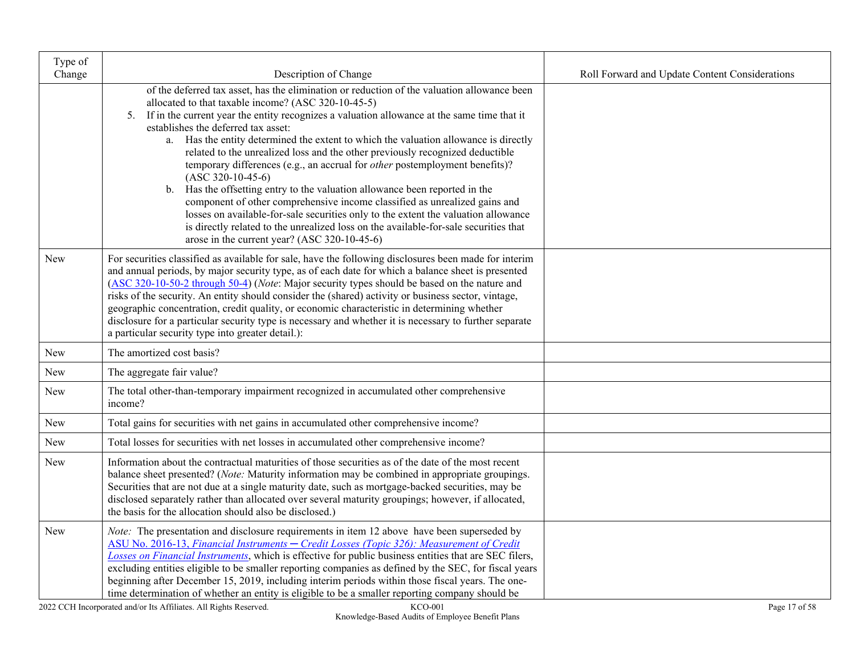| Type of<br>Change |                                                                                                                                                                                                                                                                                                                                                                                                                                                                                                                                                                                                                                                                                  |                                                |
|-------------------|----------------------------------------------------------------------------------------------------------------------------------------------------------------------------------------------------------------------------------------------------------------------------------------------------------------------------------------------------------------------------------------------------------------------------------------------------------------------------------------------------------------------------------------------------------------------------------------------------------------------------------------------------------------------------------|------------------------------------------------|
|                   | Description of Change<br>of the deferred tax asset, has the elimination or reduction of the valuation allowance been<br>allocated to that taxable income? (ASC 320-10-45-5)<br>5. If in the current year the entity recognizes a valuation allowance at the same time that it<br>establishes the deferred tax asset:<br>Has the entity determined the extent to which the valuation allowance is directly<br>a.                                                                                                                                                                                                                                                                  | Roll Forward and Update Content Considerations |
|                   | related to the unrealized loss and the other previously recognized deductible<br>temporary differences (e.g., an accrual for <i>other</i> postemployment benefits)?<br>$(ASC 320-10-45-6)$<br>Has the offsetting entry to the valuation allowance been reported in the<br>$\mathbf{b}$ .<br>component of other comprehensive income classified as unrealized gains and<br>losses on available-for-sale securities only to the extent the valuation allowance<br>is directly related to the unrealized loss on the available-for-sale securities that<br>arose in the current year? (ASC 320-10-45-6)                                                                             |                                                |
| <b>New</b>        | For securities classified as available for sale, have the following disclosures been made for interim<br>and annual periods, by major security type, as of each date for which a balance sheet is presented<br>(ASC 320-10-50-2 through 50-4) (Note: Major security types should be based on the nature and<br>risks of the security. An entity should consider the (shared) activity or business sector, vintage,<br>geographic concentration, credit quality, or economic characteristic in determining whether<br>disclosure for a particular security type is necessary and whether it is necessary to further separate<br>a particular security type into greater detail.): |                                                |
| New               | The amortized cost basis?                                                                                                                                                                                                                                                                                                                                                                                                                                                                                                                                                                                                                                                        |                                                |
| New               | The aggregate fair value?                                                                                                                                                                                                                                                                                                                                                                                                                                                                                                                                                                                                                                                        |                                                |
| New               | The total other-than-temporary impairment recognized in accumulated other comprehensive<br>income?                                                                                                                                                                                                                                                                                                                                                                                                                                                                                                                                                                               |                                                |
| <b>New</b>        | Total gains for securities with net gains in accumulated other comprehensive income?                                                                                                                                                                                                                                                                                                                                                                                                                                                                                                                                                                                             |                                                |
| New               | Total losses for securities with net losses in accumulated other comprehensive income?                                                                                                                                                                                                                                                                                                                                                                                                                                                                                                                                                                                           |                                                |
| <b>New</b>        | Information about the contractual maturities of those securities as of the date of the most recent<br>balance sheet presented? (Note: Maturity information may be combined in appropriate groupings.<br>Securities that are not due at a single maturity date, such as mortgage-backed securities, may be<br>disclosed separately rather than allocated over several maturity groupings; however, if allocated,<br>the basis for the allocation should also be disclosed.)                                                                                                                                                                                                       |                                                |
| <b>New</b>        | Note: The presentation and disclosure requirements in item 12 above have been superseded by<br>ASU No. 2016-13, Financial Instruments - Credit Losses (Topic 326): Measurement of Credit<br>Losses on Financial Instruments, which is effective for public business entities that are SEC filers,<br>excluding entities eligible to be smaller reporting companies as defined by the SEC, for fiscal years<br>beginning after December 15, 2019, including interim periods within those fiscal years. The one-<br>time determination of whether an entity is eligible to be a smaller reporting company should be                                                                |                                                |

2022 CCH Incorporated and/or Its Affiliates. All Rights Reserved. KCO-001 Page 17 of 58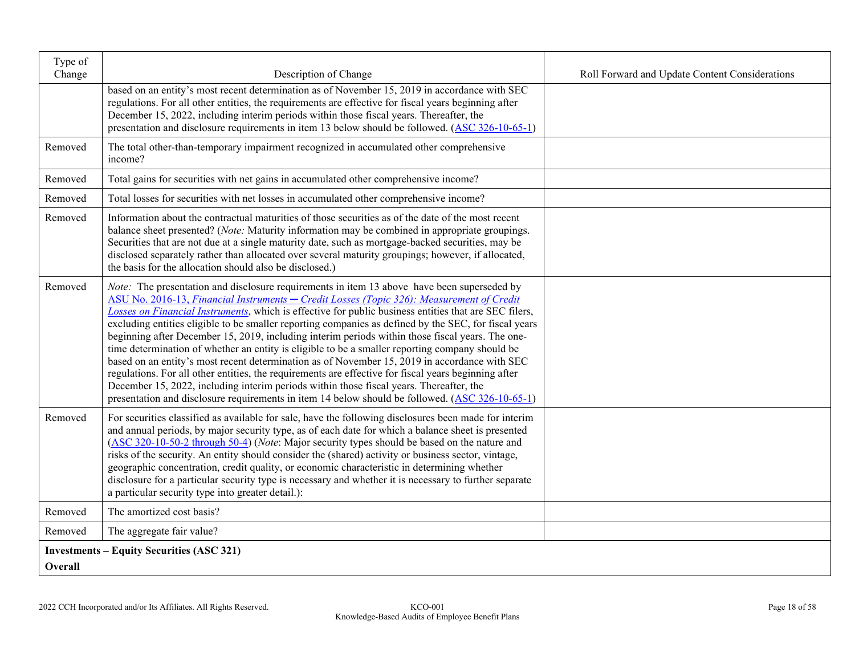| Type of<br>Change | Description of Change                                                                                                                                                                                                                                                                                                                                                                                                                                                                                                                                                                                                                                                                                                                                                                                                                                                                                                                                                                                                           | Roll Forward and Update Content Considerations |
|-------------------|---------------------------------------------------------------------------------------------------------------------------------------------------------------------------------------------------------------------------------------------------------------------------------------------------------------------------------------------------------------------------------------------------------------------------------------------------------------------------------------------------------------------------------------------------------------------------------------------------------------------------------------------------------------------------------------------------------------------------------------------------------------------------------------------------------------------------------------------------------------------------------------------------------------------------------------------------------------------------------------------------------------------------------|------------------------------------------------|
|                   | based on an entity's most recent determination as of November 15, 2019 in accordance with SEC<br>regulations. For all other entities, the requirements are effective for fiscal years beginning after<br>December 15, 2022, including interim periods within those fiscal years. Thereafter, the<br>presentation and disclosure requirements in item 13 below should be followed. (ASC 326-10-65-1)                                                                                                                                                                                                                                                                                                                                                                                                                                                                                                                                                                                                                             |                                                |
| Removed           | The total other-than-temporary impairment recognized in accumulated other comprehensive<br>income?                                                                                                                                                                                                                                                                                                                                                                                                                                                                                                                                                                                                                                                                                                                                                                                                                                                                                                                              |                                                |
| Removed           | Total gains for securities with net gains in accumulated other comprehensive income?                                                                                                                                                                                                                                                                                                                                                                                                                                                                                                                                                                                                                                                                                                                                                                                                                                                                                                                                            |                                                |
| Removed           | Total losses for securities with net losses in accumulated other comprehensive income?                                                                                                                                                                                                                                                                                                                                                                                                                                                                                                                                                                                                                                                                                                                                                                                                                                                                                                                                          |                                                |
| Removed           | Information about the contractual maturities of those securities as of the date of the most recent<br>balance sheet presented? (Note: Maturity information may be combined in appropriate groupings.<br>Securities that are not due at a single maturity date, such as mortgage-backed securities, may be<br>disclosed separately rather than allocated over several maturity groupings; however, if allocated,<br>the basis for the allocation should also be disclosed.)                                                                                                                                                                                                                                                                                                                                                                                                                                                                                                                                                      |                                                |
| Removed           | <i>Note:</i> The presentation and disclosure requirements in item 13 above have been superseded by<br>ASU No. 2016-13, Financial Instruments - Credit Losses (Topic 326): Measurement of Credit<br>Losses on Financial Instruments, which is effective for public business entities that are SEC filers,<br>excluding entities eligible to be smaller reporting companies as defined by the SEC, for fiscal years<br>beginning after December 15, 2019, including interim periods within those fiscal years. The one-<br>time determination of whether an entity is eligible to be a smaller reporting company should be<br>based on an entity's most recent determination as of November 15, 2019 in accordance with SEC<br>regulations. For all other entities, the requirements are effective for fiscal years beginning after<br>December 15, 2022, including interim periods within those fiscal years. Thereafter, the<br>presentation and disclosure requirements in item 14 below should be followed. (ASC 326-10-65-1) |                                                |
| Removed           | For securities classified as available for sale, have the following disclosures been made for interim<br>and annual periods, by major security type, as of each date for which a balance sheet is presented<br>(ASC 320-10-50-2 through 50-4) (Note: Major security types should be based on the nature and<br>risks of the security. An entity should consider the (shared) activity or business sector, vintage,<br>geographic concentration, credit quality, or economic characteristic in determining whether<br>disclosure for a particular security type is necessary and whether it is necessary to further separate<br>a particular security type into greater detail.):                                                                                                                                                                                                                                                                                                                                                |                                                |
| Removed           | The amortized cost basis?                                                                                                                                                                                                                                                                                                                                                                                                                                                                                                                                                                                                                                                                                                                                                                                                                                                                                                                                                                                                       |                                                |
| Removed           | The aggregate fair value?                                                                                                                                                                                                                                                                                                                                                                                                                                                                                                                                                                                                                                                                                                                                                                                                                                                                                                                                                                                                       |                                                |
| Overall           | <b>Investments – Equity Securities (ASC 321)</b>                                                                                                                                                                                                                                                                                                                                                                                                                                                                                                                                                                                                                                                                                                                                                                                                                                                                                                                                                                                |                                                |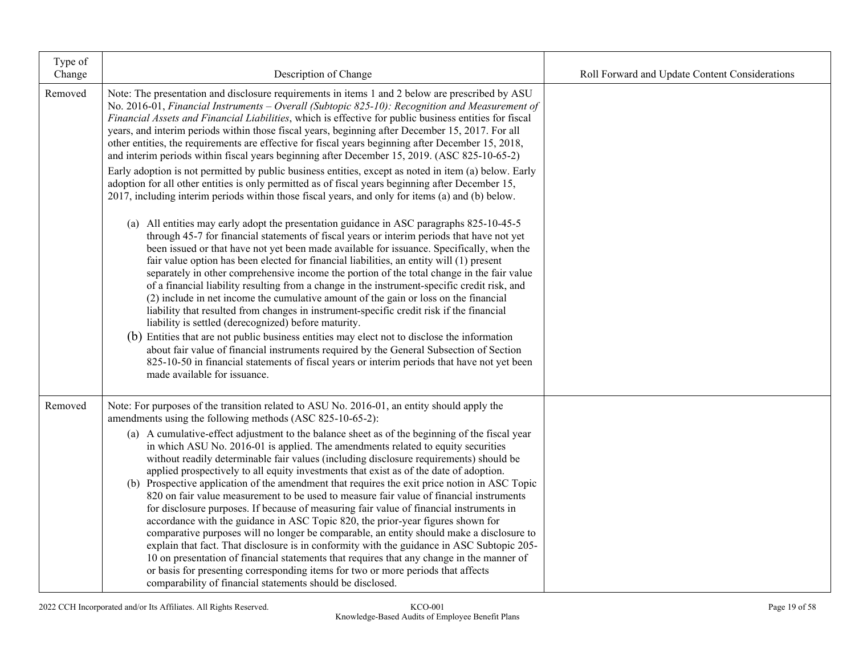| Type of<br>Change | Description of Change                                                                                                                                                                                                                                                                                                                                                                                                                                                                                                                                                                                                                                                                                                                                                                                                                                                                                                                                                                                                                                                                                                                                                                     | Roll Forward and Update Content Considerations |
|-------------------|-------------------------------------------------------------------------------------------------------------------------------------------------------------------------------------------------------------------------------------------------------------------------------------------------------------------------------------------------------------------------------------------------------------------------------------------------------------------------------------------------------------------------------------------------------------------------------------------------------------------------------------------------------------------------------------------------------------------------------------------------------------------------------------------------------------------------------------------------------------------------------------------------------------------------------------------------------------------------------------------------------------------------------------------------------------------------------------------------------------------------------------------------------------------------------------------|------------------------------------------------|
| Removed           | Note: The presentation and disclosure requirements in items 1 and 2 below are prescribed by ASU<br>No. 2016-01, Financial Instruments - Overall (Subtopic 825-10): Recognition and Measurement of<br>Financial Assets and Financial Liabilities, which is effective for public business entities for fiscal<br>years, and interim periods within those fiscal years, beginning after December 15, 2017. For all<br>other entities, the requirements are effective for fiscal years beginning after December 15, 2018,<br>and interim periods within fiscal years beginning after December 15, 2019. (ASC 825-10-65-2)                                                                                                                                                                                                                                                                                                                                                                                                                                                                                                                                                                     |                                                |
|                   | Early adoption is not permitted by public business entities, except as noted in item (a) below. Early<br>adoption for all other entities is only permitted as of fiscal years beginning after December 15,<br>2017, including interim periods within those fiscal years, and only for items (a) and (b) below.                                                                                                                                                                                                                                                                                                                                                                                                                                                                                                                                                                                                                                                                                                                                                                                                                                                                            |                                                |
|                   | (a) All entities may early adopt the presentation guidance in ASC paragraphs 825-10-45-5<br>through 45-7 for financial statements of fiscal years or interim periods that have not yet<br>been issued or that have not yet been made available for issuance. Specifically, when the<br>fair value option has been elected for financial liabilities, an entity will (1) present<br>separately in other comprehensive income the portion of the total change in the fair value<br>of a financial liability resulting from a change in the instrument-specific credit risk, and<br>(2) include in net income the cumulative amount of the gain or loss on the financial<br>liability that resulted from changes in instrument-specific credit risk if the financial<br>liability is settled (derecognized) before maturity.<br>(b) Entities that are not public business entities may elect not to disclose the information<br>about fair value of financial instruments required by the General Subsection of Section<br>825-10-50 in financial statements of fiscal years or interim periods that have not yet been<br>made available for issuance.                                       |                                                |
| Removed           | Note: For purposes of the transition related to ASU No. 2016-01, an entity should apply the<br>amendments using the following methods (ASC 825-10-65-2):                                                                                                                                                                                                                                                                                                                                                                                                                                                                                                                                                                                                                                                                                                                                                                                                                                                                                                                                                                                                                                  |                                                |
|                   | (a) A cumulative-effect adjustment to the balance sheet as of the beginning of the fiscal year<br>in which ASU No. 2016-01 is applied. The amendments related to equity securities<br>without readily determinable fair values (including disclosure requirements) should be<br>applied prospectively to all equity investments that exist as of the date of adoption.<br>(b) Prospective application of the amendment that requires the exit price notion in ASC Topic<br>820 on fair value measurement to be used to measure fair value of financial instruments<br>for disclosure purposes. If because of measuring fair value of financial instruments in<br>accordance with the guidance in ASC Topic 820, the prior-year figures shown for<br>comparative purposes will no longer be comparable, an entity should make a disclosure to<br>explain that fact. That disclosure is in conformity with the guidance in ASC Subtopic 205-<br>10 on presentation of financial statements that requires that any change in the manner of<br>or basis for presenting corresponding items for two or more periods that affects<br>comparability of financial statements should be disclosed. |                                                |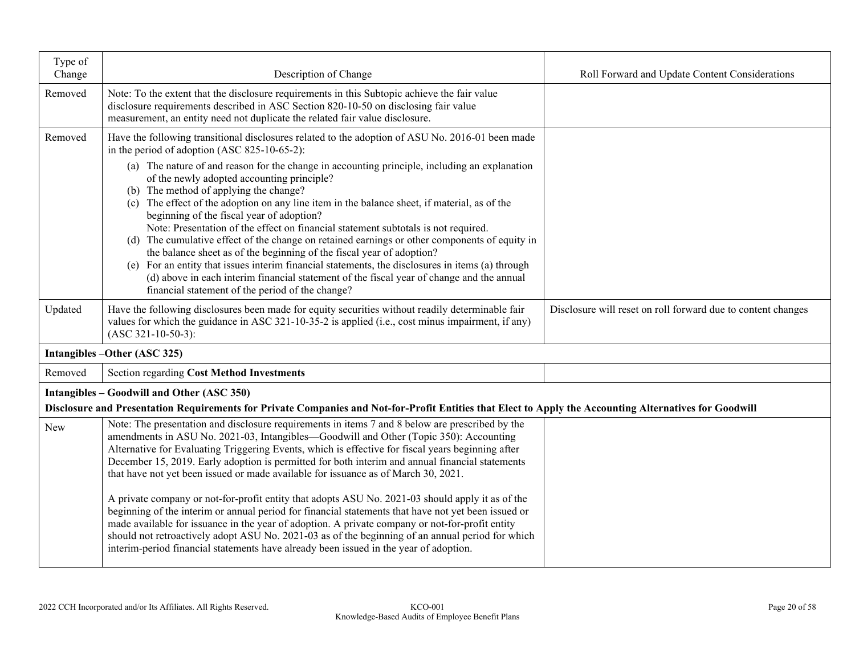| Type of<br>Change | Description of Change                                                                                                                                                                                                                                                                                                                                                                                                                                                                                                                                                                                                                                                                                                                                                                                                                                      | Roll Forward and Update Content Considerations               |
|-------------------|------------------------------------------------------------------------------------------------------------------------------------------------------------------------------------------------------------------------------------------------------------------------------------------------------------------------------------------------------------------------------------------------------------------------------------------------------------------------------------------------------------------------------------------------------------------------------------------------------------------------------------------------------------------------------------------------------------------------------------------------------------------------------------------------------------------------------------------------------------|--------------------------------------------------------------|
| Removed           | Note: To the extent that the disclosure requirements in this Subtopic achieve the fair value<br>disclosure requirements described in ASC Section 820-10-50 on disclosing fair value<br>measurement, an entity need not duplicate the related fair value disclosure.                                                                                                                                                                                                                                                                                                                                                                                                                                                                                                                                                                                        |                                                              |
| Removed           | Have the following transitional disclosures related to the adoption of ASU No. 2016-01 been made<br>in the period of adoption (ASC 825-10-65-2):<br>(a) The nature of and reason for the change in accounting principle, including an explanation<br>of the newly adopted accounting principle?<br>(b) The method of applying the change?<br>(c) The effect of the adoption on any line item in the balance sheet, if material, as of the<br>beginning of the fiscal year of adoption?<br>Note: Presentation of the effect on financial statement subtotals is not required.<br>(d) The cumulative effect of the change on retained earnings or other components of equity in<br>the balance sheet as of the beginning of the fiscal year of adoption?<br>(e) For an entity that issues interim financial statements, the disclosures in items (a) through |                                                              |
|                   | (d) above in each interim financial statement of the fiscal year of change and the annual<br>financial statement of the period of the change?                                                                                                                                                                                                                                                                                                                                                                                                                                                                                                                                                                                                                                                                                                              |                                                              |
| Updated           | Have the following disclosures been made for equity securities without readily determinable fair<br>values for which the guidance in ASC 321-10-35-2 is applied (i.e., cost minus impairment, if any)<br>$(ASC 321-10-50-3):$                                                                                                                                                                                                                                                                                                                                                                                                                                                                                                                                                                                                                              | Disclosure will reset on roll forward due to content changes |
|                   | Intangibles - Other (ASC 325)                                                                                                                                                                                                                                                                                                                                                                                                                                                                                                                                                                                                                                                                                                                                                                                                                              |                                                              |
| Removed           | <b>Section regarding Cost Method Investments</b>                                                                                                                                                                                                                                                                                                                                                                                                                                                                                                                                                                                                                                                                                                                                                                                                           |                                                              |
|                   | Intangibles - Goodwill and Other (ASC 350)                                                                                                                                                                                                                                                                                                                                                                                                                                                                                                                                                                                                                                                                                                                                                                                                                 |                                                              |
|                   | Disclosure and Presentation Requirements for Private Companies and Not-for-Profit Entities that Elect to Apply the Accounting Alternatives for Goodwill                                                                                                                                                                                                                                                                                                                                                                                                                                                                                                                                                                                                                                                                                                    |                                                              |
| New               | Note: The presentation and disclosure requirements in items 7 and 8 below are prescribed by the<br>amendments in ASU No. 2021-03, Intangibles—Goodwill and Other (Topic 350): Accounting<br>Alternative for Evaluating Triggering Events, which is effective for fiscal years beginning after<br>December 15, 2019. Early adoption is permitted for both interim and annual financial statements<br>that have not yet been issued or made available for issuance as of March 30, 2021.                                                                                                                                                                                                                                                                                                                                                                     |                                                              |
|                   | A private company or not-for-profit entity that adopts ASU No. 2021-03 should apply it as of the<br>beginning of the interim or annual period for financial statements that have not yet been issued or<br>made available for issuance in the year of adoption. A private company or not-for-profit entity<br>should not retroactively adopt ASU No. 2021-03 as of the beginning of an annual period for which<br>interim-period financial statements have already been issued in the year of adoption.                                                                                                                                                                                                                                                                                                                                                    |                                                              |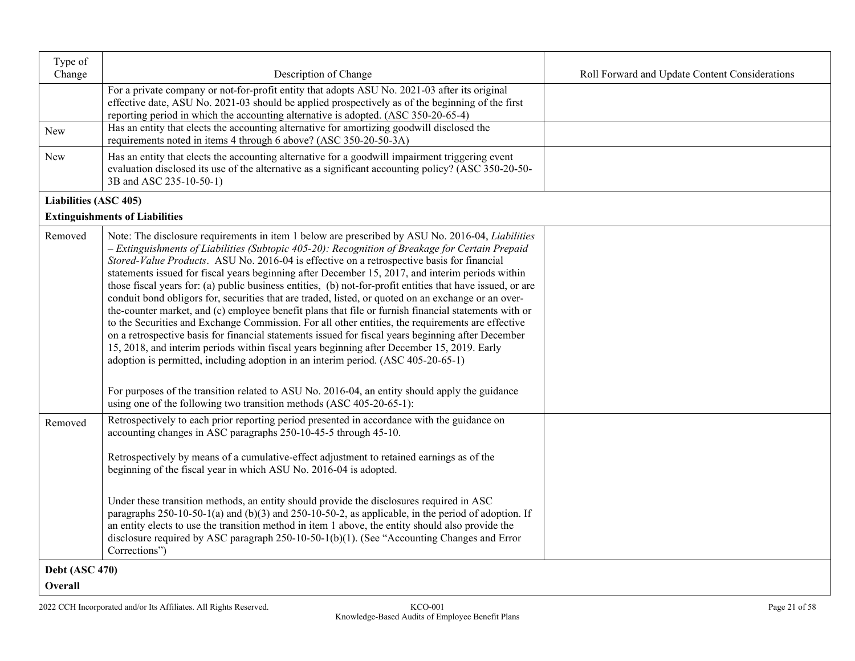| Type of                      |                                                                                                                                                                                                                                                                                                                                                                                                                                                                                                                                                                                                                                                                                                                                                                                                                                                                                                                                                                                                                                                                                                                                                                                                                                                                                                                   |                                                |
|------------------------------|-------------------------------------------------------------------------------------------------------------------------------------------------------------------------------------------------------------------------------------------------------------------------------------------------------------------------------------------------------------------------------------------------------------------------------------------------------------------------------------------------------------------------------------------------------------------------------------------------------------------------------------------------------------------------------------------------------------------------------------------------------------------------------------------------------------------------------------------------------------------------------------------------------------------------------------------------------------------------------------------------------------------------------------------------------------------------------------------------------------------------------------------------------------------------------------------------------------------------------------------------------------------------------------------------------------------|------------------------------------------------|
| Change                       | Description of Change                                                                                                                                                                                                                                                                                                                                                                                                                                                                                                                                                                                                                                                                                                                                                                                                                                                                                                                                                                                                                                                                                                                                                                                                                                                                                             | Roll Forward and Update Content Considerations |
|                              | For a private company or not-for-profit entity that adopts ASU No. 2021-03 after its original<br>effective date, ASU No. 2021-03 should be applied prospectively as of the beginning of the first<br>reporting period in which the accounting alternative is adopted. (ASC 350-20-65-4)                                                                                                                                                                                                                                                                                                                                                                                                                                                                                                                                                                                                                                                                                                                                                                                                                                                                                                                                                                                                                           |                                                |
| <b>New</b>                   | Has an entity that elects the accounting alternative for amortizing goodwill disclosed the<br>requirements noted in items 4 through 6 above? (ASC 350-20-50-3A)                                                                                                                                                                                                                                                                                                                                                                                                                                                                                                                                                                                                                                                                                                                                                                                                                                                                                                                                                                                                                                                                                                                                                   |                                                |
| <b>New</b>                   | Has an entity that elects the accounting alternative for a goodwill impairment triggering event<br>evaluation disclosed its use of the alternative as a significant accounting policy? (ASC 350-20-50-<br>3B and ASC 235-10-50-1)                                                                                                                                                                                                                                                                                                                                                                                                                                                                                                                                                                                                                                                                                                                                                                                                                                                                                                                                                                                                                                                                                 |                                                |
| <b>Liabilities (ASC 405)</b> |                                                                                                                                                                                                                                                                                                                                                                                                                                                                                                                                                                                                                                                                                                                                                                                                                                                                                                                                                                                                                                                                                                                                                                                                                                                                                                                   |                                                |
|                              | <b>Extinguishments of Liabilities</b>                                                                                                                                                                                                                                                                                                                                                                                                                                                                                                                                                                                                                                                                                                                                                                                                                                                                                                                                                                                                                                                                                                                                                                                                                                                                             |                                                |
| Removed                      | Note: The disclosure requirements in item 1 below are prescribed by ASU No. 2016-04, <i>Liabilities</i><br>- Extinguishments of Liabilities (Subtopic 405-20): Recognition of Breakage for Certain Prepaid<br>Stored-Value Products. ASU No. 2016-04 is effective on a retrospective basis for financial<br>statements issued for fiscal years beginning after December 15, 2017, and interim periods within<br>those fiscal years for: (a) public business entities, (b) not-for-profit entities that have issued, or are<br>conduit bond obligors for, securities that are traded, listed, or quoted on an exchange or an over-<br>the-counter market, and (c) employee benefit plans that file or furnish financial statements with or<br>to the Securities and Exchange Commission. For all other entities, the requirements are effective<br>on a retrospective basis for financial statements issued for fiscal years beginning after December<br>15, 2018, and interim periods within fiscal years beginning after December 15, 2019. Early<br>adoption is permitted, including adoption in an interim period. (ASC 405-20-65-1)<br>For purposes of the transition related to ASU No. 2016-04, an entity should apply the guidance<br>using one of the following two transition methods (ASC 405-20-65-1): |                                                |
| Removed                      | Retrospectively to each prior reporting period presented in accordance with the guidance on<br>accounting changes in ASC paragraphs 250-10-45-5 through 45-10.                                                                                                                                                                                                                                                                                                                                                                                                                                                                                                                                                                                                                                                                                                                                                                                                                                                                                                                                                                                                                                                                                                                                                    |                                                |
|                              | Retrospectively by means of a cumulative-effect adjustment to retained earnings as of the<br>beginning of the fiscal year in which ASU No. 2016-04 is adopted.                                                                                                                                                                                                                                                                                                                                                                                                                                                                                                                                                                                                                                                                                                                                                                                                                                                                                                                                                                                                                                                                                                                                                    |                                                |
|                              | Under these transition methods, an entity should provide the disclosures required in ASC<br>paragraphs $250-10-50-1$ (a) and $(b)(3)$ and $250-10-50-2$ , as applicable, in the period of adoption. If<br>an entity elects to use the transition method in item 1 above, the entity should also provide the<br>disclosure required by ASC paragraph 250-10-50-1(b)(1). (See "Accounting Changes and Error<br>Corrections")                                                                                                                                                                                                                                                                                                                                                                                                                                                                                                                                                                                                                                                                                                                                                                                                                                                                                        |                                                |
| <b>Debt (ASC 470)</b>        |                                                                                                                                                                                                                                                                                                                                                                                                                                                                                                                                                                                                                                                                                                                                                                                                                                                                                                                                                                                                                                                                                                                                                                                                                                                                                                                   |                                                |
| <b>Overall</b>               |                                                                                                                                                                                                                                                                                                                                                                                                                                                                                                                                                                                                                                                                                                                                                                                                                                                                                                                                                                                                                                                                                                                                                                                                                                                                                                                   |                                                |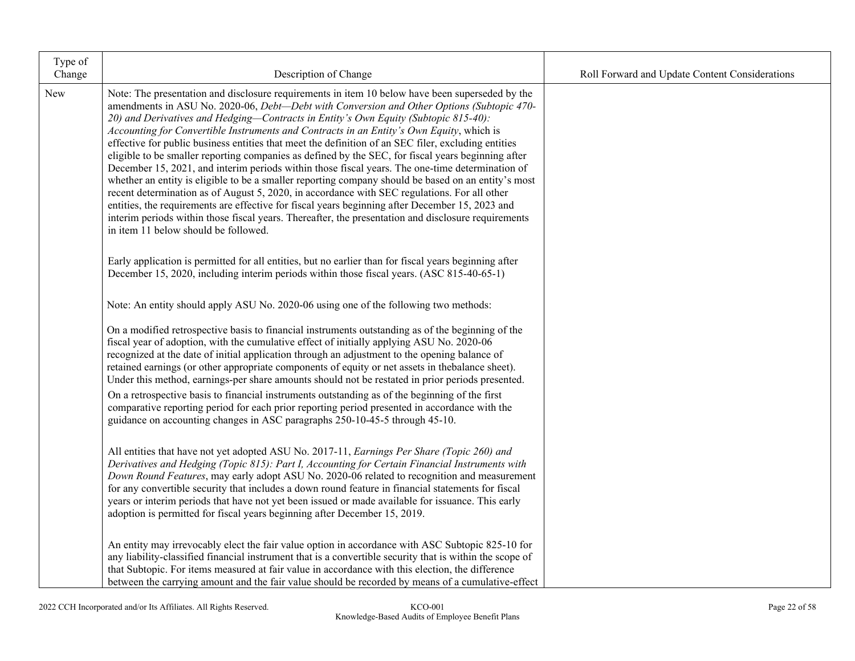| Type of<br>Change                                                         | Description of Change                                                                                                                                                                                                                                                                                                                                                                                                                                                                                                                                                                                                                                                                                                                                                                                                                                                                                                                                                                                                                                                                                                                                    | Roll Forward and Update Content Considerations |
|---------------------------------------------------------------------------|----------------------------------------------------------------------------------------------------------------------------------------------------------------------------------------------------------------------------------------------------------------------------------------------------------------------------------------------------------------------------------------------------------------------------------------------------------------------------------------------------------------------------------------------------------------------------------------------------------------------------------------------------------------------------------------------------------------------------------------------------------------------------------------------------------------------------------------------------------------------------------------------------------------------------------------------------------------------------------------------------------------------------------------------------------------------------------------------------------------------------------------------------------|------------------------------------------------|
| New                                                                       | Note: The presentation and disclosure requirements in item 10 below have been superseded by the<br>amendments in ASU No. 2020-06, Debt-Debt with Conversion and Other Options (Subtopic 470-<br>20) and Derivatives and Hedging-Contracts in Entity's Own Equity (Subtopic 815-40):<br>Accounting for Convertible Instruments and Contracts in an Entity's Own Equity, which is<br>effective for public business entities that meet the definition of an SEC filer, excluding entities<br>eligible to be smaller reporting companies as defined by the SEC, for fiscal years beginning after<br>December 15, 2021, and interim periods within those fiscal years. The one-time determination of<br>whether an entity is eligible to be a smaller reporting company should be based on an entity's most<br>recent determination as of August 5, 2020, in accordance with SEC regulations. For all other<br>entities, the requirements are effective for fiscal years beginning after December 15, 2023 and<br>interim periods within those fiscal years. Thereafter, the presentation and disclosure requirements<br>in item 11 below should be followed. |                                                |
|                                                                           | Early application is permitted for all entities, but no earlier than for fiscal years beginning after<br>December 15, 2020, including interim periods within those fiscal years. (ASC 815-40-65-1)                                                                                                                                                                                                                                                                                                                                                                                                                                                                                                                                                                                                                                                                                                                                                                                                                                                                                                                                                       |                                                |
|                                                                           | Note: An entity should apply ASU No. 2020-06 using one of the following two methods:                                                                                                                                                                                                                                                                                                                                                                                                                                                                                                                                                                                                                                                                                                                                                                                                                                                                                                                                                                                                                                                                     |                                                |
|                                                                           | On a modified retrospective basis to financial instruments outstanding as of the beginning of the<br>fiscal year of adoption, with the cumulative effect of initially applying ASU No. 2020-06<br>recognized at the date of initial application through an adjustment to the opening balance of<br>retained earnings (or other appropriate components of equity or net assets in thebalance sheet).<br>Under this method, earnings-per share amounts should not be restated in prior periods presented.<br>On a retrospective basis to financial instruments outstanding as of the beginning of the first<br>comparative reporting period for each prior reporting period presented in accordance with the<br>guidance on accounting changes in ASC paragraphs 250-10-45-5 through 45-10.                                                                                                                                                                                                                                                                                                                                                                |                                                |
| adoption is permitted for fiscal years beginning after December 15, 2019. | All entities that have not yet adopted ASU No. 2017-11, Earnings Per Share (Topic 260) and<br>Derivatives and Hedging (Topic 815): Part I, Accounting for Certain Financial Instruments with<br>Down Round Features, may early adopt ASU No. 2020-06 related to recognition and measurement<br>for any convertible security that includes a down round feature in financial statements for fiscal<br>years or interim periods that have not yet been issued or made available for issuance. This early                                                                                                                                                                                                                                                                                                                                                                                                                                                                                                                                                                                                                                                   |                                                |
|                                                                           | An entity may irrevocably elect the fair value option in accordance with ASC Subtopic 825-10 for<br>any liability-classified financial instrument that is a convertible security that is within the scope of<br>that Subtopic. For items measured at fair value in accordance with this election, the difference<br>between the carrying amount and the fair value should be recorded by means of a cumulative-effect                                                                                                                                                                                                                                                                                                                                                                                                                                                                                                                                                                                                                                                                                                                                    |                                                |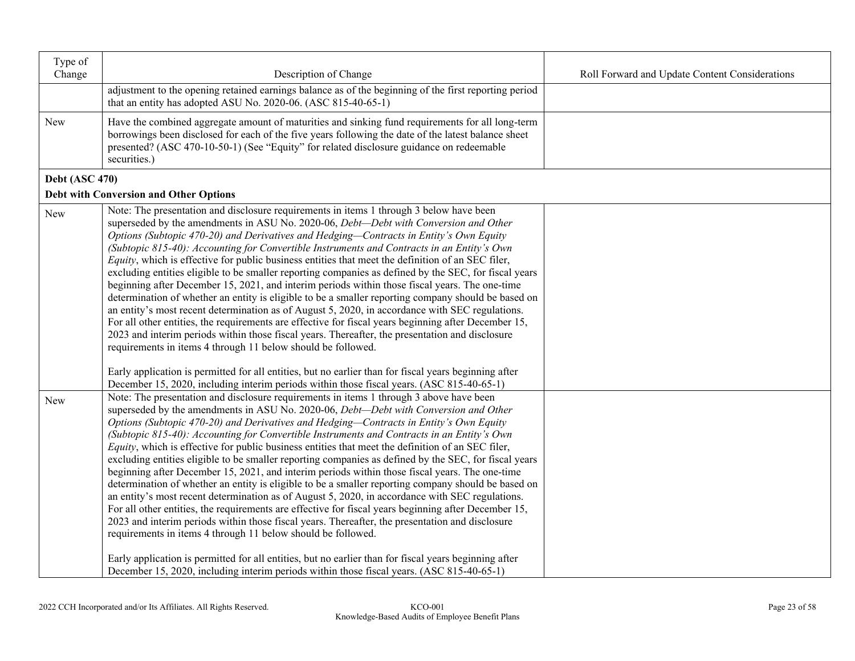| Type of<br>Change     | Description of Change                                                                                                                                                                                                                                                                                                                                                                                                                                                                                                                                                                                                                                                                                                                                                                                                                                                                                                                                                                                                                                                                                                                                                                                                                                                                 | Roll Forward and Update Content Considerations |
|-----------------------|---------------------------------------------------------------------------------------------------------------------------------------------------------------------------------------------------------------------------------------------------------------------------------------------------------------------------------------------------------------------------------------------------------------------------------------------------------------------------------------------------------------------------------------------------------------------------------------------------------------------------------------------------------------------------------------------------------------------------------------------------------------------------------------------------------------------------------------------------------------------------------------------------------------------------------------------------------------------------------------------------------------------------------------------------------------------------------------------------------------------------------------------------------------------------------------------------------------------------------------------------------------------------------------|------------------------------------------------|
|                       | adjustment to the opening retained earnings balance as of the beginning of the first reporting period<br>that an entity has adopted ASU No. 2020-06. (ASC 815-40-65-1)                                                                                                                                                                                                                                                                                                                                                                                                                                                                                                                                                                                                                                                                                                                                                                                                                                                                                                                                                                                                                                                                                                                |                                                |
| New                   | Have the combined aggregate amount of maturities and sinking fund requirements for all long-term<br>borrowings been disclosed for each of the five years following the date of the latest balance sheet<br>presented? (ASC 470-10-50-1) (See "Equity" for related disclosure guidance on redeemable<br>securities.)                                                                                                                                                                                                                                                                                                                                                                                                                                                                                                                                                                                                                                                                                                                                                                                                                                                                                                                                                                   |                                                |
| <b>Debt (ASC 470)</b> |                                                                                                                                                                                                                                                                                                                                                                                                                                                                                                                                                                                                                                                                                                                                                                                                                                                                                                                                                                                                                                                                                                                                                                                                                                                                                       |                                                |
|                       | Debt with Conversion and Other Options                                                                                                                                                                                                                                                                                                                                                                                                                                                                                                                                                                                                                                                                                                                                                                                                                                                                                                                                                                                                                                                                                                                                                                                                                                                |                                                |
| New                   | Note: The presentation and disclosure requirements in items 1 through 3 below have been<br>superseded by the amendments in ASU No. 2020-06, <i>Debt-Debt with Conversion and Other</i><br>Options (Subtopic 470-20) and Derivatives and Hedging-Contracts in Entity's Own Equity<br>(Subtopic 815-40): Accounting for Convertible Instruments and Contracts in an Entity's Own<br>Equity, which is effective for public business entities that meet the definition of an SEC filer,<br>excluding entities eligible to be smaller reporting companies as defined by the SEC, for fiscal years<br>beginning after December 15, 2021, and interim periods within those fiscal years. The one-time<br>determination of whether an entity is eligible to be a smaller reporting company should be based on<br>an entity's most recent determination as of August 5, 2020, in accordance with SEC regulations.<br>For all other entities, the requirements are effective for fiscal years beginning after December 15,<br>2023 and interim periods within those fiscal years. Thereafter, the presentation and disclosure<br>requirements in items 4 through 11 below should be followed.                                                                                                   |                                                |
|                       | Early application is permitted for all entities, but no earlier than for fiscal years beginning after<br>December 15, 2020, including interim periods within those fiscal years. (ASC 815-40-65-1)                                                                                                                                                                                                                                                                                                                                                                                                                                                                                                                                                                                                                                                                                                                                                                                                                                                                                                                                                                                                                                                                                    |                                                |
| New                   | Note: The presentation and disclosure requirements in items 1 through 3 above have been<br>superseded by the amendments in ASU No. 2020-06, Debt-Debt with Conversion and Other<br>Options (Subtopic 470-20) and Derivatives and Hedging-Contracts in Entity's Own Equity<br>(Subtopic 815-40): Accounting for Convertible Instruments and Contracts in an Entity's Own<br>Equity, which is effective for public business entities that meet the definition of an SEC filer,<br>excluding entities eligible to be smaller reporting companies as defined by the SEC, for fiscal years<br>beginning after December 15, 2021, and interim periods within those fiscal years. The one-time<br>determination of whether an entity is eligible to be a smaller reporting company should be based on<br>an entity's most recent determination as of August 5, 2020, in accordance with SEC regulations.<br>For all other entities, the requirements are effective for fiscal years beginning after December 15,<br>2023 and interim periods within those fiscal years. Thereafter, the presentation and disclosure<br>requirements in items 4 through 11 below should be followed.<br>Early application is permitted for all entities, but no earlier than for fiscal years beginning after |                                                |
|                       | December 15, 2020, including interim periods within those fiscal years. (ASC 815-40-65-1)                                                                                                                                                                                                                                                                                                                                                                                                                                                                                                                                                                                                                                                                                                                                                                                                                                                                                                                                                                                                                                                                                                                                                                                             |                                                |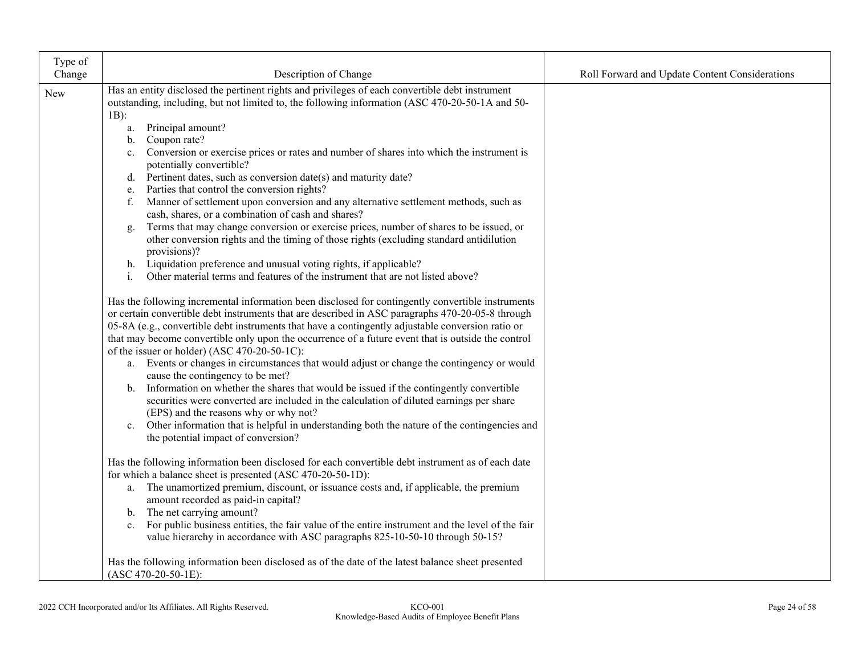| Type of<br>Change                                                                                                                                                                                                                                                                     | Description of Change                                                                                                                                                                              | Roll Forward and Update Content Considerations |
|---------------------------------------------------------------------------------------------------------------------------------------------------------------------------------------------------------------------------------------------------------------------------------------|----------------------------------------------------------------------------------------------------------------------------------------------------------------------------------------------------|------------------------------------------------|
|                                                                                                                                                                                                                                                                                       |                                                                                                                                                                                                    |                                                |
| New                                                                                                                                                                                                                                                                                   | Has an entity disclosed the pertinent rights and privileges of each convertible debt instrument<br>outstanding, including, but not limited to, the following information (ASC 470-20-50-1A and 50- |                                                |
|                                                                                                                                                                                                                                                                                       | $1B)$ :                                                                                                                                                                                            |                                                |
|                                                                                                                                                                                                                                                                                       | Principal amount?<br>a.                                                                                                                                                                            |                                                |
|                                                                                                                                                                                                                                                                                       | Coupon rate?<br>b.                                                                                                                                                                                 |                                                |
|                                                                                                                                                                                                                                                                                       | Conversion or exercise prices or rates and number of shares into which the instrument is<br>$\mathbf{c}$ .                                                                                         |                                                |
|                                                                                                                                                                                                                                                                                       | potentially convertible?                                                                                                                                                                           |                                                |
|                                                                                                                                                                                                                                                                                       | Pertinent dates, such as conversion date(s) and maturity date?<br>d.                                                                                                                               |                                                |
|                                                                                                                                                                                                                                                                                       | Parties that control the conversion rights?<br>e.                                                                                                                                                  |                                                |
|                                                                                                                                                                                                                                                                                       | Manner of settlement upon conversion and any alternative settlement methods, such as<br>f.                                                                                                         |                                                |
|                                                                                                                                                                                                                                                                                       | cash, shares, or a combination of cash and shares?                                                                                                                                                 |                                                |
|                                                                                                                                                                                                                                                                                       | Terms that may change conversion or exercise prices, number of shares to be issued, or<br>g.                                                                                                       |                                                |
|                                                                                                                                                                                                                                                                                       | other conversion rights and the timing of those rights (excluding standard antidilution                                                                                                            |                                                |
|                                                                                                                                                                                                                                                                                       | provisions)?<br>Liquidation preference and unusual voting rights, if applicable?<br>h.                                                                                                             |                                                |
|                                                                                                                                                                                                                                                                                       | Other material terms and features of the instrument that are not listed above?<br>$\mathbf{i}$ .                                                                                                   |                                                |
|                                                                                                                                                                                                                                                                                       |                                                                                                                                                                                                    |                                                |
|                                                                                                                                                                                                                                                                                       | Has the following incremental information been disclosed for contingently convertible instruments                                                                                                  |                                                |
|                                                                                                                                                                                                                                                                                       | or certain convertible debt instruments that are described in ASC paragraphs 470-20-05-8 through                                                                                                   |                                                |
|                                                                                                                                                                                                                                                                                       | 05-8A (e.g., convertible debt instruments that have a contingently adjustable conversion ratio or                                                                                                  |                                                |
|                                                                                                                                                                                                                                                                                       | that may become convertible only upon the occurrence of a future event that is outside the control                                                                                                 |                                                |
|                                                                                                                                                                                                                                                                                       | of the issuer or holder) (ASC 470-20-50-1C):                                                                                                                                                       |                                                |
|                                                                                                                                                                                                                                                                                       | a. Events or changes in circumstances that would adjust or change the contingency or would                                                                                                         |                                                |
|                                                                                                                                                                                                                                                                                       | cause the contingency to be met?                                                                                                                                                                   |                                                |
|                                                                                                                                                                                                                                                                                       | b. Information on whether the shares that would be issued if the contingently convertible<br>securities were converted are included in the calculation of diluted earnings per share               |                                                |
|                                                                                                                                                                                                                                                                                       | (EPS) and the reasons why or why not?                                                                                                                                                              |                                                |
|                                                                                                                                                                                                                                                                                       | c. Other information that is helpful in understanding both the nature of the contingencies and                                                                                                     |                                                |
|                                                                                                                                                                                                                                                                                       | the potential impact of conversion?                                                                                                                                                                |                                                |
|                                                                                                                                                                                                                                                                                       |                                                                                                                                                                                                    |                                                |
|                                                                                                                                                                                                                                                                                       | Has the following information been disclosed for each convertible debt instrument as of each date                                                                                                  |                                                |
|                                                                                                                                                                                                                                                                                       | for which a balance sheet is presented (ASC 470-20-50-1D):                                                                                                                                         |                                                |
|                                                                                                                                                                                                                                                                                       | a. The unamortized premium, discount, or issuance costs and, if applicable, the premium                                                                                                            |                                                |
| amount recorded as paid-in capital?<br>b. The net carrying amount?<br>For public business entities, the fair value of the entire instrument and the level of the fair<br>c.<br>value hierarchy in accordance with ASC paragraphs 825-10-50-10 through 50-15?<br>$(ASC 470-20-50-1E):$ |                                                                                                                                                                                                    |                                                |
|                                                                                                                                                                                                                                                                                       |                                                                                                                                                                                                    |                                                |
|                                                                                                                                                                                                                                                                                       |                                                                                                                                                                                                    |                                                |
|                                                                                                                                                                                                                                                                                       |                                                                                                                                                                                                    |                                                |
|                                                                                                                                                                                                                                                                                       | Has the following information been disclosed as of the date of the latest balance sheet presented                                                                                                  |                                                |
|                                                                                                                                                                                                                                                                                       |                                                                                                                                                                                                    |                                                |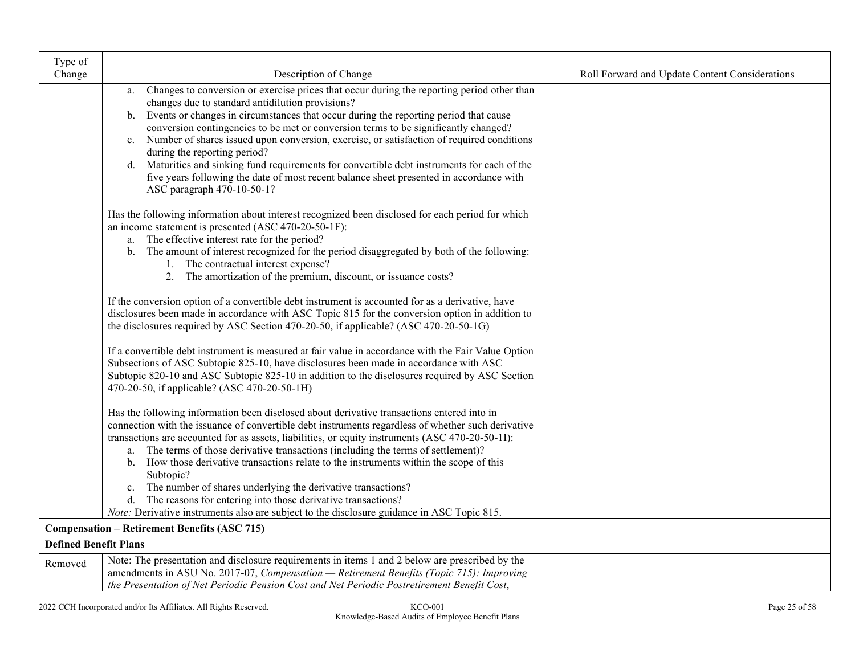| Type of                      |                                                                                                                                                                                                                                                                                                                                                                                                                                                                                                                                                                                                                                                                                                                                                                                                                                                                            |                                                |
|------------------------------|----------------------------------------------------------------------------------------------------------------------------------------------------------------------------------------------------------------------------------------------------------------------------------------------------------------------------------------------------------------------------------------------------------------------------------------------------------------------------------------------------------------------------------------------------------------------------------------------------------------------------------------------------------------------------------------------------------------------------------------------------------------------------------------------------------------------------------------------------------------------------|------------------------------------------------|
| Change                       | Description of Change                                                                                                                                                                                                                                                                                                                                                                                                                                                                                                                                                                                                                                                                                                                                                                                                                                                      | Roll Forward and Update Content Considerations |
|                              | Changes to conversion or exercise prices that occur during the reporting period other than<br>a.<br>changes due to standard antidilution provisions?<br>Events or changes in circumstances that occur during the reporting period that cause<br>b.<br>conversion contingencies to be met or conversion terms to be significantly changed?<br>Number of shares issued upon conversion, exercise, or satisfaction of required conditions<br>$c_{\cdot}$<br>during the reporting period?<br>d. Maturities and sinking fund requirements for convertible debt instruments for each of the<br>five years following the date of most recent balance sheet presented in accordance with<br>ASC paragraph 470-10-50-1?<br>Has the following information about interest recognized been disclosed for each period for which<br>an income statement is presented (ASC 470-20-50-1F): |                                                |
|                              | a. The effective interest rate for the period?<br>b. The amount of interest recognized for the period disaggregated by both of the following:<br>1. The contractual interest expense?<br>2. The amortization of the premium, discount, or issuance costs?                                                                                                                                                                                                                                                                                                                                                                                                                                                                                                                                                                                                                  |                                                |
|                              | If the conversion option of a convertible debt instrument is accounted for as a derivative, have<br>disclosures been made in accordance with ASC Topic 815 for the conversion option in addition to<br>the disclosures required by ASC Section 470-20-50, if applicable? (ASC 470-20-50-1G)                                                                                                                                                                                                                                                                                                                                                                                                                                                                                                                                                                                |                                                |
|                              | If a convertible debt instrument is measured at fair value in accordance with the Fair Value Option<br>Subsections of ASC Subtopic 825-10, have disclosures been made in accordance with ASC<br>Subtopic 820-10 and ASC Subtopic 825-10 in addition to the disclosures required by ASC Section<br>470-20-50, if applicable? (ASC 470-20-50-1H)                                                                                                                                                                                                                                                                                                                                                                                                                                                                                                                             |                                                |
|                              | Has the following information been disclosed about derivative transactions entered into in<br>connection with the issuance of convertible debt instruments regardless of whether such derivative<br>transactions are accounted for as assets, liabilities, or equity instruments (ASC 470-20-50-1I):<br>a. The terms of those derivative transactions (including the terms of settlement)?<br>How those derivative transactions relate to the instruments within the scope of this<br>b.<br>Subtopic?                                                                                                                                                                                                                                                                                                                                                                      |                                                |
|                              | The number of shares underlying the derivative transactions?<br>c.<br>The reasons for entering into those derivative transactions?<br>d.<br><i>Note:</i> Derivative instruments also are subject to the disclosure guidance in ASC Topic 815.                                                                                                                                                                                                                                                                                                                                                                                                                                                                                                                                                                                                                              |                                                |
|                              | <b>Compensation - Retirement Benefits (ASC 715)</b>                                                                                                                                                                                                                                                                                                                                                                                                                                                                                                                                                                                                                                                                                                                                                                                                                        |                                                |
| <b>Defined Benefit Plans</b> |                                                                                                                                                                                                                                                                                                                                                                                                                                                                                                                                                                                                                                                                                                                                                                                                                                                                            |                                                |
| Removed                      | Note: The presentation and disclosure requirements in items 1 and 2 below are prescribed by the<br>amendments in ASU No. 2017-07, Compensation - Retirement Benefits (Topic 715): Improving<br>the Presentation of Net Periodic Pension Cost and Net Periodic Postretirement Benefit Cost,                                                                                                                                                                                                                                                                                                                                                                                                                                                                                                                                                                                 |                                                |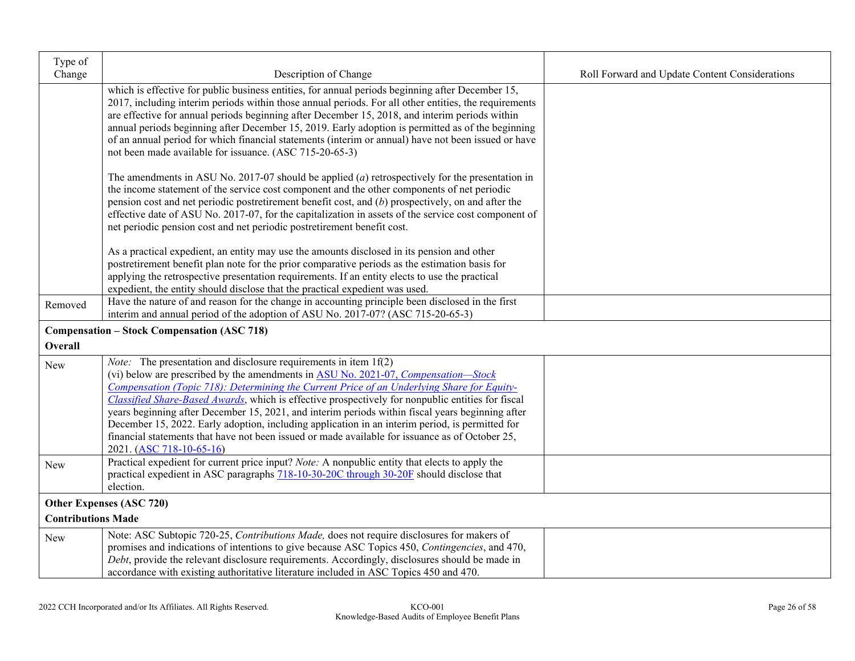| Type of                   |                                                                                                                                                                                                                                                                                                                                                                                                                                                                                                                                                                                                                                                                                                                         |                                                |
|---------------------------|-------------------------------------------------------------------------------------------------------------------------------------------------------------------------------------------------------------------------------------------------------------------------------------------------------------------------------------------------------------------------------------------------------------------------------------------------------------------------------------------------------------------------------------------------------------------------------------------------------------------------------------------------------------------------------------------------------------------------|------------------------------------------------|
| Change                    | Description of Change                                                                                                                                                                                                                                                                                                                                                                                                                                                                                                                                                                                                                                                                                                   | Roll Forward and Update Content Considerations |
|                           | which is effective for public business entities, for annual periods beginning after December 15,<br>2017, including interim periods within those annual periods. For all other entities, the requirements<br>are effective for annual periods beginning after December 15, 2018, and interim periods within<br>annual periods beginning after December 15, 2019. Early adoption is permitted as of the beginning<br>of an annual period for which financial statements (interim or annual) have not been issued or have<br>not been made available for issuance. (ASC 715-20-65-3)                                                                                                                                      |                                                |
|                           | The amendments in ASU No. 2017-07 should be applied $(a)$ retrospectively for the presentation in<br>the income statement of the service cost component and the other components of net periodic<br>pension cost and net periodic postretirement benefit cost, and (b) prospectively, on and after the<br>effective date of ASU No. 2017-07, for the capitalization in assets of the service cost component of<br>net periodic pension cost and net periodic postretirement benefit cost.                                                                                                                                                                                                                               |                                                |
|                           | As a practical expedient, an entity may use the amounts disclosed in its pension and other<br>postretirement benefit plan note for the prior comparative periods as the estimation basis for<br>applying the retrospective presentation requirements. If an entity elects to use the practical<br>expedient, the entity should disclose that the practical expedient was used.                                                                                                                                                                                                                                                                                                                                          |                                                |
| Removed                   | Have the nature of and reason for the change in accounting principle been disclosed in the first<br>interim and annual period of the adoption of ASU No. 2017-07? (ASC 715-20-65-3)                                                                                                                                                                                                                                                                                                                                                                                                                                                                                                                                     |                                                |
|                           | <b>Compensation – Stock Compensation (ASC 718)</b>                                                                                                                                                                                                                                                                                                                                                                                                                                                                                                                                                                                                                                                                      |                                                |
| Overall                   |                                                                                                                                                                                                                                                                                                                                                                                                                                                                                                                                                                                                                                                                                                                         |                                                |
| <b>New</b>                | <i>Note:</i> The presentation and disclosure requirements in item $1f(2)$<br>(vi) below are prescribed by the amendments in <b>ASU No. 2021-07</b> , <i>Compensation—Stock</i><br>Compensation (Topic 718): Determining the Current Price of an Underlying Share for Equity-<br>Classified Share-Based Awards, which is effective prospectively for nonpublic entities for fiscal<br>years beginning after December 15, 2021, and interim periods within fiscal years beginning after<br>December 15, 2022. Early adoption, including application in an interim period, is permitted for<br>financial statements that have not been issued or made available for issuance as of October 25,<br>2021. (ASC 718-10-65-16) |                                                |
| New                       | Practical expedient for current price input? Note: A nonpublic entity that elects to apply the<br>practical expedient in ASC paragraphs 718-10-30-20C through 30-20F should disclose that<br>election.                                                                                                                                                                                                                                                                                                                                                                                                                                                                                                                  |                                                |
|                           | Other Expenses (ASC 720)                                                                                                                                                                                                                                                                                                                                                                                                                                                                                                                                                                                                                                                                                                |                                                |
| <b>Contributions Made</b> |                                                                                                                                                                                                                                                                                                                                                                                                                                                                                                                                                                                                                                                                                                                         |                                                |
| New                       | Note: ASC Subtopic 720-25, Contributions Made, does not require disclosures for makers of<br>promises and indications of intentions to give because ASC Topics 450, Contingencies, and 470,<br>Debt, provide the relevant disclosure requirements. Accordingly, disclosures should be made in<br>accordance with existing authoritative literature included in ASC Topics 450 and 470.                                                                                                                                                                                                                                                                                                                                  |                                                |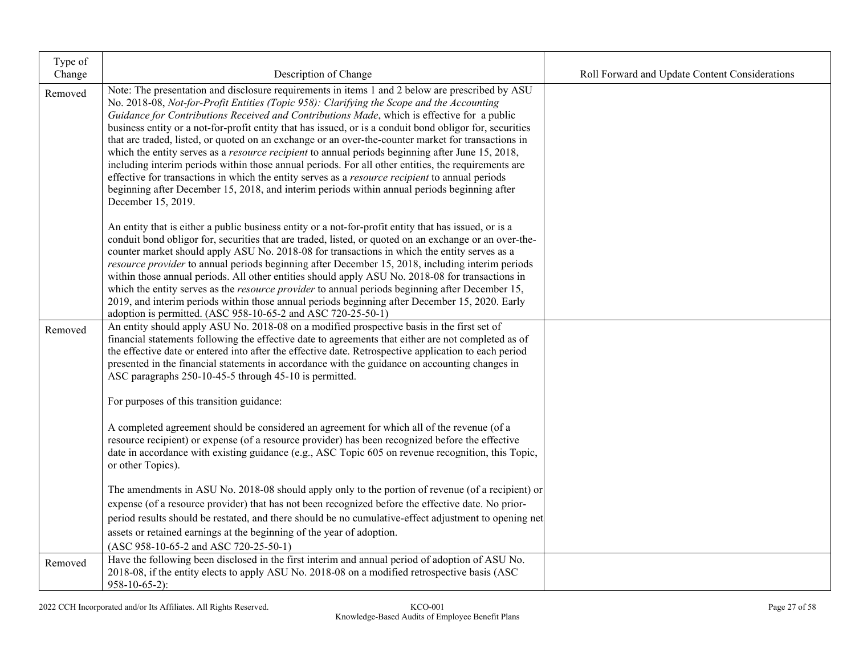| Type of<br>Change | Description of Change                                                                                                                                                                                                                                                                                                                                                                                                                                                                                                                                                                                                                                                                                                                                                                                                                                                                                                                                            | Roll Forward and Update Content Considerations |
|-------------------|------------------------------------------------------------------------------------------------------------------------------------------------------------------------------------------------------------------------------------------------------------------------------------------------------------------------------------------------------------------------------------------------------------------------------------------------------------------------------------------------------------------------------------------------------------------------------------------------------------------------------------------------------------------------------------------------------------------------------------------------------------------------------------------------------------------------------------------------------------------------------------------------------------------------------------------------------------------|------------------------------------------------|
| Removed           | Note: The presentation and disclosure requirements in items 1 and 2 below are prescribed by ASU<br>No. 2018-08, Not-for-Profit Entities (Topic 958): Clarifying the Scope and the Accounting<br>Guidance for Contributions Received and Contributions Made, which is effective for a public<br>business entity or a not-for-profit entity that has issued, or is a conduit bond obligor for, securities<br>that are traded, listed, or quoted on an exchange or an over-the-counter market for transactions in<br>which the entity serves as a <i>resource recipient</i> to annual periods beginning after June 15, 2018,<br>including interim periods within those annual periods. For all other entities, the requirements are<br>effective for transactions in which the entity serves as a <i>resource recipient</i> to annual periods<br>beginning after December 15, 2018, and interim periods within annual periods beginning after<br>December 15, 2019. |                                                |
|                   | An entity that is either a public business entity or a not-for-profit entity that has issued, or is a<br>conduit bond obligor for, securities that are traded, listed, or quoted on an exchange or an over-the-<br>counter market should apply ASU No. 2018-08 for transactions in which the entity serves as a<br>resource provider to annual periods beginning after December 15, 2018, including interim periods<br>within those annual periods. All other entities should apply ASU No. 2018-08 for transactions in<br>which the entity serves as the <i>resource provider</i> to annual periods beginning after December 15,<br>2019, and interim periods within those annual periods beginning after December 15, 2020. Early<br>adoption is permitted. (ASC 958-10-65-2 and ASC 720-25-50-1)                                                                                                                                                              |                                                |
| Removed           | An entity should apply ASU No. 2018-08 on a modified prospective basis in the first set of<br>financial statements following the effective date to agreements that either are not completed as of<br>the effective date or entered into after the effective date. Retrospective application to each period<br>presented in the financial statements in accordance with the guidance on accounting changes in<br>ASC paragraphs 250-10-45-5 through 45-10 is permitted.                                                                                                                                                                                                                                                                                                                                                                                                                                                                                           |                                                |
|                   | For purposes of this transition guidance:                                                                                                                                                                                                                                                                                                                                                                                                                                                                                                                                                                                                                                                                                                                                                                                                                                                                                                                        |                                                |
|                   | A completed agreement should be considered an agreement for which all of the revenue (of a<br>resource recipient) or expense (of a resource provider) has been recognized before the effective<br>date in accordance with existing guidance (e.g., ASC Topic 605 on revenue recognition, this Topic,<br>or other Topics).                                                                                                                                                                                                                                                                                                                                                                                                                                                                                                                                                                                                                                        |                                                |
|                   | The amendments in ASU No. 2018-08 should apply only to the portion of revenue (of a recipient) or                                                                                                                                                                                                                                                                                                                                                                                                                                                                                                                                                                                                                                                                                                                                                                                                                                                                |                                                |
|                   | expense (of a resource provider) that has not been recognized before the effective date. No prior-<br>period results should be restated, and there should be no cumulative-effect adjustment to opening net                                                                                                                                                                                                                                                                                                                                                                                                                                                                                                                                                                                                                                                                                                                                                      |                                                |
|                   | assets or retained earnings at the beginning of the year of adoption.                                                                                                                                                                                                                                                                                                                                                                                                                                                                                                                                                                                                                                                                                                                                                                                                                                                                                            |                                                |
|                   | $(ASC 958-10-65-2 and ASC 720-25-50-1)$                                                                                                                                                                                                                                                                                                                                                                                                                                                                                                                                                                                                                                                                                                                                                                                                                                                                                                                          |                                                |
| Removed           | Have the following been disclosed in the first interim and annual period of adoption of ASU No.<br>2018-08, if the entity elects to apply ASU No. 2018-08 on a modified retrospective basis (ASC<br>$958 - 10 - 65 - 2$ :                                                                                                                                                                                                                                                                                                                                                                                                                                                                                                                                                                                                                                                                                                                                        |                                                |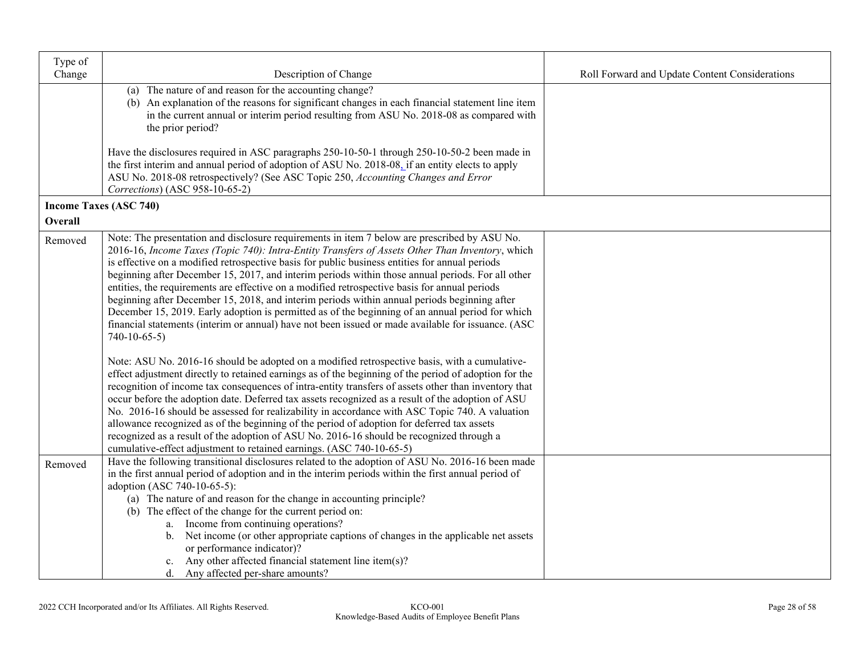| Type of        |                                                                                                                                                                                                                                                                                                                                                                                                                                                                                                                                                                                                                                                                                                                                                                                                                                                                                                                                                                                                                                                                                                                                                                                                                                                                                                                                                                                                                                                                                                                                                       |                                                |
|----------------|-------------------------------------------------------------------------------------------------------------------------------------------------------------------------------------------------------------------------------------------------------------------------------------------------------------------------------------------------------------------------------------------------------------------------------------------------------------------------------------------------------------------------------------------------------------------------------------------------------------------------------------------------------------------------------------------------------------------------------------------------------------------------------------------------------------------------------------------------------------------------------------------------------------------------------------------------------------------------------------------------------------------------------------------------------------------------------------------------------------------------------------------------------------------------------------------------------------------------------------------------------------------------------------------------------------------------------------------------------------------------------------------------------------------------------------------------------------------------------------------------------------------------------------------------------|------------------------------------------------|
| Change         | Description of Change                                                                                                                                                                                                                                                                                                                                                                                                                                                                                                                                                                                                                                                                                                                                                                                                                                                                                                                                                                                                                                                                                                                                                                                                                                                                                                                                                                                                                                                                                                                                 | Roll Forward and Update Content Considerations |
|                | (a) The nature of and reason for the accounting change?<br>(b) An explanation of the reasons for significant changes in each financial statement line item<br>in the current annual or interim period resulting from ASU No. 2018-08 as compared with<br>the prior period?                                                                                                                                                                                                                                                                                                                                                                                                                                                                                                                                                                                                                                                                                                                                                                                                                                                                                                                                                                                                                                                                                                                                                                                                                                                                            |                                                |
|                | Have the disclosures required in ASC paragraphs 250-10-50-1 through 250-10-50-2 been made in<br>the first interim and annual period of adoption of ASU No. 2018-08, if an entity elects to apply<br>ASU No. 2018-08 retrospectively? (See ASC Topic 250, Accounting Changes and Error<br>Corrections) (ASC 958-10-65-2)                                                                                                                                                                                                                                                                                                                                                                                                                                                                                                                                                                                                                                                                                                                                                                                                                                                                                                                                                                                                                                                                                                                                                                                                                               |                                                |
|                | <b>Income Taxes (ASC 740)</b>                                                                                                                                                                                                                                                                                                                                                                                                                                                                                                                                                                                                                                                                                                                                                                                                                                                                                                                                                                                                                                                                                                                                                                                                                                                                                                                                                                                                                                                                                                                         |                                                |
| <b>Overall</b> |                                                                                                                                                                                                                                                                                                                                                                                                                                                                                                                                                                                                                                                                                                                                                                                                                                                                                                                                                                                                                                                                                                                                                                                                                                                                                                                                                                                                                                                                                                                                                       |                                                |
| Removed        | Note: The presentation and disclosure requirements in item 7 below are prescribed by ASU No.<br>2016-16, Income Taxes (Topic 740): Intra-Entity Transfers of Assets Other Than Inventory, which<br>is effective on a modified retrospective basis for public business entities for annual periods<br>beginning after December 15, 2017, and interim periods within those annual periods. For all other<br>entities, the requirements are effective on a modified retrospective basis for annual periods<br>beginning after December 15, 2018, and interim periods within annual periods beginning after<br>December 15, 2019. Early adoption is permitted as of the beginning of an annual period for which<br>financial statements (interim or annual) have not been issued or made available for issuance. (ASC<br>$740-10-65-5$<br>Note: ASU No. 2016-16 should be adopted on a modified retrospective basis, with a cumulative-<br>effect adjustment directly to retained earnings as of the beginning of the period of adoption for the<br>recognition of income tax consequences of intra-entity transfers of assets other than inventory that<br>occur before the adoption date. Deferred tax assets recognized as a result of the adoption of ASU<br>No. 2016-16 should be assessed for realizability in accordance with ASC Topic 740. A valuation<br>allowance recognized as of the beginning of the period of adoption for deferred tax assets<br>recognized as a result of the adoption of ASU No. 2016-16 should be recognized through a |                                                |
| Removed        | cumulative-effect adjustment to retained earnings. (ASC 740-10-65-5)<br>Have the following transitional disclosures related to the adoption of ASU No. 2016-16 been made<br>in the first annual period of adoption and in the interim periods within the first annual period of<br>adoption (ASC 740-10-65-5):<br>(a) The nature of and reason for the change in accounting principle?<br>(b) The effect of the change for the current period on:                                                                                                                                                                                                                                                                                                                                                                                                                                                                                                                                                                                                                                                                                                                                                                                                                                                                                                                                                                                                                                                                                                     |                                                |
|                | a. Income from continuing operations?<br>b. Net income (or other appropriate captions of changes in the applicable net assets<br>or performance indicator)?<br>Any other affected financial statement line item(s)?<br>c.<br>d. Any affected per-share amounts?                                                                                                                                                                                                                                                                                                                                                                                                                                                                                                                                                                                                                                                                                                                                                                                                                                                                                                                                                                                                                                                                                                                                                                                                                                                                                       |                                                |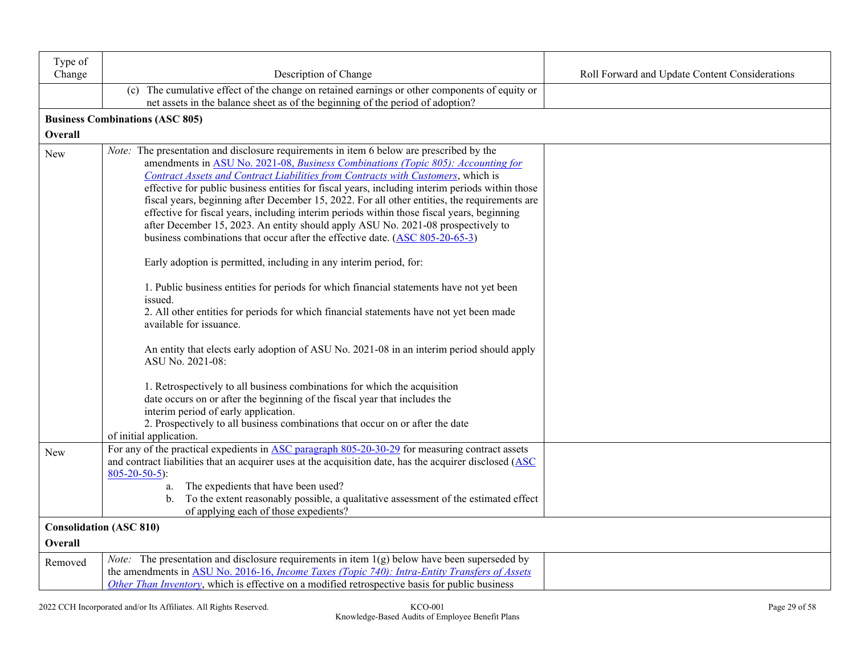| Type of |                                                                                                                                                                                                                                                                                                                                                                     |                                                |
|---------|---------------------------------------------------------------------------------------------------------------------------------------------------------------------------------------------------------------------------------------------------------------------------------------------------------------------------------------------------------------------|------------------------------------------------|
| Change  | Description of Change                                                                                                                                                                                                                                                                                                                                               | Roll Forward and Update Content Considerations |
|         | (c) The cumulative effect of the change on retained earnings or other components of equity or<br>net assets in the balance sheet as of the beginning of the period of adoption?                                                                                                                                                                                     |                                                |
|         | <b>Business Combinations (ASC 805)</b>                                                                                                                                                                                                                                                                                                                              |                                                |
| Overall |                                                                                                                                                                                                                                                                                                                                                                     |                                                |
| New     | Note: The presentation and disclosure requirements in item 6 below are prescribed by the<br>amendments in ASU No. 2021-08, Business Combinations (Topic 805): Accounting for<br>Contract Assets and Contract Liabilities from Contracts with Customers, which is<br>effective for public business entities for fiscal years, including interim periods within those |                                                |
|         | fiscal years, beginning after December 15, 2022. For all other entities, the requirements are<br>effective for fiscal years, including interim periods within those fiscal years, beginning<br>after December 15, 2023. An entity should apply ASU No. 2021-08 prospectively to<br>business combinations that occur after the effective date. (ASC 805-20-65-3)     |                                                |
|         | Early adoption is permitted, including in any interim period, for:                                                                                                                                                                                                                                                                                                  |                                                |
|         | 1. Public business entities for periods for which financial statements have not yet been<br>issued.<br>2. All other entities for periods for which financial statements have not yet been made<br>available for issuance.                                                                                                                                           |                                                |
|         | An entity that elects early adoption of ASU No. 2021-08 in an interim period should apply<br>ASU No. 2021-08:                                                                                                                                                                                                                                                       |                                                |
|         | 1. Retrospectively to all business combinations for which the acquisition<br>date occurs on or after the beginning of the fiscal year that includes the<br>interim period of early application.<br>2. Prospectively to all business combinations that occur on or after the date<br>of initial application.                                                         |                                                |
| New     | For any of the practical expedients in ASC paragraph 805-20-30-29 for measuring contract assets<br>and contract liabilities that an acquirer uses at the acquisition date, has the acquirer disclosed (ASC<br>$805 - 20 - 50 - 5$ :                                                                                                                                 |                                                |
|         | The expedients that have been used?<br>a.<br>b. To the extent reasonably possible, a qualitative assessment of the estimated effect<br>of applying each of those expedients?                                                                                                                                                                                        |                                                |
|         | <b>Consolidation (ASC 810)</b>                                                                                                                                                                                                                                                                                                                                      |                                                |
| Overall |                                                                                                                                                                                                                                                                                                                                                                     |                                                |
| Removed | <i>Note:</i> The presentation and disclosure requirements in item $1(g)$ below have been superseded by<br>the amendments in ASU No. 2016-16, Income Taxes (Topic 740): Intra-Entity Transfers of Assets<br>Other Than Inventory, which is effective on a modified retrospective basis for public business                                                           |                                                |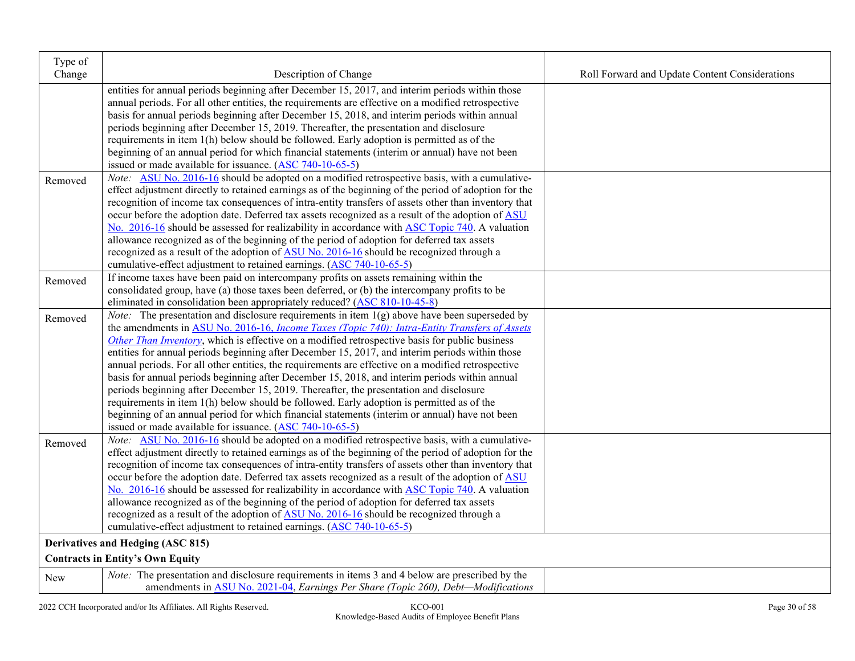| Type of    |                                                                                                              |                                                |
|------------|--------------------------------------------------------------------------------------------------------------|------------------------------------------------|
| Change     | Description of Change                                                                                        | Roll Forward and Update Content Considerations |
|            | entities for annual periods beginning after December 15, 2017, and interim periods within those              |                                                |
|            | annual periods. For all other entities, the requirements are effective on a modified retrospective           |                                                |
|            | basis for annual periods beginning after December 15, 2018, and interim periods within annual                |                                                |
|            | periods beginning after December 15, 2019. Thereafter, the presentation and disclosure                       |                                                |
|            | requirements in item 1(h) below should be followed. Early adoption is permitted as of the                    |                                                |
|            | beginning of an annual period for which financial statements (interim or annual) have not been               |                                                |
|            | issued or made available for issuance. (ASC 740-10-65-5)                                                     |                                                |
| Removed    | <i>Note:</i> ASU No. 2016-16 should be adopted on a modified retrospective basis, with a cumulative-         |                                                |
|            | effect adjustment directly to retained earnings as of the beginning of the period of adoption for the        |                                                |
|            | recognition of income tax consequences of intra-entity transfers of assets other than inventory that         |                                                |
|            | occur before the adoption date. Deferred tax assets recognized as a result of the adoption of ASU            |                                                |
|            | No. 2016-16 should be assessed for realizability in accordance with ASC Topic 740. A valuation               |                                                |
|            | allowance recognized as of the beginning of the period of adoption for deferred tax assets                   |                                                |
|            | recognized as a result of the adoption of ASU No. 2016-16 should be recognized through a                     |                                                |
|            | cumulative-effect adjustment to retained earnings. (ASC 740-10-65-5)                                         |                                                |
| Removed    | If income taxes have been paid on intercompany profits on assets remaining within the                        |                                                |
|            | consolidated group, have (a) those taxes been deferred, or (b) the intercompany profits to be                |                                                |
|            | eliminated in consolidation been appropriately reduced? (ASC 810-10-45-8)                                    |                                                |
| Removed    | <i>Note:</i> The presentation and disclosure requirements in item $1(g)$ above have been superseded by       |                                                |
|            | the amendments in ASU No. 2016-16, <i>Income Taxes (Topic 740)</i> : <i>Intra-Entity Transfers of Assets</i> |                                                |
|            | Other Than Inventory, which is effective on a modified retrospective basis for public business               |                                                |
|            | entities for annual periods beginning after December 15, 2017, and interim periods within those              |                                                |
|            | annual periods. For all other entities, the requirements are effective on a modified retrospective           |                                                |
|            | basis for annual periods beginning after December 15, 2018, and interim periods within annual                |                                                |
|            | periods beginning after December 15, 2019. Thereafter, the presentation and disclosure                       |                                                |
|            | requirements in item 1(h) below should be followed. Early adoption is permitted as of the                    |                                                |
|            | beginning of an annual period for which financial statements (interim or annual) have not been               |                                                |
|            | issued or made available for issuance. $(ASC 740-10-65-5)$                                                   |                                                |
| Removed    | Note: ASU No. 2016-16 should be adopted on a modified retrospective basis, with a cumulative-                |                                                |
|            | effect adjustment directly to retained earnings as of the beginning of the period of adoption for the        |                                                |
|            | recognition of income tax consequences of intra-entity transfers of assets other than inventory that         |                                                |
|            | occur before the adoption date. Deferred tax assets recognized as a result of the adoption of ASU            |                                                |
|            | No. 2016-16 should be assessed for realizability in accordance with ASC Topic 740. A valuation               |                                                |
|            | allowance recognized as of the beginning of the period of adoption for deferred tax assets                   |                                                |
|            | recognized as a result of the adoption of ASU No. 2016-16 should be recognized through a                     |                                                |
|            | cumulative-effect adjustment to retained earnings. (ASC 740-10-65-5)                                         |                                                |
|            | Derivatives and Hedging (ASC 815)                                                                            |                                                |
|            | <b>Contracts in Entity's Own Equity</b>                                                                      |                                                |
| <b>New</b> | <i>Note:</i> The presentation and disclosure requirements in items 3 and 4 below are prescribed by the       |                                                |
|            | amendments in ASU No. 2021-04, Earnings Per Share (Topic 260), Debt-Modifications                            |                                                |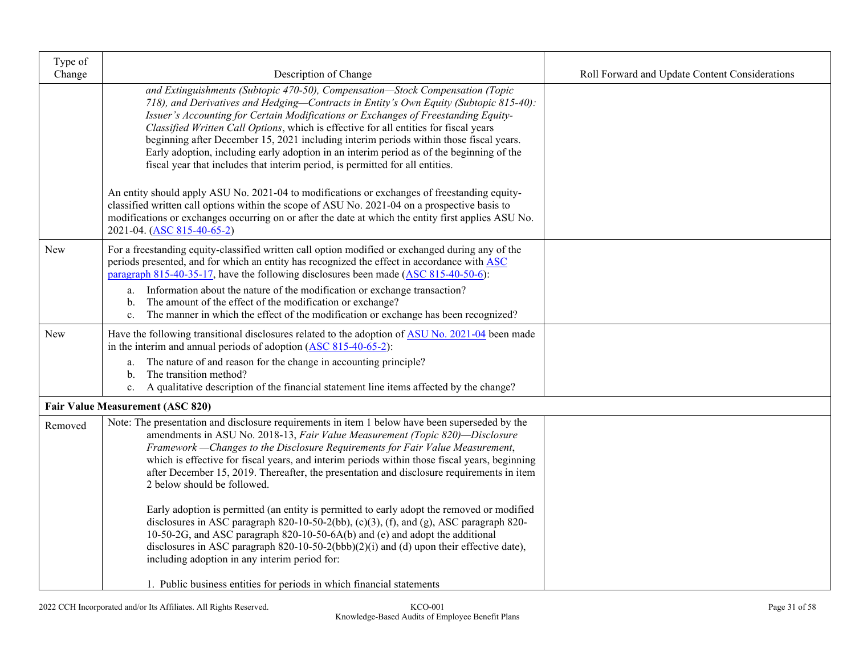| Type of<br>Change | Description of Change                                                                                                                                                                                                                                                                                                                                                                                                                                                                                                                                                                                                                                                                                                                                                                                                                                                                                                                | Roll Forward and Update Content Considerations |
|-------------------|--------------------------------------------------------------------------------------------------------------------------------------------------------------------------------------------------------------------------------------------------------------------------------------------------------------------------------------------------------------------------------------------------------------------------------------------------------------------------------------------------------------------------------------------------------------------------------------------------------------------------------------------------------------------------------------------------------------------------------------------------------------------------------------------------------------------------------------------------------------------------------------------------------------------------------------|------------------------------------------------|
|                   | and Extinguishments (Subtopic 470-50), Compensation-Stock Compensation (Topic<br>718), and Derivatives and Hedging-Contracts in Entity's Own Equity (Subtopic 815-40):<br>Issuer's Accounting for Certain Modifications or Exchanges of Freestanding Equity-<br>Classified Written Call Options, which is effective for all entities for fiscal years<br>beginning after December 15, 2021 including interim periods within those fiscal years.<br>Early adoption, including early adoption in an interim period as of the beginning of the<br>fiscal year that includes that interim period, is permitted for all entities.<br>An entity should apply ASU No. 2021-04 to modifications or exchanges of freestanding equity-<br>classified written call options within the scope of ASU No. 2021-04 on a prospective basis to<br>modifications or exchanges occurring on or after the date at which the entity first applies ASU No. |                                                |
| <b>New</b>        | 2021-04. (ASC 815-40-65-2)<br>For a freestanding equity-classified written call option modified or exchanged during any of the                                                                                                                                                                                                                                                                                                                                                                                                                                                                                                                                                                                                                                                                                                                                                                                                       |                                                |
|                   | periods presented, and for which an entity has recognized the effect in accordance with ASC<br>paragraph $815-40-35-17$ , have the following disclosures been made $(ASC 815-40-50-6)$ :                                                                                                                                                                                                                                                                                                                                                                                                                                                                                                                                                                                                                                                                                                                                             |                                                |
|                   | Information about the nature of the modification or exchange transaction?<br>a.<br>The amount of the effect of the modification or exchange?<br>$\mathbf{b}$ .<br>The manner in which the effect of the modification or exchange has been recognized?<br>c.                                                                                                                                                                                                                                                                                                                                                                                                                                                                                                                                                                                                                                                                          |                                                |
| New               | Have the following transitional disclosures related to the adoption of ASU No. 2021-04 been made<br>in the interim and annual periods of adoption $(ASC 815-40-65-2)$ :                                                                                                                                                                                                                                                                                                                                                                                                                                                                                                                                                                                                                                                                                                                                                              |                                                |
|                   | The nature of and reason for the change in accounting principle?<br>a.<br>The transition method?<br>$\mathbf{b}$ .<br>A qualitative description of the financial statement line items affected by the change?<br>c.                                                                                                                                                                                                                                                                                                                                                                                                                                                                                                                                                                                                                                                                                                                  |                                                |
|                   | <b>Fair Value Measurement (ASC 820)</b>                                                                                                                                                                                                                                                                                                                                                                                                                                                                                                                                                                                                                                                                                                                                                                                                                                                                                              |                                                |
| Removed           | Note: The presentation and disclosure requirements in item 1 below have been superseded by the<br>amendments in ASU No. 2018-13, Fair Value Measurement (Topic 820)-Disclosure<br>Framework - Changes to the Disclosure Requirements for Fair Value Measurement,<br>which is effective for fiscal years, and interim periods within those fiscal years, beginning<br>after December 15, 2019. Thereafter, the presentation and disclosure requirements in item<br>2 below should be followed.<br>Early adoption is permitted (an entity is permitted to early adopt the removed or modified                                                                                                                                                                                                                                                                                                                                          |                                                |
|                   | disclosures in ASC paragraph 820-10-50-2(bb), $(c)(3)$ , $(f)$ , and $(g)$ , ASC paragraph 820-<br>10-50-2G, and ASC paragraph 820-10-50-6A(b) and (e) and adopt the additional<br>disclosures in ASC paragraph 820-10-50-2(bbb)(2)(i) and (d) upon their effective date),<br>including adoption in any interim period for:                                                                                                                                                                                                                                                                                                                                                                                                                                                                                                                                                                                                          |                                                |
|                   | 1. Public business entities for periods in which financial statements                                                                                                                                                                                                                                                                                                                                                                                                                                                                                                                                                                                                                                                                                                                                                                                                                                                                |                                                |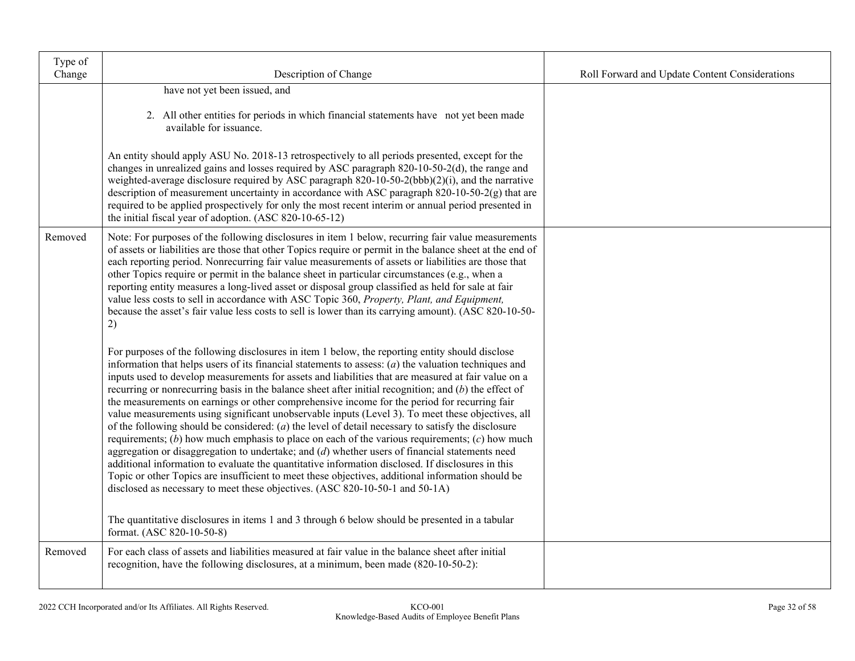| Type of<br>Change | Description of Change                                                                                                                                                                                                                                                                                                                                                                                                                                                                                                                                                                                                                                                                                                                                                                                                                                                                                                                                                                                                                                                                                                                                                                                                                                                                                                                        | Roll Forward and Update Content Considerations |
|-------------------|----------------------------------------------------------------------------------------------------------------------------------------------------------------------------------------------------------------------------------------------------------------------------------------------------------------------------------------------------------------------------------------------------------------------------------------------------------------------------------------------------------------------------------------------------------------------------------------------------------------------------------------------------------------------------------------------------------------------------------------------------------------------------------------------------------------------------------------------------------------------------------------------------------------------------------------------------------------------------------------------------------------------------------------------------------------------------------------------------------------------------------------------------------------------------------------------------------------------------------------------------------------------------------------------------------------------------------------------|------------------------------------------------|
|                   | have not yet been issued, and                                                                                                                                                                                                                                                                                                                                                                                                                                                                                                                                                                                                                                                                                                                                                                                                                                                                                                                                                                                                                                                                                                                                                                                                                                                                                                                |                                                |
|                   | 2. All other entities for periods in which financial statements have not yet been made<br>available for issuance.                                                                                                                                                                                                                                                                                                                                                                                                                                                                                                                                                                                                                                                                                                                                                                                                                                                                                                                                                                                                                                                                                                                                                                                                                            |                                                |
|                   | An entity should apply ASU No. 2018-13 retrospectively to all periods presented, except for the<br>changes in unrealized gains and losses required by ASC paragraph 820-10-50-2(d), the range and<br>weighted-average disclosure required by ASC paragraph 820-10-50-2(bbb)(2)(i), and the narrative<br>description of measurement uncertainty in accordance with ASC paragraph 820-10-50-2(g) that are<br>required to be applied prospectively for only the most recent interim or annual period presented in<br>the initial fiscal year of adoption. (ASC 820-10-65-12)                                                                                                                                                                                                                                                                                                                                                                                                                                                                                                                                                                                                                                                                                                                                                                    |                                                |
| Removed           | Note: For purposes of the following disclosures in item 1 below, recurring fair value measurements<br>of assets or liabilities are those that other Topics require or permit in the balance sheet at the end of<br>each reporting period. Nonrecurring fair value measurements of assets or liabilities are those that<br>other Topics require or permit in the balance sheet in particular circumstances (e.g., when a<br>reporting entity measures a long-lived asset or disposal group classified as held for sale at fair<br>value less costs to sell in accordance with ASC Topic 360, Property, Plant, and Equipment,<br>because the asset's fair value less costs to sell is lower than its carrying amount). (ASC 820-10-50-<br>2)                                                                                                                                                                                                                                                                                                                                                                                                                                                                                                                                                                                                   |                                                |
|                   | For purposes of the following disclosures in item 1 below, the reporting entity should disclose<br>information that helps users of its financial statements to assess: $(a)$ the valuation techniques and<br>inputs used to develop measurements for assets and liabilities that are measured at fair value on a<br>recurring or nonrecurring basis in the balance sheet after initial recognition; and $(b)$ the effect of<br>the measurements on earnings or other comprehensive income for the period for recurring fair<br>value measurements using significant unobservable inputs (Level 3). To meet these objectives, all<br>of the following should be considered: $(a)$ the level of detail necessary to satisfy the disclosure<br>requirements; (b) how much emphasis to place on each of the various requirements; $(c)$ how much<br>aggregation or disaggregation to undertake; and $(d)$ whether users of financial statements need<br>additional information to evaluate the quantitative information disclosed. If disclosures in this<br>Topic or other Topics are insufficient to meet these objectives, additional information should be<br>disclosed as necessary to meet these objectives. (ASC 820-10-50-1 and 50-1A)<br>The quantitative disclosures in items 1 and 3 through 6 below should be presented in a tabular |                                                |
|                   | format. (ASC 820-10-50-8)                                                                                                                                                                                                                                                                                                                                                                                                                                                                                                                                                                                                                                                                                                                                                                                                                                                                                                                                                                                                                                                                                                                                                                                                                                                                                                                    |                                                |
| Removed           | For each class of assets and liabilities measured at fair value in the balance sheet after initial<br>recognition, have the following disclosures, at a minimum, been made (820-10-50-2):                                                                                                                                                                                                                                                                                                                                                                                                                                                                                                                                                                                                                                                                                                                                                                                                                                                                                                                                                                                                                                                                                                                                                    |                                                |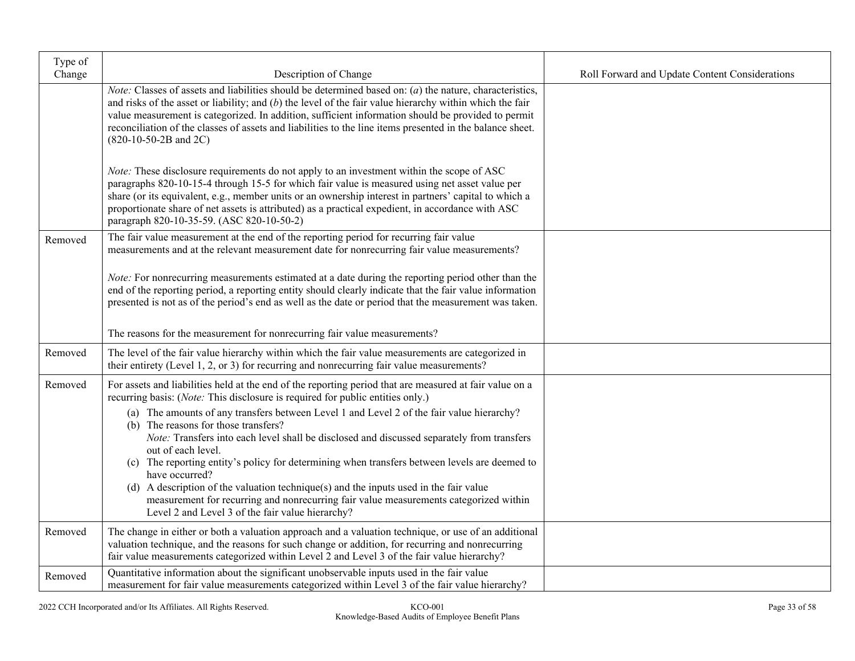| Type of<br>Change | Description of Change                                                                                                                                                                                                                                                                                                                                                                                                                                                                                                                                                                                          | Roll Forward and Update Content Considerations |
|-------------------|----------------------------------------------------------------------------------------------------------------------------------------------------------------------------------------------------------------------------------------------------------------------------------------------------------------------------------------------------------------------------------------------------------------------------------------------------------------------------------------------------------------------------------------------------------------------------------------------------------------|------------------------------------------------|
|                   | <i>Note:</i> Classes of assets and liabilities should be determined based on: $(a)$ the nature, characteristics,<br>and risks of the asset or liability; and $(b)$ the level of the fair value hierarchy within which the fair<br>value measurement is categorized. In addition, sufficient information should be provided to permit<br>reconciliation of the classes of assets and liabilities to the line items presented in the balance sheet.<br>$(820-10-50-2B$ and $2C)$                                                                                                                                 |                                                |
|                   | <i>Note:</i> These disclosure requirements do not apply to an investment within the scope of ASC<br>paragraphs 820-10-15-4 through 15-5 for which fair value is measured using net asset value per<br>share (or its equivalent, e.g., member units or an ownership interest in partners' capital to which a<br>proportionate share of net assets is attributed) as a practical expedient, in accordance with ASC<br>paragraph 820-10-35-59. (ASC 820-10-50-2)                                                                                                                                                  |                                                |
| Removed           | The fair value measurement at the end of the reporting period for recurring fair value<br>measurements and at the relevant measurement date for nonrecurring fair value measurements?                                                                                                                                                                                                                                                                                                                                                                                                                          |                                                |
|                   | Note: For nonrecurring measurements estimated at a date during the reporting period other than the<br>end of the reporting period, a reporting entity should clearly indicate that the fair value information<br>presented is not as of the period's end as well as the date or period that the measurement was taken.                                                                                                                                                                                                                                                                                         |                                                |
|                   | The reasons for the measurement for nonrecurring fair value measurements?                                                                                                                                                                                                                                                                                                                                                                                                                                                                                                                                      |                                                |
| Removed           | The level of the fair value hierarchy within which the fair value measurements are categorized in<br>their entirety (Level 1, 2, or 3) for recurring and nonrecurring fair value measurements?                                                                                                                                                                                                                                                                                                                                                                                                                 |                                                |
| Removed           | For assets and liabilities held at the end of the reporting period that are measured at fair value on a<br>recurring basis: (Note: This disclosure is required for public entities only.)                                                                                                                                                                                                                                                                                                                                                                                                                      |                                                |
|                   | (a) The amounts of any transfers between Level 1 and Level 2 of the fair value hierarchy?<br>(b) The reasons for those transfers?<br>Note: Transfers into each level shall be disclosed and discussed separately from transfers<br>out of each level.<br>(c) The reporting entity's policy for determining when transfers between levels are deemed to<br>have occurred?<br>(d) A description of the valuation technique(s) and the inputs used in the fair value<br>measurement for recurring and nonrecurring fair value measurements categorized within<br>Level 2 and Level 3 of the fair value hierarchy? |                                                |
| Removed           | The change in either or both a valuation approach and a valuation technique, or use of an additional                                                                                                                                                                                                                                                                                                                                                                                                                                                                                                           |                                                |
|                   | valuation technique, and the reasons for such change or addition, for recurring and nonrecurring<br>fair value measurements categorized within Level 2 and Level 3 of the fair value hierarchy?                                                                                                                                                                                                                                                                                                                                                                                                                |                                                |
| Removed           | Quantitative information about the significant unobservable inputs used in the fair value<br>measurement for fair value measurements categorized within Level 3 of the fair value hierarchy?                                                                                                                                                                                                                                                                                                                                                                                                                   |                                                |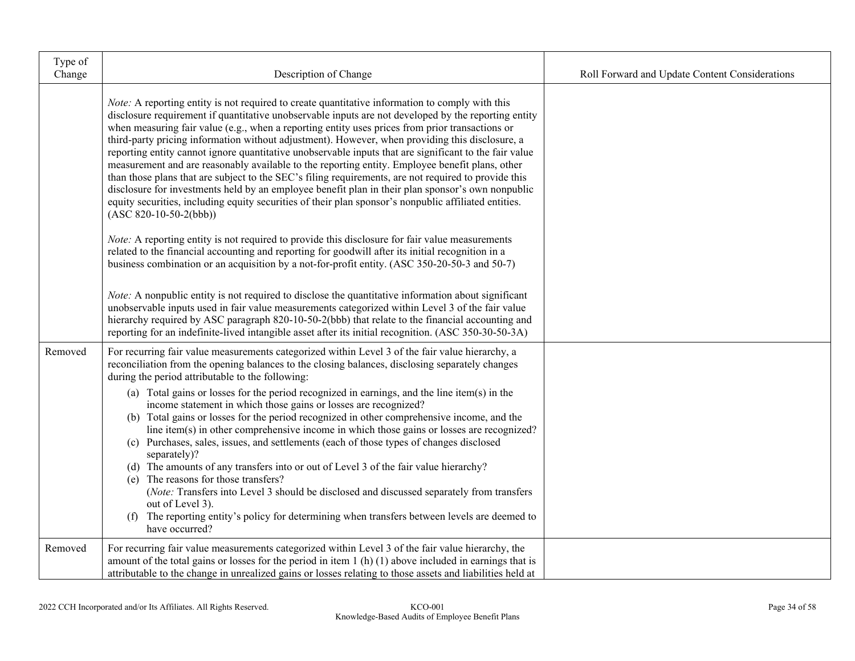| Type of<br>Change | Description of Change                                                                                                                                                                                                                                                                                                                                                                                                                                                                                                                                                                                                                                                                                                                                                                                                                                                                                                                                                                                                                                                                                                                                                                                                                                                                                                                                                                                                                                                                                                                                                                                              | Roll Forward and Update Content Considerations |
|-------------------|--------------------------------------------------------------------------------------------------------------------------------------------------------------------------------------------------------------------------------------------------------------------------------------------------------------------------------------------------------------------------------------------------------------------------------------------------------------------------------------------------------------------------------------------------------------------------------------------------------------------------------------------------------------------------------------------------------------------------------------------------------------------------------------------------------------------------------------------------------------------------------------------------------------------------------------------------------------------------------------------------------------------------------------------------------------------------------------------------------------------------------------------------------------------------------------------------------------------------------------------------------------------------------------------------------------------------------------------------------------------------------------------------------------------------------------------------------------------------------------------------------------------------------------------------------------------------------------------------------------------|------------------------------------------------|
|                   | <i>Note:</i> A reporting entity is not required to create quantitative information to comply with this<br>disclosure requirement if quantitative unobservable inputs are not developed by the reporting entity<br>when measuring fair value (e.g., when a reporting entity uses prices from prior transactions or<br>third-party pricing information without adjustment). However, when providing this disclosure, a<br>reporting entity cannot ignore quantitative unobservable inputs that are significant to the fair value<br>measurement and are reasonably available to the reporting entity. Employee benefit plans, other<br>than those plans that are subject to the SEC's filing requirements, are not required to provide this<br>disclosure for investments held by an employee benefit plan in their plan sponsor's own nonpublic<br>equity securities, including equity securities of their plan sponsor's nonpublic affiliated entities.<br>$(ASC 820-10-50-2(bbb))$<br><i>Note:</i> A reporting entity is not required to provide this disclosure for fair value measurements<br>related to the financial accounting and reporting for goodwill after its initial recognition in a<br>business combination or an acquisition by a not-for-profit entity. (ASC 350-20-50-3 and 50-7)<br>Note: A nonpublic entity is not required to disclose the quantitative information about significant<br>unobservable inputs used in fair value measurements categorized within Level 3 of the fair value<br>hierarchy required by ASC paragraph 820-10-50-2(bbb) that relate to the financial accounting and |                                                |
| Removed           | reporting for an indefinite-lived intangible asset after its initial recognition. (ASC 350-30-50-3A)<br>For recurring fair value measurements categorized within Level 3 of the fair value hierarchy, a<br>reconciliation from the opening balances to the closing balances, disclosing separately changes<br>during the period attributable to the following:<br>(a) Total gains or losses for the period recognized in earnings, and the line item(s) in the<br>income statement in which those gains or losses are recognized?<br>(b) Total gains or losses for the period recognized in other comprehensive income, and the<br>line item(s) in other comprehensive income in which those gains or losses are recognized?<br>(c) Purchases, sales, issues, and settlements (each of those types of changes disclosed<br>separately)?<br>(d) The amounts of any transfers into or out of Level 3 of the fair value hierarchy?<br>(e) The reasons for those transfers?<br>(Note: Transfers into Level 3 should be disclosed and discussed separately from transfers<br>out of Level 3).<br>(f) The reporting entity's policy for determining when transfers between levels are deemed to<br>have occurred?                                                                                                                                                                                                                                                                                                                                                                                                        |                                                |
| Removed           | For recurring fair value measurements categorized within Level 3 of the fair value hierarchy, the<br>amount of the total gains or losses for the period in item $1(h)(1)$ above included in earnings that is<br>attributable to the change in unrealized gains or losses relating to those assets and liabilities held at                                                                                                                                                                                                                                                                                                                                                                                                                                                                                                                                                                                                                                                                                                                                                                                                                                                                                                                                                                                                                                                                                                                                                                                                                                                                                          |                                                |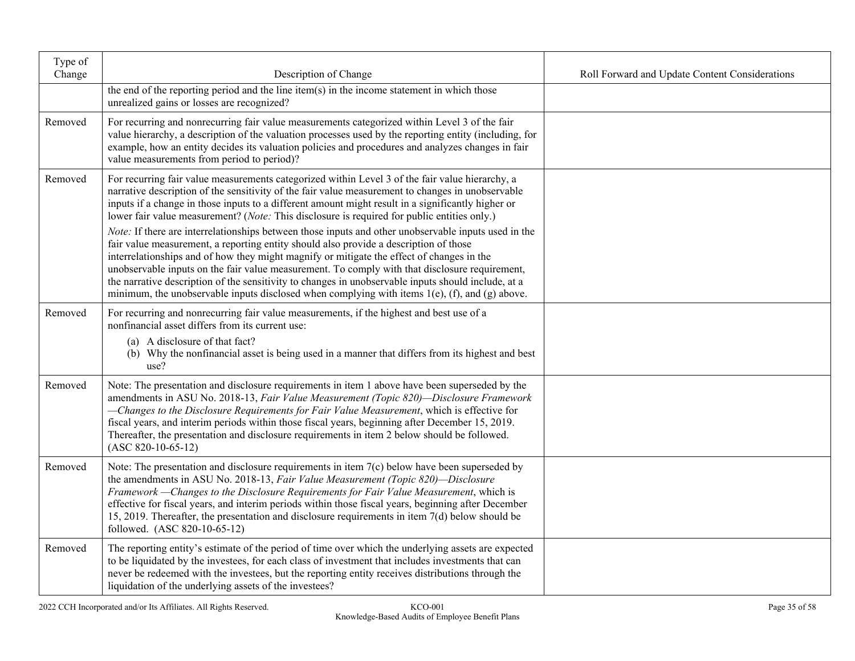| Type of<br>Change | Description of Change                                                                                                                                                                                                                                                                                                                                                                                                                                                                                                      | Roll Forward and Update Content Considerations |
|-------------------|----------------------------------------------------------------------------------------------------------------------------------------------------------------------------------------------------------------------------------------------------------------------------------------------------------------------------------------------------------------------------------------------------------------------------------------------------------------------------------------------------------------------------|------------------------------------------------|
|                   | the end of the reporting period and the line item(s) in the income statement in which those<br>unrealized gains or losses are recognized?                                                                                                                                                                                                                                                                                                                                                                                  |                                                |
| Removed           | For recurring and nonrecurring fair value measurements categorized within Level 3 of the fair<br>value hierarchy, a description of the valuation processes used by the reporting entity (including, for<br>example, how an entity decides its valuation policies and procedures and analyzes changes in fair<br>value measurements from period to period)?                                                                                                                                                                 |                                                |
| Removed           | For recurring fair value measurements categorized within Level 3 of the fair value hierarchy, a<br>narrative description of the sensitivity of the fair value measurement to changes in unobservable<br>inputs if a change in those inputs to a different amount might result in a significantly higher or<br>lower fair value measurement? (Note: This disclosure is required for public entities only.)<br>Note: If there are interrelationships between those inputs and other unobservable inputs used in the          |                                                |
|                   | fair value measurement, a reporting entity should also provide a description of those<br>interrelationships and of how they might magnify or mitigate the effect of changes in the<br>unobservable inputs on the fair value measurement. To comply with that disclosure requirement,<br>the narrative description of the sensitivity to changes in unobservable inputs should include, at a<br>minimum, the unobservable inputs disclosed when complying with items $1(e)$ , (f), and (g) above.                           |                                                |
| Removed           | For recurring and nonrecurring fair value measurements, if the highest and best use of a<br>nonfinancial asset differs from its current use:<br>(a) A disclosure of that fact?<br>(b) Why the nonfinancial asset is being used in a manner that differs from its highest and best<br>use?                                                                                                                                                                                                                                  |                                                |
| Removed           | Note: The presentation and disclosure requirements in item 1 above have been superseded by the<br>amendments in ASU No. 2018-13, Fair Value Measurement (Topic 820)-Disclosure Framework<br>-Changes to the Disclosure Requirements for Fair Value Measurement, which is effective for<br>fiscal years, and interim periods within those fiscal years, beginning after December 15, 2019.<br>Thereafter, the presentation and disclosure requirements in item 2 below should be followed.<br>$(ASC 820-10-65-12)$          |                                                |
| Removed           | Note: The presentation and disclosure requirements in item $7(c)$ below have been superseded by<br>the amendments in ASU No. 2018-13, Fair Value Measurement (Topic 820)—Disclosure<br>Framework - Changes to the Disclosure Requirements for Fair Value Measurement, which is<br>effective for fiscal years, and interim periods within those fiscal years, beginning after December<br>15, 2019. Thereafter, the presentation and disclosure requirements in item $7(d)$ below should be<br>followed. (ASC 820-10-65-12) |                                                |
| Removed           | The reporting entity's estimate of the period of time over which the underlying assets are expected<br>to be liquidated by the investees, for each class of investment that includes investments that can<br>never be redeemed with the investees, but the reporting entity receives distributions through the<br>liquidation of the underlying assets of the investees?                                                                                                                                                   |                                                |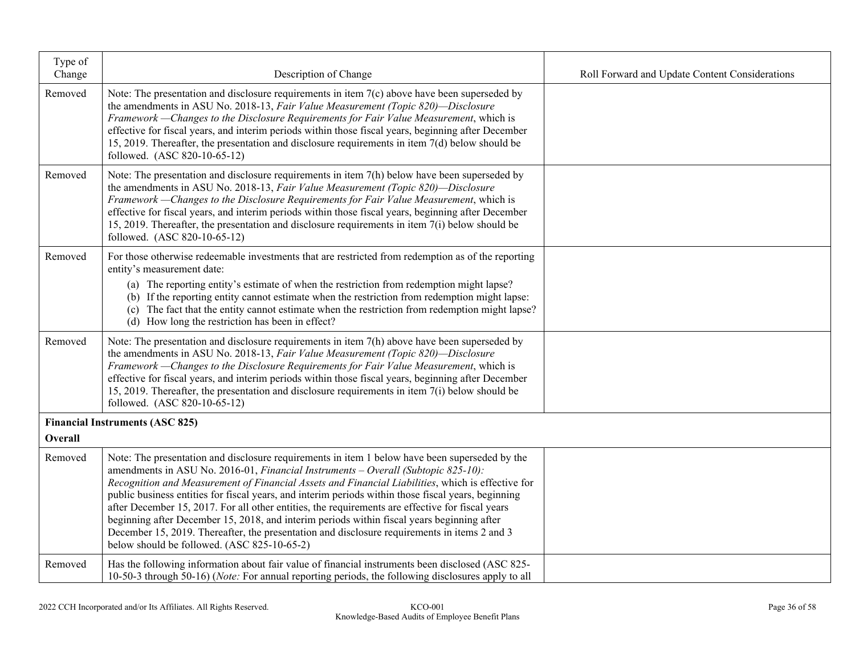| Type of<br>Change | Description of Change                                                                                                                                                                                                                                                                                                                                                                                                                                                                                                                                                                                                                          | Roll Forward and Update Content Considerations |
|-------------------|------------------------------------------------------------------------------------------------------------------------------------------------------------------------------------------------------------------------------------------------------------------------------------------------------------------------------------------------------------------------------------------------------------------------------------------------------------------------------------------------------------------------------------------------------------------------------------------------------------------------------------------------|------------------------------------------------|
| Removed           | Note: The presentation and disclosure requirements in item $7(c)$ above have been superseded by<br>the amendments in ASU No. 2018-13, Fair Value Measurement (Topic 820)-Disclosure<br>Framework - Changes to the Disclosure Requirements for Fair Value Measurement, which is<br>effective for fiscal years, and interim periods within those fiscal years, beginning after December<br>15, 2019. Thereafter, the presentation and disclosure requirements in item $7(d)$ below should be<br>followed. (ASC 820-10-65-12)                                                                                                                     |                                                |
| Removed           | Note: The presentation and disclosure requirements in item 7(h) below have been superseded by<br>the amendments in ASU No. 2018-13, Fair Value Measurement (Topic 820)-Disclosure<br>Framework - Changes to the Disclosure Requirements for Fair Value Measurement, which is<br>effective for fiscal years, and interim periods within those fiscal years, beginning after December<br>15, 2019. Thereafter, the presentation and disclosure requirements in item $7(i)$ below should be<br>followed. (ASC 820-10-65-12)                                                                                                                       |                                                |
| Removed           | For those otherwise redeemable investments that are restricted from redemption as of the reporting<br>entity's measurement date:                                                                                                                                                                                                                                                                                                                                                                                                                                                                                                               |                                                |
|                   | (a) The reporting entity's estimate of when the restriction from redemption might lapse?<br>(b) If the reporting entity cannot estimate when the restriction from redemption might lapse:<br>(c) The fact that the entity cannot estimate when the restriction from redemption might lapse?<br>(d) How long the restriction has been in effect?                                                                                                                                                                                                                                                                                                |                                                |
| Removed           | Note: The presentation and disclosure requirements in item 7(h) above have been superseded by<br>the amendments in ASU No. 2018-13, Fair Value Measurement (Topic 820)-Disclosure<br>Framework - Changes to the Disclosure Requirements for Fair Value Measurement, which is<br>effective for fiscal years, and interim periods within those fiscal years, beginning after December<br>15, 2019. Thereafter, the presentation and disclosure requirements in item $7(i)$ below should be<br>followed. (ASC 820-10-65-12)                                                                                                                       |                                                |
| Overall           | <b>Financial Instruments (ASC 825)</b>                                                                                                                                                                                                                                                                                                                                                                                                                                                                                                                                                                                                         |                                                |
| Removed           | Note: The presentation and disclosure requirements in item 1 below have been superseded by the                                                                                                                                                                                                                                                                                                                                                                                                                                                                                                                                                 |                                                |
|                   | amendments in ASU No. 2016-01, Financial Instruments - Overall (Subtopic 825-10):<br>Recognition and Measurement of Financial Assets and Financial Liabilities, which is effective for<br>public business entities for fiscal years, and interim periods within those fiscal years, beginning<br>after December 15, 2017. For all other entities, the requirements are effective for fiscal years<br>beginning after December 15, 2018, and interim periods within fiscal years beginning after<br>December 15, 2019. Thereafter, the presentation and disclosure requirements in items 2 and 3<br>below should be followed. (ASC 825-10-65-2) |                                                |
| Removed           | Has the following information about fair value of financial instruments been disclosed (ASC 825-<br>10-50-3 through 50-16) ( <i>Note:</i> For annual reporting periods, the following disclosures apply to all                                                                                                                                                                                                                                                                                                                                                                                                                                 |                                                |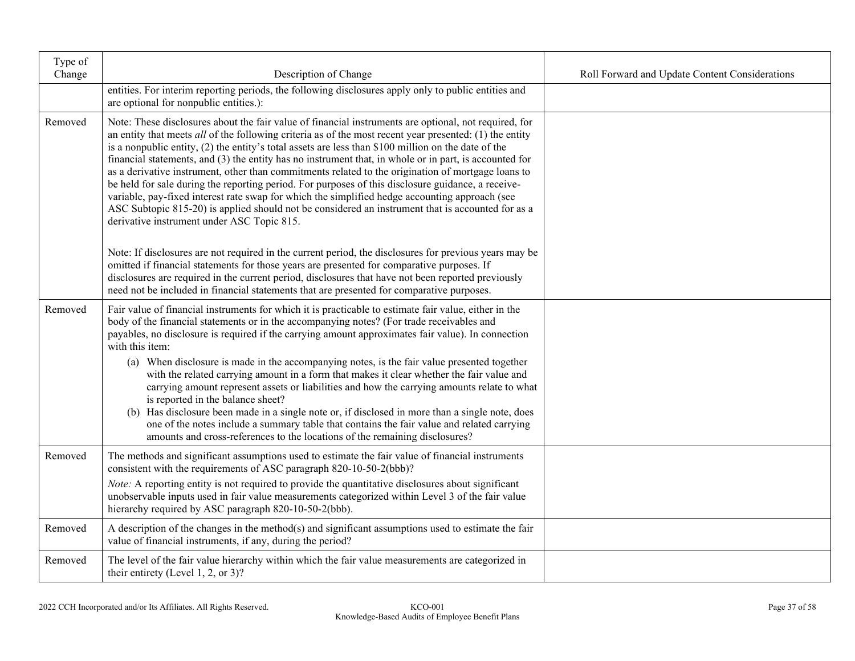| Type of<br>Change | Description of Change                                                                                                                                                                                                                                                                                                                                                                                                                                                                                                                                                                                                                                                                                                                                                                                                                                                                                | Roll Forward and Update Content Considerations |
|-------------------|------------------------------------------------------------------------------------------------------------------------------------------------------------------------------------------------------------------------------------------------------------------------------------------------------------------------------------------------------------------------------------------------------------------------------------------------------------------------------------------------------------------------------------------------------------------------------------------------------------------------------------------------------------------------------------------------------------------------------------------------------------------------------------------------------------------------------------------------------------------------------------------------------|------------------------------------------------|
|                   | entities. For interim reporting periods, the following disclosures apply only to public entities and<br>are optional for nonpublic entities.):                                                                                                                                                                                                                                                                                                                                                                                                                                                                                                                                                                                                                                                                                                                                                       |                                                |
| Removed           | Note: These disclosures about the fair value of financial instruments are optional, not required, for<br>an entity that meets all of the following criteria as of the most recent year presented: (1) the entity<br>is a nonpublic entity, $(2)$ the entity's total assets are less than \$100 million on the date of the<br>financial statements, and (3) the entity has no instrument that, in whole or in part, is accounted for<br>as a derivative instrument, other than commitments related to the origination of mortgage loans to<br>be held for sale during the reporting period. For purposes of this disclosure guidance, a receive-<br>variable, pay-fixed interest rate swap for which the simplified hedge accounting approach (see<br>ASC Subtopic 815-20) is applied should not be considered an instrument that is accounted for as a<br>derivative instrument under ASC Topic 815. |                                                |
|                   | Note: If disclosures are not required in the current period, the disclosures for previous years may be<br>omitted if financial statements for those years are presented for comparative purposes. If<br>disclosures are required in the current period, disclosures that have not been reported previously<br>need not be included in financial statements that are presented for comparative purposes.                                                                                                                                                                                                                                                                                                                                                                                                                                                                                              |                                                |
| Removed           | Fair value of financial instruments for which it is practicable to estimate fair value, either in the<br>body of the financial statements or in the accompanying notes? (For trade receivables and<br>payables, no disclosure is required if the carrying amount approximates fair value). In connection<br>with this item:                                                                                                                                                                                                                                                                                                                                                                                                                                                                                                                                                                          |                                                |
|                   | (a) When disclosure is made in the accompanying notes, is the fair value presented together<br>with the related carrying amount in a form that makes it clear whether the fair value and<br>carrying amount represent assets or liabilities and how the carrying amounts relate to what<br>is reported in the balance sheet?<br>(b) Has disclosure been made in a single note or, if disclosed in more than a single note, does<br>one of the notes include a summary table that contains the fair value and related carrying<br>amounts and cross-references to the locations of the remaining disclosures?                                                                                                                                                                                                                                                                                         |                                                |
| Removed           | The methods and significant assumptions used to estimate the fair value of financial instruments<br>consistent with the requirements of ASC paragraph 820-10-50-2(bbb)?                                                                                                                                                                                                                                                                                                                                                                                                                                                                                                                                                                                                                                                                                                                              |                                                |
|                   | Note: A reporting entity is not required to provide the quantitative disclosures about significant<br>unobservable inputs used in fair value measurements categorized within Level 3 of the fair value<br>hierarchy required by ASC paragraph 820-10-50-2(bbb).                                                                                                                                                                                                                                                                                                                                                                                                                                                                                                                                                                                                                                      |                                                |
| Removed           | A description of the changes in the method(s) and significant assumptions used to estimate the fair<br>value of financial instruments, if any, during the period?                                                                                                                                                                                                                                                                                                                                                                                                                                                                                                                                                                                                                                                                                                                                    |                                                |
| Removed           | The level of the fair value hierarchy within which the fair value measurements are categorized in<br>their entirety (Level 1, 2, or 3)?                                                                                                                                                                                                                                                                                                                                                                                                                                                                                                                                                                                                                                                                                                                                                              |                                                |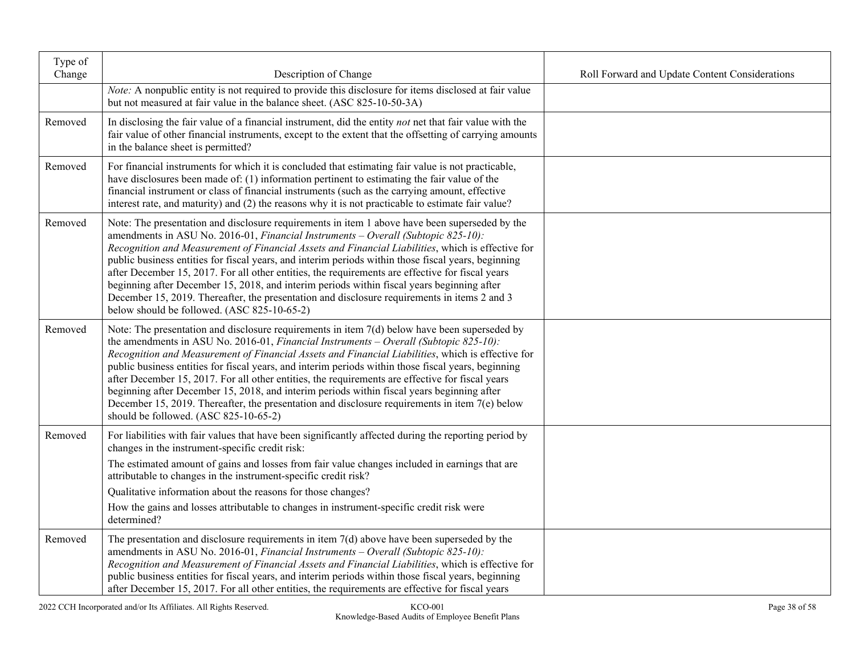| Type of<br>Change | Description of Change                                                                                                                                                                                                                                                                                                                                                                                                                                                                                                                                                                                                                                                                                                                             | Roll Forward and Update Content Considerations |
|-------------------|---------------------------------------------------------------------------------------------------------------------------------------------------------------------------------------------------------------------------------------------------------------------------------------------------------------------------------------------------------------------------------------------------------------------------------------------------------------------------------------------------------------------------------------------------------------------------------------------------------------------------------------------------------------------------------------------------------------------------------------------------|------------------------------------------------|
|                   | Note: A nonpublic entity is not required to provide this disclosure for items disclosed at fair value<br>but not measured at fair value in the balance sheet. (ASC 825-10-50-3A)                                                                                                                                                                                                                                                                                                                                                                                                                                                                                                                                                                  |                                                |
| Removed           | In disclosing the fair value of a financial instrument, did the entity not net that fair value with the<br>fair value of other financial instruments, except to the extent that the offsetting of carrying amounts<br>in the balance sheet is permitted?                                                                                                                                                                                                                                                                                                                                                                                                                                                                                          |                                                |
| Removed           | For financial instruments for which it is concluded that estimating fair value is not practicable,<br>have disclosures been made of: (1) information pertinent to estimating the fair value of the<br>financial instrument or class of financial instruments (such as the carrying amount, effective<br>interest rate, and maturity) and (2) the reasons why it is not practicable to estimate fair value?                                                                                                                                                                                                                                                                                                                                        |                                                |
| Removed           | Note: The presentation and disclosure requirements in item 1 above have been superseded by the<br>amendments in ASU No. 2016-01, Financial Instruments - Overall (Subtopic 825-10):<br>Recognition and Measurement of Financial Assets and Financial Liabilities, which is effective for<br>public business entities for fiscal years, and interim periods within those fiscal years, beginning<br>after December 15, 2017. For all other entities, the requirements are effective for fiscal years<br>beginning after December 15, 2018, and interim periods within fiscal years beginning after<br>December 15, 2019. Thereafter, the presentation and disclosure requirements in items 2 and 3<br>below should be followed. (ASC 825-10-65-2)  |                                                |
| Removed           | Note: The presentation and disclosure requirements in item 7(d) below have been superseded by<br>the amendments in ASU No. 2016-01, Financial Instruments – Overall (Subtopic 825-10):<br>Recognition and Measurement of Financial Assets and Financial Liabilities, which is effective for<br>public business entities for fiscal years, and interim periods within those fiscal years, beginning<br>after December 15, 2017. For all other entities, the requirements are effective for fiscal years<br>beginning after December 15, 2018, and interim periods within fiscal years beginning after<br>December 15, 2019. Thereafter, the presentation and disclosure requirements in item $7(e)$ below<br>should be followed. (ASC 825-10-65-2) |                                                |
| Removed           | For liabilities with fair values that have been significantly affected during the reporting period by<br>changes in the instrument-specific credit risk:                                                                                                                                                                                                                                                                                                                                                                                                                                                                                                                                                                                          |                                                |
|                   | The estimated amount of gains and losses from fair value changes included in earnings that are<br>attributable to changes in the instrument-specific credit risk?                                                                                                                                                                                                                                                                                                                                                                                                                                                                                                                                                                                 |                                                |
|                   | Qualitative information about the reasons for those changes?                                                                                                                                                                                                                                                                                                                                                                                                                                                                                                                                                                                                                                                                                      |                                                |
|                   | How the gains and losses attributable to changes in instrument-specific credit risk were<br>determined?                                                                                                                                                                                                                                                                                                                                                                                                                                                                                                                                                                                                                                           |                                                |
| Removed           | The presentation and disclosure requirements in item $7(d)$ above have been superseded by the<br>amendments in ASU No. 2016-01, Financial Instruments - Overall (Subtopic 825-10):<br>Recognition and Measurement of Financial Assets and Financial Liabilities, which is effective for<br>public business entities for fiscal years, and interim periods within those fiscal years, beginning<br>after December 15, 2017. For all other entities, the requirements are effective for fiscal years                                                                                                                                                                                                                                                |                                                |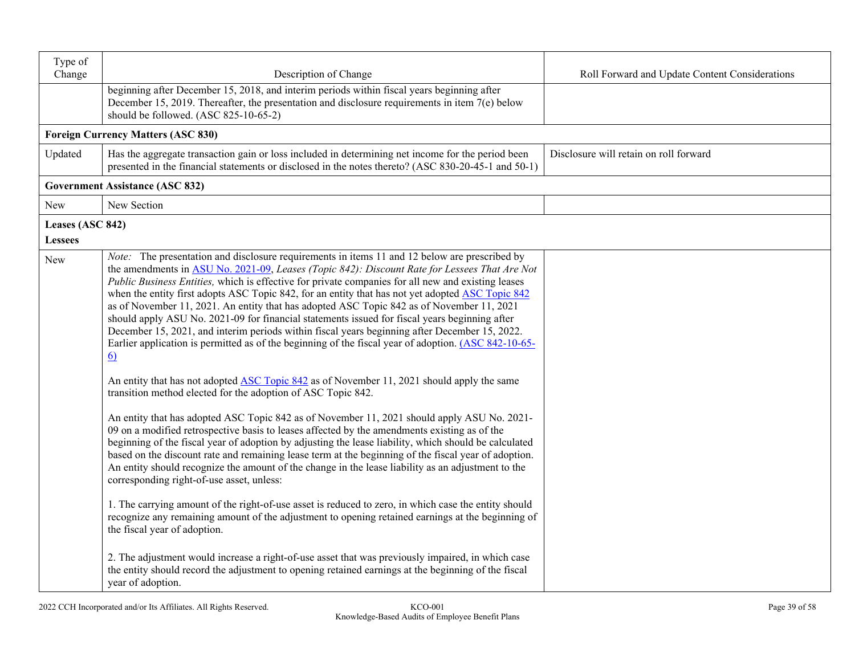| Type of<br>Change | Description of Change                                                                                                                                                                                                                                                                                                                                                                                                                                                                                                                                                                                                                                                                                                                                                                                                 | Roll Forward and Update Content Considerations |
|-------------------|-----------------------------------------------------------------------------------------------------------------------------------------------------------------------------------------------------------------------------------------------------------------------------------------------------------------------------------------------------------------------------------------------------------------------------------------------------------------------------------------------------------------------------------------------------------------------------------------------------------------------------------------------------------------------------------------------------------------------------------------------------------------------------------------------------------------------|------------------------------------------------|
|                   | beginning after December 15, 2018, and interim periods within fiscal years beginning after<br>December 15, 2019. Thereafter, the presentation and disclosure requirements in item 7(e) below<br>should be followed. (ASC 825-10-65-2)                                                                                                                                                                                                                                                                                                                                                                                                                                                                                                                                                                                 |                                                |
|                   | <b>Foreign Currency Matters (ASC 830)</b>                                                                                                                                                                                                                                                                                                                                                                                                                                                                                                                                                                                                                                                                                                                                                                             |                                                |
| Updated           | Has the aggregate transaction gain or loss included in determining net income for the period been<br>presented in the financial statements or disclosed in the notes thereto? (ASC 830-20-45-1 and 50-1)                                                                                                                                                                                                                                                                                                                                                                                                                                                                                                                                                                                                              | Disclosure will retain on roll forward         |
|                   | <b>Government Assistance (ASC 832)</b>                                                                                                                                                                                                                                                                                                                                                                                                                                                                                                                                                                                                                                                                                                                                                                                |                                                |
| New               | New Section                                                                                                                                                                                                                                                                                                                                                                                                                                                                                                                                                                                                                                                                                                                                                                                                           |                                                |
| Leases (ASC 842)  |                                                                                                                                                                                                                                                                                                                                                                                                                                                                                                                                                                                                                                                                                                                                                                                                                       |                                                |
| <b>Lessees</b>    |                                                                                                                                                                                                                                                                                                                                                                                                                                                                                                                                                                                                                                                                                                                                                                                                                       |                                                |
| <b>New</b>        | Note: The presentation and disclosure requirements in items 11 and 12 below are prescribed by<br>the amendments in ASU No. 2021-09, Leases (Topic 842): Discount Rate for Lessees That Are Not<br>Public Business Entities, which is effective for private companies for all new and existing leases<br>when the entity first adopts ASC Topic 842, for an entity that has not yet adopted ASC Topic 842<br>as of November 11, 2021. An entity that has adopted ASC Topic 842 as of November 11, 2021<br>should apply ASU No. 2021-09 for financial statements issued for fiscal years beginning after<br>December 15, 2021, and interim periods within fiscal years beginning after December 15, 2022.<br>Earlier application is permitted as of the beginning of the fiscal year of adoption. (ASC 842-10-65-<br>6) |                                                |
|                   | An entity that has not adopted ASC Topic 842 as of November 11, 2021 should apply the same<br>transition method elected for the adoption of ASC Topic 842.                                                                                                                                                                                                                                                                                                                                                                                                                                                                                                                                                                                                                                                            |                                                |
|                   | An entity that has adopted ASC Topic 842 as of November 11, 2021 should apply ASU No. 2021-<br>09 on a modified retrospective basis to leases affected by the amendments existing as of the<br>beginning of the fiscal year of adoption by adjusting the lease liability, which should be calculated<br>based on the discount rate and remaining lease term at the beginning of the fiscal year of adoption.<br>An entity should recognize the amount of the change in the lease liability as an adjustment to the<br>corresponding right-of-use asset, unless:                                                                                                                                                                                                                                                       |                                                |
|                   | 1. The carrying amount of the right-of-use asset is reduced to zero, in which case the entity should<br>recognize any remaining amount of the adjustment to opening retained earnings at the beginning of<br>the fiscal year of adoption.                                                                                                                                                                                                                                                                                                                                                                                                                                                                                                                                                                             |                                                |
|                   | 2. The adjustment would increase a right-of-use asset that was previously impaired, in which case<br>the entity should record the adjustment to opening retained earnings at the beginning of the fiscal<br>year of adoption.                                                                                                                                                                                                                                                                                                                                                                                                                                                                                                                                                                                         |                                                |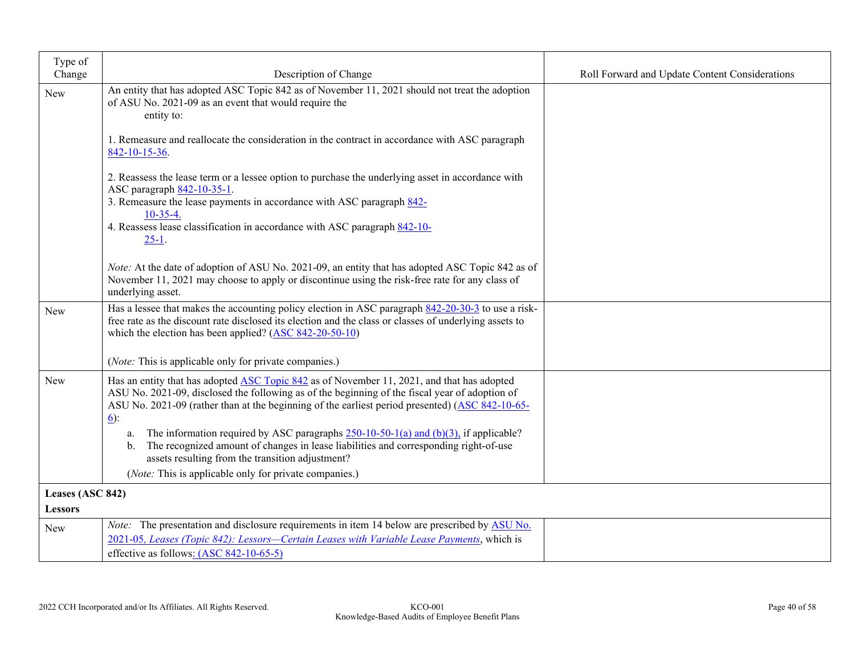| Type of          |                                                                                                                                                                                                              |                                                |
|------------------|--------------------------------------------------------------------------------------------------------------------------------------------------------------------------------------------------------------|------------------------------------------------|
| Change           | Description of Change                                                                                                                                                                                        | Roll Forward and Update Content Considerations |
| New              | An entity that has adopted ASC Topic 842 as of November 11, 2021 should not treat the adoption                                                                                                               |                                                |
|                  | of ASU No. 2021-09 as an event that would require the<br>entity to:                                                                                                                                          |                                                |
|                  |                                                                                                                                                                                                              |                                                |
|                  | 1. Remeasure and reallocate the consideration in the contract in accordance with ASC paragraph<br>842-10-15-36.                                                                                              |                                                |
|                  | 2. Reassess the lease term or a lessee option to purchase the underlying asset in accordance with                                                                                                            |                                                |
|                  | ASC paragraph 842-10-35-1.                                                                                                                                                                                   |                                                |
|                  | 3. Remeasure the lease payments in accordance with ASC paragraph 842-<br>$10-35-4.$                                                                                                                          |                                                |
|                  | 4. Reassess lease classification in accordance with ASC paragraph 842-10-                                                                                                                                    |                                                |
|                  | $25-1$ .                                                                                                                                                                                                     |                                                |
|                  |                                                                                                                                                                                                              |                                                |
|                  | Note: At the date of adoption of ASU No. 2021-09, an entity that has adopted ASC Topic 842 as of                                                                                                             |                                                |
|                  | November 11, 2021 may choose to apply or discontinue using the risk-free rate for any class of                                                                                                               |                                                |
|                  | underlying asset.                                                                                                                                                                                            |                                                |
| New              | Has a lessee that makes the accounting policy election in ASC paragraph 842-20-30-3 to use a risk-<br>free rate as the discount rate disclosed its election and the class or classes of underlying assets to |                                                |
|                  | which the election has been applied? $(ASC 842-20-50-10)$                                                                                                                                                    |                                                |
|                  |                                                                                                                                                                                                              |                                                |
|                  | ( <i>Note:</i> This is applicable only for private companies.)                                                                                                                                               |                                                |
| New              | Has an entity that has adopted ASC Topic 842 as of November 11, 2021, and that has adopted                                                                                                                   |                                                |
|                  | ASU No. 2021-09, disclosed the following as of the beginning of the fiscal year of adoption of                                                                                                               |                                                |
|                  | ASU No. 2021-09 (rather than at the beginning of the earliest period presented) (ASC 842-10-65-<br><u>(6</u> ):                                                                                              |                                                |
|                  | The information required by ASC paragraphs $250-10-50-1$ (a) and (b)(3), if applicable?                                                                                                                      |                                                |
|                  | a.<br>The recognized amount of changes in lease liabilities and corresponding right-of-use<br>b.                                                                                                             |                                                |
|                  | assets resulting from the transition adjustment?                                                                                                                                                             |                                                |
|                  | (Note: This is applicable only for private companies.)                                                                                                                                                       |                                                |
| Leases (ASC 842) |                                                                                                                                                                                                              |                                                |
| <b>Lessors</b>   |                                                                                                                                                                                                              |                                                |
| New              | <i>Note:</i> The presentation and disclosure requirements in item 14 below are prescribed by ASU No.                                                                                                         |                                                |
|                  | 2021-05, Leases (Topic 842): Lessors—Certain Leases with Variable Lease Payments, which is                                                                                                                   |                                                |
|                  | effective as follows: (ASC 842-10-65-5)                                                                                                                                                                      |                                                |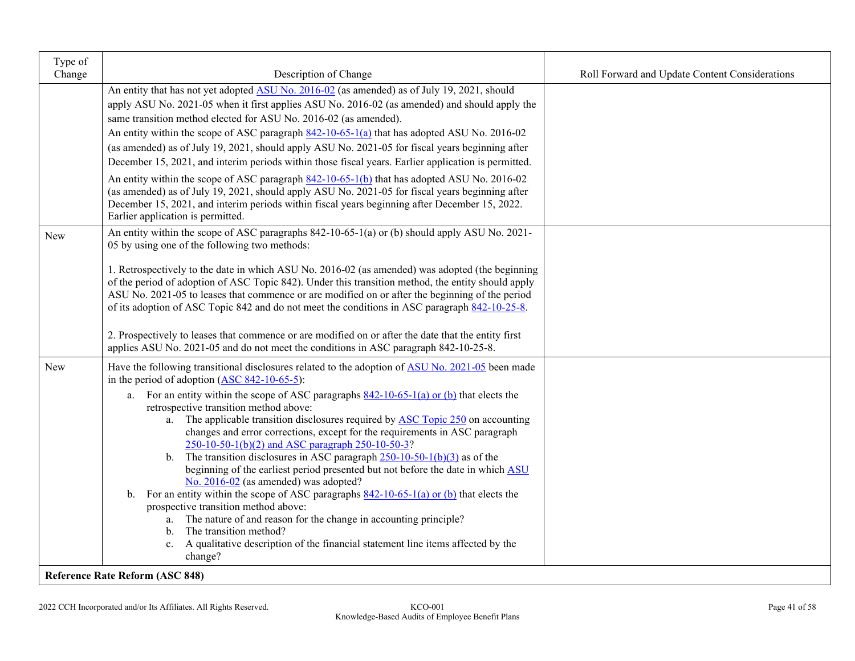| Type of<br>Change | Description of Change                                                                                                                                                                                                                                                                                                                                                                                                                                                                                                                                                                                                                                                                                                                                                                                                                                                                                                               | Roll Forward and Update Content Considerations |
|-------------------|-------------------------------------------------------------------------------------------------------------------------------------------------------------------------------------------------------------------------------------------------------------------------------------------------------------------------------------------------------------------------------------------------------------------------------------------------------------------------------------------------------------------------------------------------------------------------------------------------------------------------------------------------------------------------------------------------------------------------------------------------------------------------------------------------------------------------------------------------------------------------------------------------------------------------------------|------------------------------------------------|
|                   | An entity that has not yet adopted ASU No. 2016-02 (as amended) as of July 19, 2021, should<br>apply ASU No. 2021-05 when it first applies ASU No. 2016-02 (as amended) and should apply the<br>same transition method elected for ASU No. 2016-02 (as amended).<br>An entity within the scope of ASC paragraph $842-10-65-1$ (a) that has adopted ASU No. 2016-02<br>(as amended) as of July 19, 2021, should apply ASU No. 2021-05 for fiscal years beginning after<br>December 15, 2021, and interim periods within those fiscal years. Earlier application is permitted.<br>An entity within the scope of ASC paragraph 842-10-65-1(b) that has adopted ASU No. 2016-02<br>(as amended) as of July 19, 2021, should apply ASU No. 2021-05 for fiscal years beginning after                                                                                                                                                      |                                                |
|                   | December 15, 2021, and interim periods within fiscal years beginning after December 15, 2022.<br>Earlier application is permitted.                                                                                                                                                                                                                                                                                                                                                                                                                                                                                                                                                                                                                                                                                                                                                                                                  |                                                |
| New               | An entity within the scope of ASC paragraphs 842-10-65-1(a) or (b) should apply ASU No. 2021-<br>05 by using one of the following two methods:                                                                                                                                                                                                                                                                                                                                                                                                                                                                                                                                                                                                                                                                                                                                                                                      |                                                |
|                   | 1. Retrospectively to the date in which ASU No. 2016-02 (as amended) was adopted (the beginning<br>of the period of adoption of ASC Topic 842). Under this transition method, the entity should apply<br>ASU No. 2021-05 to leases that commence or are modified on or after the beginning of the period<br>of its adoption of ASC Topic 842 and do not meet the conditions in ASC paragraph 842-10-25-8.                                                                                                                                                                                                                                                                                                                                                                                                                                                                                                                           |                                                |
|                   | 2. Prospectively to leases that commence or are modified on or after the date that the entity first<br>applies ASU No. 2021-05 and do not meet the conditions in ASC paragraph 842-10-25-8.                                                                                                                                                                                                                                                                                                                                                                                                                                                                                                                                                                                                                                                                                                                                         |                                                |
| New               | Have the following transitional disclosures related to the adoption of ASU No. 2021-05 been made<br>in the period of adoption $(ASC 842-10-65-5)$ :                                                                                                                                                                                                                                                                                                                                                                                                                                                                                                                                                                                                                                                                                                                                                                                 |                                                |
|                   | a. For an entity within the scope of ASC paragraphs $842-10-65-1$ (a) or (b) that elects the<br>retrospective transition method above:<br>a. The applicable transition disclosures required by <b>ASC Topic 250</b> on accounting<br>changes and error corrections, except for the requirements in ASC paragraph<br>250-10-50-1(b)(2) and ASC paragraph 250-10-50-3?<br>b. The transition disclosures in ASC paragraph $250-10-50-1(b)(3)$ as of the<br>beginning of the earliest period presented but not before the date in which ASU<br>No. 2016-02 (as amended) was adopted?<br>b. For an entity within the scope of ASC paragraphs $842-10-65-1$ (a) or (b) that elects the<br>prospective transition method above:<br>The nature of and reason for the change in accounting principle?<br>a.<br>The transition method?<br>b.<br>c. A qualitative description of the financial statement line items affected by the<br>change? |                                                |
|                   | <b>Reference Rate Reform (ASC 848)</b>                                                                                                                                                                                                                                                                                                                                                                                                                                                                                                                                                                                                                                                                                                                                                                                                                                                                                              |                                                |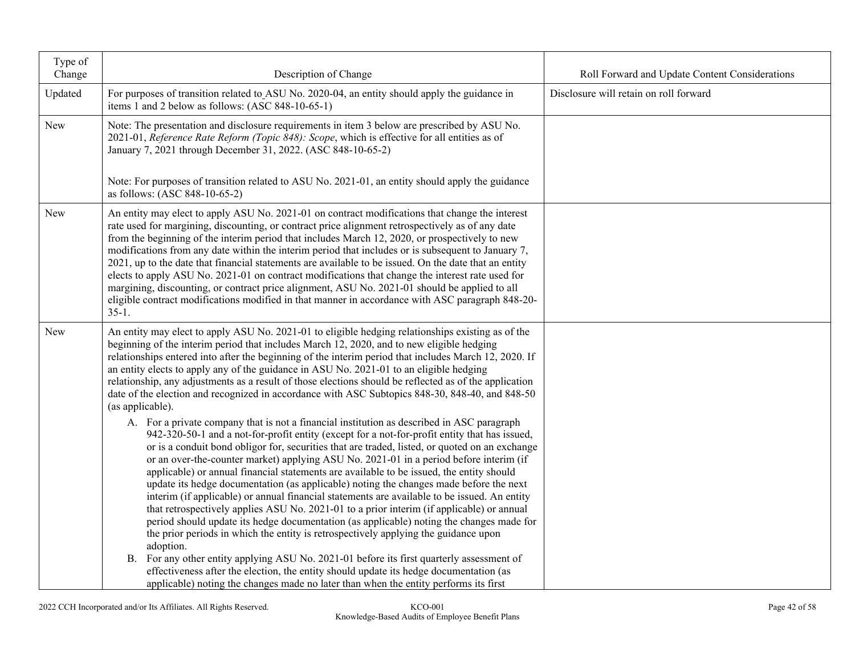| Type of<br>Change | Description of Change                                                                                                                                                                                                                                                                                                                                                                                                                                                                                                                                                                                                                                                                                                                                                                                                                                                                                                                                                                                                                                                                                                                                                                                                                                                                                                                                                                                                                                                                                                                                                                                             | Roll Forward and Update Content Considerations |
|-------------------|-------------------------------------------------------------------------------------------------------------------------------------------------------------------------------------------------------------------------------------------------------------------------------------------------------------------------------------------------------------------------------------------------------------------------------------------------------------------------------------------------------------------------------------------------------------------------------------------------------------------------------------------------------------------------------------------------------------------------------------------------------------------------------------------------------------------------------------------------------------------------------------------------------------------------------------------------------------------------------------------------------------------------------------------------------------------------------------------------------------------------------------------------------------------------------------------------------------------------------------------------------------------------------------------------------------------------------------------------------------------------------------------------------------------------------------------------------------------------------------------------------------------------------------------------------------------------------------------------------------------|------------------------------------------------|
| Updated           | For purposes of transition related to ASU No. 2020-04, an entity should apply the guidance in<br>items 1 and 2 below as follows: (ASC 848-10-65-1)                                                                                                                                                                                                                                                                                                                                                                                                                                                                                                                                                                                                                                                                                                                                                                                                                                                                                                                                                                                                                                                                                                                                                                                                                                                                                                                                                                                                                                                                | Disclosure will retain on roll forward         |
| New               | Note: The presentation and disclosure requirements in item 3 below are prescribed by ASU No.<br>2021-01, Reference Rate Reform (Topic 848): Scope, which is effective for all entities as of<br>January 7, 2021 through December 31, 2022. (ASC 848-10-65-2)                                                                                                                                                                                                                                                                                                                                                                                                                                                                                                                                                                                                                                                                                                                                                                                                                                                                                                                                                                                                                                                                                                                                                                                                                                                                                                                                                      |                                                |
|                   | Note: For purposes of transition related to ASU No. 2021-01, an entity should apply the guidance<br>as follows: (ASC 848-10-65-2)                                                                                                                                                                                                                                                                                                                                                                                                                                                                                                                                                                                                                                                                                                                                                                                                                                                                                                                                                                                                                                                                                                                                                                                                                                                                                                                                                                                                                                                                                 |                                                |
| New               | An entity may elect to apply ASU No. 2021-01 on contract modifications that change the interest<br>rate used for margining, discounting, or contract price alignment retrospectively as of any date<br>from the beginning of the interim period that includes March 12, 2020, or prospectively to new<br>modifications from any date within the interim period that includes or is subsequent to January 7,<br>2021, up to the date that financial statements are available to be issued. On the date that an entity<br>elects to apply ASU No. 2021-01 on contract modifications that change the interest rate used for<br>margining, discounting, or contract price alignment, ASU No. 2021-01 should be applied to all<br>eligible contract modifications modified in that manner in accordance with ASC paragraph 848-20-<br>$35-1.$                                                                                                                                                                                                                                                                                                                                                                                                                                                                                                                                                                                                                                                                                                                                                                          |                                                |
| New               | An entity may elect to apply ASU No. 2021-01 to eligible hedging relationships existing as of the<br>beginning of the interim period that includes March 12, 2020, and to new eligible hedging<br>relationships entered into after the beginning of the interim period that includes March 12, 2020. If<br>an entity elects to apply any of the guidance in ASU No. 2021-01 to an eligible hedging<br>relationship, any adjustments as a result of those elections should be reflected as of the application<br>date of the election and recognized in accordance with ASC Subtopics 848-30, 848-40, and 848-50<br>(as applicable).<br>A. For a private company that is not a financial institution as described in ASC paragraph<br>942-320-50-1 and a not-for-profit entity (except for a not-for-profit entity that has issued,<br>or is a conduit bond obligor for, securities that are traded, listed, or quoted on an exchange<br>or an over-the-counter market) applying ASU No. 2021-01 in a period before interim (if<br>applicable) or annual financial statements are available to be issued, the entity should<br>update its hedge documentation (as applicable) noting the changes made before the next<br>interim (if applicable) or annual financial statements are available to be issued. An entity<br>that retrospectively applies ASU No. 2021-01 to a prior interim (if applicable) or annual<br>period should update its hedge documentation (as applicable) noting the changes made for<br>the prior periods in which the entity is retrospectively applying the guidance upon<br>adoption. |                                                |
|                   | B. For any other entity applying ASU No. 2021-01 before its first quarterly assessment of<br>effectiveness after the election, the entity should update its hedge documentation (as<br>applicable) noting the changes made no later than when the entity performs its first                                                                                                                                                                                                                                                                                                                                                                                                                                                                                                                                                                                                                                                                                                                                                                                                                                                                                                                                                                                                                                                                                                                                                                                                                                                                                                                                       |                                                |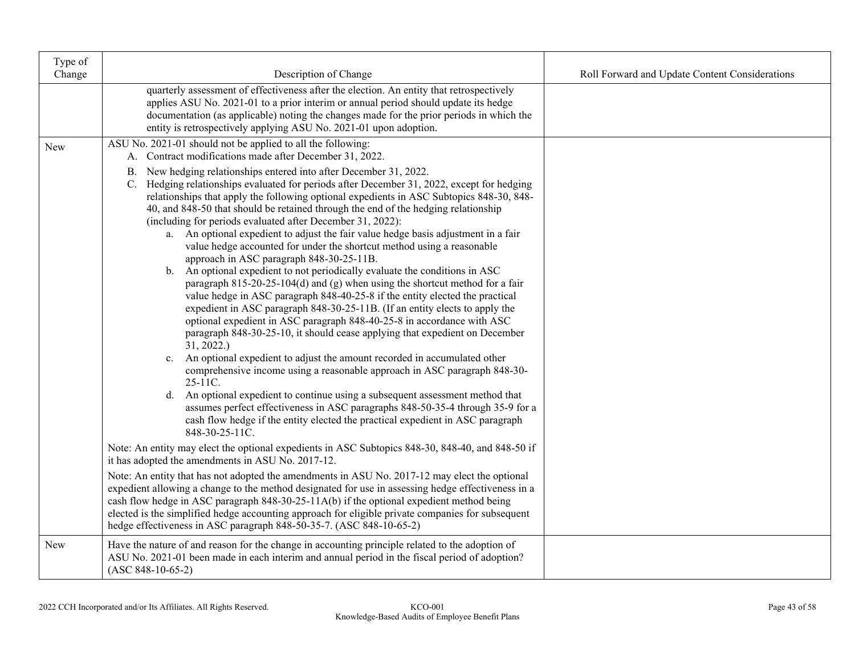| Type of<br>Change | Description of Change                                                                                                                                                                                                                                                                                                                                                                                                                                                                                                                                                                                                                                                                                                                                                                                                                                                                                                                                                                                                                                                                                                                                                                                                                                                                                                                                                                                                                                                                                                                                                                                                                                                                                                                                                                                                                                                                                                                                                                                                                                                                                                                                                      | Roll Forward and Update Content Considerations |
|-------------------|----------------------------------------------------------------------------------------------------------------------------------------------------------------------------------------------------------------------------------------------------------------------------------------------------------------------------------------------------------------------------------------------------------------------------------------------------------------------------------------------------------------------------------------------------------------------------------------------------------------------------------------------------------------------------------------------------------------------------------------------------------------------------------------------------------------------------------------------------------------------------------------------------------------------------------------------------------------------------------------------------------------------------------------------------------------------------------------------------------------------------------------------------------------------------------------------------------------------------------------------------------------------------------------------------------------------------------------------------------------------------------------------------------------------------------------------------------------------------------------------------------------------------------------------------------------------------------------------------------------------------------------------------------------------------------------------------------------------------------------------------------------------------------------------------------------------------------------------------------------------------------------------------------------------------------------------------------------------------------------------------------------------------------------------------------------------------------------------------------------------------------------------------------------------------|------------------------------------------------|
|                   | quarterly assessment of effectiveness after the election. An entity that retrospectively<br>applies ASU No. 2021-01 to a prior interim or annual period should update its hedge<br>documentation (as applicable) noting the changes made for the prior periods in which the<br>entity is retrospectively applying ASU No. 2021-01 upon adoption.                                                                                                                                                                                                                                                                                                                                                                                                                                                                                                                                                                                                                                                                                                                                                                                                                                                                                                                                                                                                                                                                                                                                                                                                                                                                                                                                                                                                                                                                                                                                                                                                                                                                                                                                                                                                                           |                                                |
| New               | ASU No. 2021-01 should not be applied to all the following:<br>A. Contract modifications made after December 31, 2022.<br>New hedging relationships entered into after December 31, 2022.<br>B.<br>C. Hedging relationships evaluated for periods after December 31, 2022, except for hedging<br>relationships that apply the following optional expedients in ASC Subtopics 848-30, 848-<br>40, and 848-50 that should be retained through the end of the hedging relationship<br>(including for periods evaluated after December 31, 2022):<br>a. An optional expedient to adjust the fair value hedge basis adjustment in a fair<br>value hedge accounted for under the shortcut method using a reasonable<br>approach in ASC paragraph 848-30-25-11B.<br>b. An optional expedient to not periodically evaluate the conditions in ASC<br>paragraph $815-20-25-104(d)$ and (g) when using the shortcut method for a fair<br>value hedge in ASC paragraph 848-40-25-8 if the entity elected the practical<br>expedient in ASC paragraph 848-30-25-11B. (If an entity elects to apply the<br>optional expedient in ASC paragraph 848-40-25-8 in accordance with ASC<br>paragraph 848-30-25-10, it should cease applying that expedient on December<br>31, 2022.<br>c. An optional expedient to adjust the amount recorded in accumulated other<br>comprehensive income using a reasonable approach in ASC paragraph 848-30-<br>25-11C.<br>d. An optional expedient to continue using a subsequent assessment method that<br>assumes perfect effectiveness in ASC paragraphs 848-50-35-4 through 35-9 for a<br>cash flow hedge if the entity elected the practical expedient in ASC paragraph<br>848-30-25-11C.<br>Note: An entity may elect the optional expedients in ASC Subtopics 848-30, 848-40, and 848-50 if<br>it has adopted the amendments in ASU No. 2017-12.<br>Note: An entity that has not adopted the amendments in ASU No. 2017-12 may elect the optional<br>expedient allowing a change to the method designated for use in assessing hedge effectiveness in a<br>cash flow hedge in ASC paragraph 848-30-25-11A(b) if the optional expedient method being |                                                |
|                   | elected is the simplified hedge accounting approach for eligible private companies for subsequent<br>hedge effectiveness in ASC paragraph 848-50-35-7. (ASC 848-10-65-2)                                                                                                                                                                                                                                                                                                                                                                                                                                                                                                                                                                                                                                                                                                                                                                                                                                                                                                                                                                                                                                                                                                                                                                                                                                                                                                                                                                                                                                                                                                                                                                                                                                                                                                                                                                                                                                                                                                                                                                                                   |                                                |
| New               | Have the nature of and reason for the change in accounting principle related to the adoption of<br>ASU No. 2021-01 been made in each interim and annual period in the fiscal period of adoption?<br>$(ASC 848-10-65-2)$                                                                                                                                                                                                                                                                                                                                                                                                                                                                                                                                                                                                                                                                                                                                                                                                                                                                                                                                                                                                                                                                                                                                                                                                                                                                                                                                                                                                                                                                                                                                                                                                                                                                                                                                                                                                                                                                                                                                                    |                                                |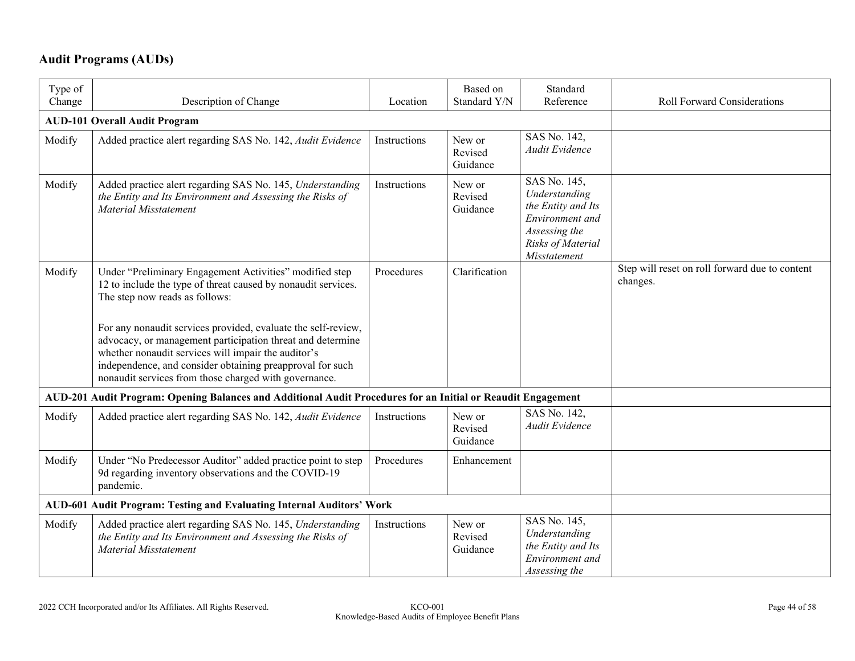## **Audit Programs (AUDs)**

| Type of<br>Change | Description of Change                                                                                                                                                                                                                                                                                    | Location     | Based on<br>Standard Y/N      | Standard<br>Reference                                                                                                        | Roll Forward Considerations                                |
|-------------------|----------------------------------------------------------------------------------------------------------------------------------------------------------------------------------------------------------------------------------------------------------------------------------------------------------|--------------|-------------------------------|------------------------------------------------------------------------------------------------------------------------------|------------------------------------------------------------|
|                   | <b>AUD-101 Overall Audit Program</b>                                                                                                                                                                                                                                                                     |              |                               |                                                                                                                              |                                                            |
| Modify            | Added practice alert regarding SAS No. 142, Audit Evidence                                                                                                                                                                                                                                               | Instructions | New or<br>Revised<br>Guidance | SAS No. 142,<br>Audit Evidence                                                                                               |                                                            |
| Modify            | Added practice alert regarding SAS No. 145, Understanding<br>the Entity and Its Environment and Assessing the Risks of<br>Material Misstatement                                                                                                                                                          | Instructions | New or<br>Revised<br>Guidance | SAS No. 145,<br>Understanding<br>the Entity and Its<br>Environment and<br>Assessing the<br>Risks of Material<br>Misstatement |                                                            |
| Modify            | Under "Preliminary Engagement Activities" modified step<br>12 to include the type of threat caused by nonaudit services.<br>The step now reads as follows:                                                                                                                                               | Procedures   | Clarification                 |                                                                                                                              | Step will reset on roll forward due to content<br>changes. |
|                   | For any nonaudit services provided, evaluate the self-review,<br>advocacy, or management participation threat and determine<br>whether nonaudit services will impair the auditor's<br>independence, and consider obtaining preapproval for such<br>nonaudit services from those charged with governance. |              |                               |                                                                                                                              |                                                            |
|                   | AUD-201 Audit Program: Opening Balances and Additional Audit Procedures for an Initial or Reaudit Engagement                                                                                                                                                                                             |              |                               |                                                                                                                              |                                                            |
| Modify            | Added practice alert regarding SAS No. 142, Audit Evidence                                                                                                                                                                                                                                               | Instructions | New or<br>Revised<br>Guidance | SAS No. 142,<br>Audit Evidence                                                                                               |                                                            |
| Modify            | Under "No Predecessor Auditor" added practice point to step<br>9d regarding inventory observations and the COVID-19<br>pandemic.                                                                                                                                                                         | Procedures   | Enhancement                   |                                                                                                                              |                                                            |
|                   | AUD-601 Audit Program: Testing and Evaluating Internal Auditors' Work                                                                                                                                                                                                                                    |              |                               |                                                                                                                              |                                                            |
| Modify            | Added practice alert regarding SAS No. 145, Understanding<br>the Entity and Its Environment and Assessing the Risks of<br>Material Misstatement                                                                                                                                                          | Instructions | New or<br>Revised<br>Guidance | SAS No. 145,<br>Understanding<br>the Entity and Its<br>Environment and<br>Assessing the                                      |                                                            |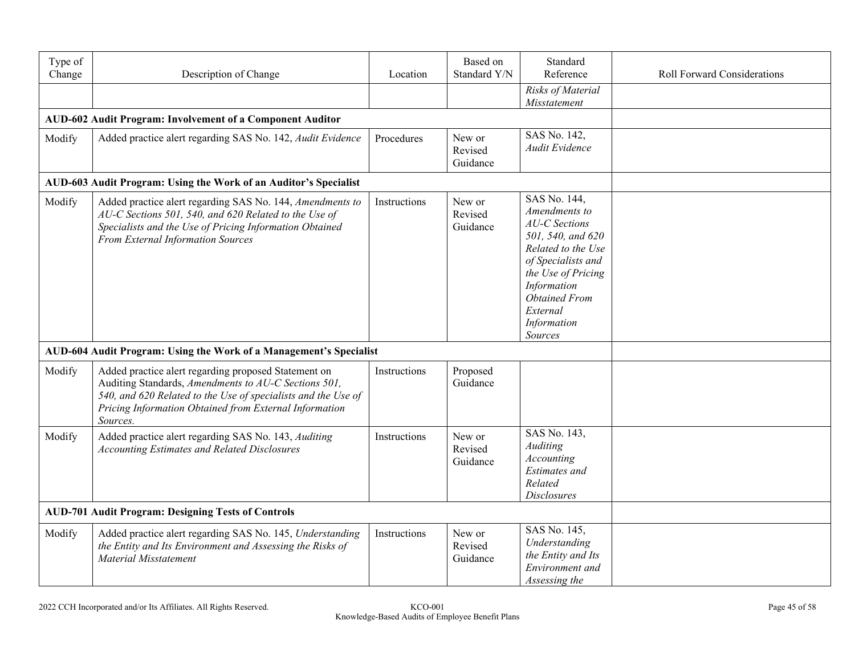| Type of<br>Change | Description of Change                                                                                                                                                                                                                               | Location     | Based on<br>Standard Y/N      | Standard<br>Reference                                                                                                                                                                                              | <b>Roll Forward Considerations</b> |
|-------------------|-----------------------------------------------------------------------------------------------------------------------------------------------------------------------------------------------------------------------------------------------------|--------------|-------------------------------|--------------------------------------------------------------------------------------------------------------------------------------------------------------------------------------------------------------------|------------------------------------|
|                   |                                                                                                                                                                                                                                                     |              |                               | Risks of Material<br>Misstatement                                                                                                                                                                                  |                                    |
|                   | AUD-602 Audit Program: Involvement of a Component Auditor                                                                                                                                                                                           |              |                               |                                                                                                                                                                                                                    |                                    |
| Modify            | Added practice alert regarding SAS No. 142, Audit Evidence                                                                                                                                                                                          | Procedures   | New or<br>Revised<br>Guidance | SAS No. 142,<br><b>Audit Evidence</b>                                                                                                                                                                              |                                    |
|                   | AUD-603 Audit Program: Using the Work of an Auditor's Specialist                                                                                                                                                                                    |              |                               |                                                                                                                                                                                                                    |                                    |
| Modify            | Added practice alert regarding SAS No. 144, Amendments to<br>AU-C Sections 501, 540, and 620 Related to the Use of<br>Specialists and the Use of Pricing Information Obtained<br><b>From External Information Sources</b>                           | Instructions | New or<br>Revised<br>Guidance | SAS No. 144,<br>Amendments to<br>AU-C Sections<br>501, 540, and 620<br>Related to the Use<br>of Specialists and<br>the Use of Pricing<br>Information<br><b>Obtained From</b><br>External<br>Information<br>Sources |                                    |
|                   | AUD-604 Audit Program: Using the Work of a Management's Specialist                                                                                                                                                                                  |              |                               |                                                                                                                                                                                                                    |                                    |
| Modify            | Added practice alert regarding proposed Statement on<br>Auditing Standards, Amendments to AU-C Sections 501,<br>540, and 620 Related to the Use of specialists and the Use of<br>Pricing Information Obtained from External Information<br>Sources. | Instructions | Proposed<br>Guidance          |                                                                                                                                                                                                                    |                                    |
| Modify            | Added practice alert regarding SAS No. 143, Auditing<br><b>Accounting Estimates and Related Disclosures</b>                                                                                                                                         | Instructions | New or<br>Revised<br>Guidance | SAS No. 143,<br><b>Auditing</b><br><b>Accounting</b><br><b>Estimates</b> and<br>Related<br><b>Disclosures</b>                                                                                                      |                                    |
|                   | <b>AUD-701 Audit Program: Designing Tests of Controls</b>                                                                                                                                                                                           |              |                               |                                                                                                                                                                                                                    |                                    |
| Modify            | Added practice alert regarding SAS No. 145, Understanding<br>the Entity and Its Environment and Assessing the Risks of<br><b>Material Misstatement</b>                                                                                              | Instructions | New or<br>Revised<br>Guidance | SAS No. 145,<br>Understanding<br>the Entity and Its<br>Environment and<br>Assessing the                                                                                                                            |                                    |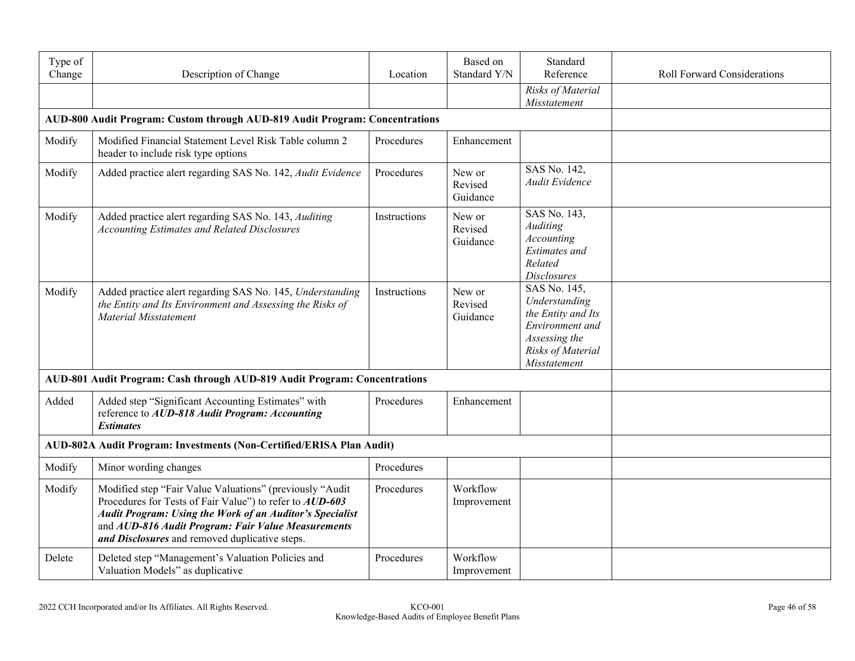| Type of<br>Change | Description of Change                                                                                                                                                                                                                                                                           | Location     | Based on<br>Standard Y/N      | Standard<br>Reference                                                                                                        | <b>Roll Forward Considerations</b> |
|-------------------|-------------------------------------------------------------------------------------------------------------------------------------------------------------------------------------------------------------------------------------------------------------------------------------------------|--------------|-------------------------------|------------------------------------------------------------------------------------------------------------------------------|------------------------------------|
|                   |                                                                                                                                                                                                                                                                                                 |              |                               | Risks of Material<br>Misstatement                                                                                            |                                    |
|                   | AUD-800 Audit Program: Custom through AUD-819 Audit Program: Concentrations                                                                                                                                                                                                                     |              |                               |                                                                                                                              |                                    |
| Modify            | Modified Financial Statement Level Risk Table column 2<br>header to include risk type options                                                                                                                                                                                                   | Procedures   | Enhancement                   |                                                                                                                              |                                    |
| Modify            | Added practice alert regarding SAS No. 142, Audit Evidence                                                                                                                                                                                                                                      | Procedures   | New or<br>Revised<br>Guidance | SAS No. 142,<br>Audit Evidence                                                                                               |                                    |
| Modify            | Added practice alert regarding SAS No. 143, Auditing<br><b>Accounting Estimates and Related Disclosures</b>                                                                                                                                                                                     | Instructions | New or<br>Revised<br>Guidance | SAS No. 143,<br><b>Auditing</b><br><b>Accounting</b><br><b>Estimates</b> and<br>Related<br><b>Disclosures</b>                |                                    |
| Modify            | Added practice alert regarding SAS No. 145, Understanding<br>the Entity and Its Environment and Assessing the Risks of<br><b>Material Misstatement</b>                                                                                                                                          | Instructions | New or<br>Revised<br>Guidance | SAS No. 145,<br>Understanding<br>the Entity and Its<br>Environment and<br>Assessing the<br>Risks of Material<br>Misstatement |                                    |
|                   | AUD-801 Audit Program: Cash through AUD-819 Audit Program: Concentrations                                                                                                                                                                                                                       |              |                               |                                                                                                                              |                                    |
| Added             | Added step "Significant Accounting Estimates" with<br>reference to AUD-818 Audit Program: Accounting<br><b>Estimates</b>                                                                                                                                                                        | Procedures   | Enhancement                   |                                                                                                                              |                                    |
|                   | AUD-802A Audit Program: Investments (Non-Certified/ERISA Plan Audit)                                                                                                                                                                                                                            |              |                               |                                                                                                                              |                                    |
| Modify            | Minor wording changes                                                                                                                                                                                                                                                                           | Procedures   |                               |                                                                                                                              |                                    |
| Modify            | Modified step "Fair Value Valuations" (previously "Audit<br>Procedures for Tests of Fair Value") to refer to AUD-603<br><b>Audit Program: Using the Work of an Auditor's Specialist</b><br>and AUD-816 Audit Program: Fair Value Measurements<br>and Disclosures and removed duplicative steps. | Procedures   | Workflow<br>Improvement       |                                                                                                                              |                                    |
| Delete            | Deleted step "Management's Valuation Policies and<br>Valuation Models" as duplicative                                                                                                                                                                                                           | Procedures   | Workflow<br>Improvement       |                                                                                                                              |                                    |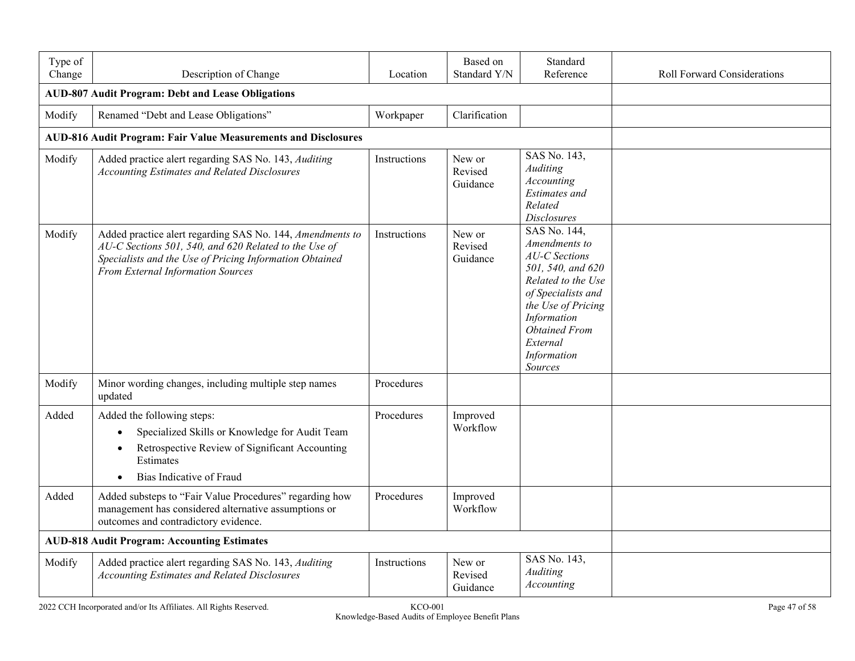| Type of<br>Change | Description of Change                                                                                                                                                                                              | Location     | Based on<br>Standard Y/N      | Standard<br>Reference                                                                                                                                                                                                            | <b>Roll Forward Considerations</b> |
|-------------------|--------------------------------------------------------------------------------------------------------------------------------------------------------------------------------------------------------------------|--------------|-------------------------------|----------------------------------------------------------------------------------------------------------------------------------------------------------------------------------------------------------------------------------|------------------------------------|
|                   | <b>AUD-807 Audit Program: Debt and Lease Obligations</b>                                                                                                                                                           |              |                               |                                                                                                                                                                                                                                  |                                    |
| Modify            | Renamed "Debt and Lease Obligations"                                                                                                                                                                               | Workpaper    | Clarification                 |                                                                                                                                                                                                                                  |                                    |
|                   | <b>AUD-816 Audit Program: Fair Value Measurements and Disclosures</b>                                                                                                                                              |              |                               |                                                                                                                                                                                                                                  |                                    |
| Modify            | Added practice alert regarding SAS No. 143, Auditing<br><b>Accounting Estimates and Related Disclosures</b>                                                                                                        | Instructions | New or<br>Revised<br>Guidance | SAS No. 143,<br>Auditing<br>Accounting<br><b>Estimates</b> and<br>Related<br><b>Disclosures</b>                                                                                                                                  |                                    |
| Modify            | Added practice alert regarding SAS No. 144, Amendments to<br>AU-C Sections 501, 540, and 620 Related to the Use of<br>Specialists and the Use of Pricing Information Obtained<br>From External Information Sources | Instructions | New or<br>Revised<br>Guidance | SAS No. 144,<br>Amendments to<br><b>AU-C</b> Sections<br>501, 540, and 620<br>Related to the Use<br>of Specialists and<br>the Use of Pricing<br>Information<br><b>Obtained From</b><br>External<br>Information<br><b>Sources</b> |                                    |
| Modify            | Minor wording changes, including multiple step names<br>updated                                                                                                                                                    | Procedures   |                               |                                                                                                                                                                                                                                  |                                    |
| Added             | Added the following steps:<br>Specialized Skills or Knowledge for Audit Team<br>Retrospective Review of Significant Accounting<br>Estimates<br>Bias Indicative of Fraud                                            | Procedures   | Improved<br>Workflow          |                                                                                                                                                                                                                                  |                                    |
| Added             | Added substeps to "Fair Value Procedures" regarding how<br>management has considered alternative assumptions or<br>outcomes and contradictory evidence.                                                            | Procedures   | Improved<br>Workflow          |                                                                                                                                                                                                                                  |                                    |
|                   | <b>AUD-818 Audit Program: Accounting Estimates</b>                                                                                                                                                                 |              |                               |                                                                                                                                                                                                                                  |                                    |
| Modify            | Added practice alert regarding SAS No. 143, Auditing<br><b>Accounting Estimates and Related Disclosures</b>                                                                                                        | Instructions | New or<br>Revised<br>Guidance | SAS No. 143,<br>Auditing<br>Accounting                                                                                                                                                                                           |                                    |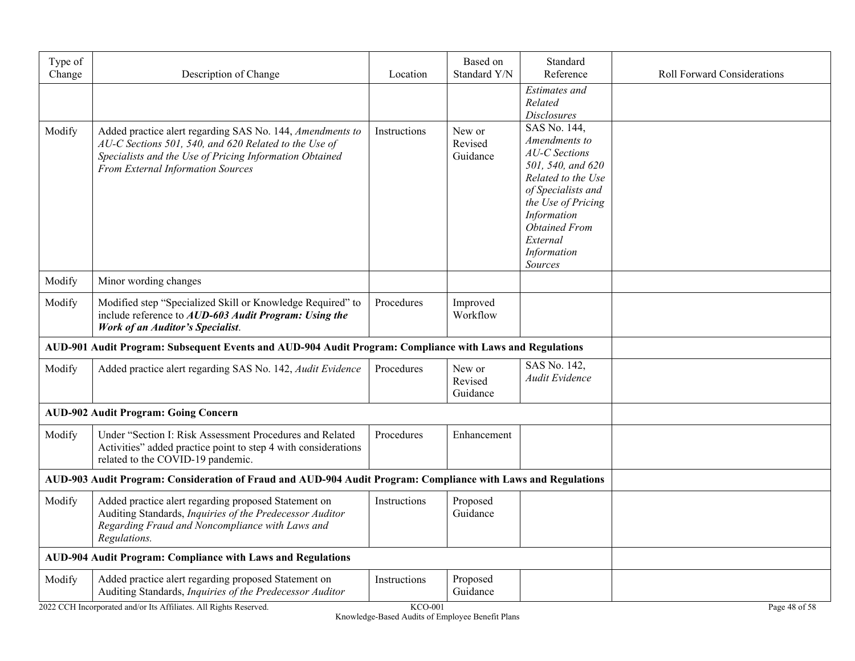| Type of<br>Change | Description of Change                                                                                                                                                                                              | Location     | Based on<br>Standard Y/N      | Standard<br>Reference                                                                                                                                                                                                     | <b>Roll Forward Considerations</b> |
|-------------------|--------------------------------------------------------------------------------------------------------------------------------------------------------------------------------------------------------------------|--------------|-------------------------------|---------------------------------------------------------------------------------------------------------------------------------------------------------------------------------------------------------------------------|------------------------------------|
|                   |                                                                                                                                                                                                                    |              |                               | <b>Estimates</b> and<br>Related<br><b>Disclosures</b>                                                                                                                                                                     |                                    |
| Modify            | Added practice alert regarding SAS No. 144, Amendments to<br>AU-C Sections 501, 540, and 620 Related to the Use of<br>Specialists and the Use of Pricing Information Obtained<br>From External Information Sources | Instructions | New or<br>Revised<br>Guidance | SAS No. 144,<br>Amendments to<br><b>AU-C</b> Sections<br>501, 540, and 620<br>Related to the Use<br>of Specialists and<br>the Use of Pricing<br>Information<br><b>Obtained From</b><br>External<br>Information<br>Sources |                                    |
| Modify            | Minor wording changes                                                                                                                                                                                              |              |                               |                                                                                                                                                                                                                           |                                    |
| Modify            | Modified step "Specialized Skill or Knowledge Required" to<br>include reference to AUD-603 Audit Program: Using the<br><b>Work of an Auditor's Specialist.</b>                                                     | Procedures   | Improved<br>Workflow          |                                                                                                                                                                                                                           |                                    |
|                   | AUD-901 Audit Program: Subsequent Events and AUD-904 Audit Program: Compliance with Laws and Regulations                                                                                                           |              |                               |                                                                                                                                                                                                                           |                                    |
| Modify            | Added practice alert regarding SAS No. 142, Audit Evidence                                                                                                                                                         | Procedures   | New or<br>Revised<br>Guidance | SAS No. 142,<br>Audit Evidence                                                                                                                                                                                            |                                    |
|                   | <b>AUD-902 Audit Program: Going Concern</b>                                                                                                                                                                        |              |                               |                                                                                                                                                                                                                           |                                    |
| Modify            | Under "Section I: Risk Assessment Procedures and Related<br>Activities" added practice point to step 4 with considerations<br>related to the COVID-19 pandemic.                                                    | Procedures   | Enhancement                   |                                                                                                                                                                                                                           |                                    |
|                   | AUD-903 Audit Program: Consideration of Fraud and AUD-904 Audit Program: Compliance with Laws and Regulations                                                                                                      |              |                               |                                                                                                                                                                                                                           |                                    |
| Modify            | Added practice alert regarding proposed Statement on<br>Auditing Standards, Inquiries of the Predecessor Auditor<br>Regarding Fraud and Noncompliance with Laws and<br>Regulations.                                | Instructions | Proposed<br>Guidance          |                                                                                                                                                                                                                           |                                    |
|                   | AUD-904 Audit Program: Compliance with Laws and Regulations                                                                                                                                                        |              |                               |                                                                                                                                                                                                                           |                                    |
| Modify            | Added practice alert regarding proposed Statement on<br>Auditing Standards, Inquiries of the Predecessor Auditor                                                                                                   | Instructions | Proposed<br>Guidance          |                                                                                                                                                                                                                           |                                    |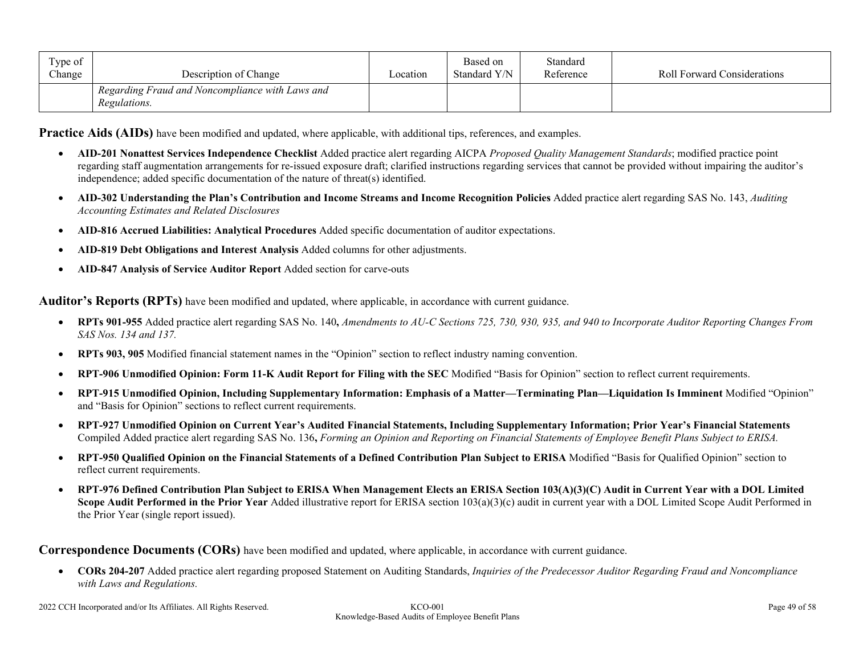| Type of<br>Change | Description of Change                                           | Location | Based on<br>Standard Y/N | Standard<br>Reference | <b>Roll Forward Considerations</b> |
|-------------------|-----------------------------------------------------------------|----------|--------------------------|-----------------------|------------------------------------|
|                   | Regarding Fraud and Noncompliance with Laws and<br>Regulations. |          |                          |                       |                                    |

**Practice Aids (AIDs)** have been modified and updated, where applicable, with additional tips, references, and examples.

- **AID-201 Nonattest Services Independence Checklist** Added practice alert regarding AICPA *Proposed Quality Management Standards*; modified practice point regarding staff augmentation arrangements for re-issued exposure draft; clarified instructions regarding services that cannot be provided without impairing the auditor's independence; added specific documentation of the nature of threat(s) identified.
- **AID-302 Understanding the Plan's Contribution and Income Streams and Income Recognition Policies** Added practice alert regarding SAS No. 143, *Auditing Accounting Estimates and Related Disclosures*
- **AID-816 Accrued Liabilities: Analytical Procedures** Added specific documentation of auditor expectations.
- **AID-819 Debt Obligations and Interest Analysis** Added columns for other adjustments.
- **AID-847 Analysis of Service Auditor Report** Added section for carve-outs

**Auditor's Reports (RPTs)** have been modified and updated, where applicable, in accordance with current guidance.

- **RPTs 901-955** Added practice alert regarding SAS No. 140**,** *Amendments to AU-C Sections 725, 730, 930, 935, and 940 to Incorporate Auditor Reporting Changes From SAS Nos. 134 and 137.*
- **RPTs 903, 905** Modified financial statement names in the "Opinion" section to reflect industry naming convention.
- **RPT-906 Unmodified Opinion: Form 11-K Audit Report for Filing with the SEC** Modified "Basis for Opinion" section to reflect current requirements.
- **RPT-915 Unmodified Opinion, Including Supplementary Information: Emphasis of a Matter—Terminating Plan—Liquidation Is Imminent** Modified "Opinion" and "Basis for Opinion" sections to reflect current requirements.
- **RPT-927 Unmodified Opinion on Current Year's Audited Financial Statements, Including Supplementary Information; Prior Year's Financial Statements** Compiled Added practice alert regarding SAS No. 136**,** *Forming an Opinion and Reporting on Financial Statements of Employee Benefit Plans Subject to ERISA.*
- **RPT-950 Qualified Opinion on the Financial Statements of a Defined Contribution Plan Subject to ERISA** Modified "Basis for Qualified Opinion" section to reflect current requirements.
- **RPT-976 Defined Contribution Plan Subject to ERISA When Management Elects an ERISA Section 103(A)(3)(C) Audit in Current Year with a DOL Limited Scope Audit Performed in the Prior Year** Added illustrative report for ERISA section 103(a)(3)(c) audit in current year with a DOL Limited Scope Audit Performed in the Prior Year (single report issued).

**Correspondence Documents (CORs)** have been modified and updated, where applicable, in accordance with current guidance.

 **CORs 204-207** Added practice alert regarding proposed Statement on Auditing Standards, *Inquiries of the Predecessor Auditor Regarding Fraud and Noncompliance with Laws and Regulations.*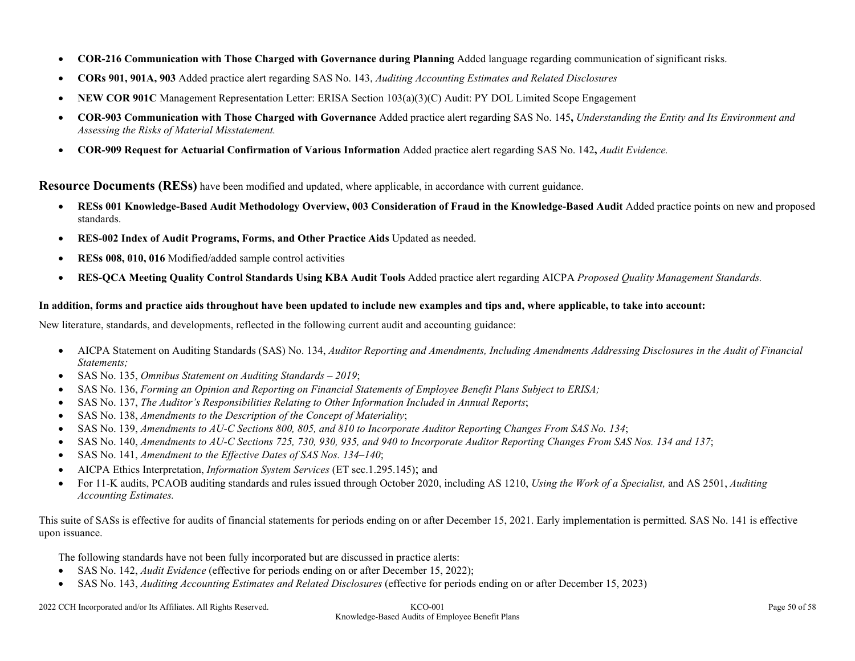- **COR-216 Communication with Those Charged with Governance during Planning** Added language regarding communication of significant risks.
- **CORs 901, 901A, 903** Added practice alert regarding SAS No. 143, *Auditing Accounting Estimates and Related Disclosures*
- **NEW COR 901C** Management Representation Letter: ERISA Section 103(a)(3)(C) Audit: PY DOL Limited Scope Engagement
- **COR-903 Communication with Those Charged with Governance** Added practice alert regarding SAS No. 145**,** *Understanding the Entity and Its Environment and Assessing the Risks of Material Misstatement.*
- **COR-909 Request for Actuarial Confirmation of Various Information** Added practice alert regarding SAS No. 142**,** *Audit Evidence.*

**Resource Documents (RESs)** have been modified and updated, where applicable, in accordance with current guidance.

- **RESs 001 Knowledge-Based Audit Methodology Overview, 003 Consideration of Fraud in the Knowledge-Based Audit** Added practice points on new and proposed standards.
- **RES-002 Index of Audit Programs, Forms, and Other Practice Aids** Updated as needed.
- **RESs 008, 010, 016** Modified/added sample control activities
- **RES-QCA Meeting Quality Control Standards Using KBA Audit Tools** Added practice alert regarding AICPA *Proposed Quality Management Standards.*

#### **In addition, forms and practice aids throughout have been updated to include new examples and tips and, where applicable, to take into account:**

New literature, standards, and developments, reflected in the following current audit and accounting guidance:

- AICPA Statement on Auditing Standards (SAS) No. 134, *Auditor Reporting and Amendments, Including Amendments Addressing Disclosures in the Audit of Financial Statements;*
- SAS No. 135, *Omnibus Statement on Auditing Standards – 2019*;
- SAS No. 136, *Forming an Opinion and Reporting on Financial Statements of Employee Benefit Plans Subject to ERISA;*
- SAS No. 137, *The Auditor's Responsibilities Relating to Other Information Included in Annual Reports*;
- SAS No. 138, *Amendments to the Description of the Concept of Materiality*;
- SAS No. 139, *Amendments to AU-C Sections 800, 805, and 810 to Incorporate Auditor Reporting Changes From SAS No. 134*;
- SAS No. 140, *Amendments to AU-C Sections 725, 730, 930, 935, and 940 to Incorporate Auditor Reporting Changes From SAS Nos. 134 and 137*;
- SAS No. 141, *Amendment to the Effective Dates of SAS Nos. 134–140*;
- AICPA Ethics Interpretation, *Information System Services* (ET sec.1.295.145); and
- For 11-K audits, PCAOB auditing standards and rules issued through October 2020, including AS 1210, *Using the Work of a Specialist,* and AS 2501, *Auditing Accounting Estimates.*

This suite of SASs is effective for audits of financial statements for periods ending on or after December 15, 2021. Early implementation is permitted*.* SAS No. 141 is effective upon issuance.

The following standards have not been fully incorporated but are discussed in practice alerts:

- SAS No. 142, *Audit Evidence* (effective for periods ending on or after December 15, 2022);
- SAS No. 143, *Auditing Accounting Estimates and Related Disclosures* (effective for periods ending on or after December 15, 2023)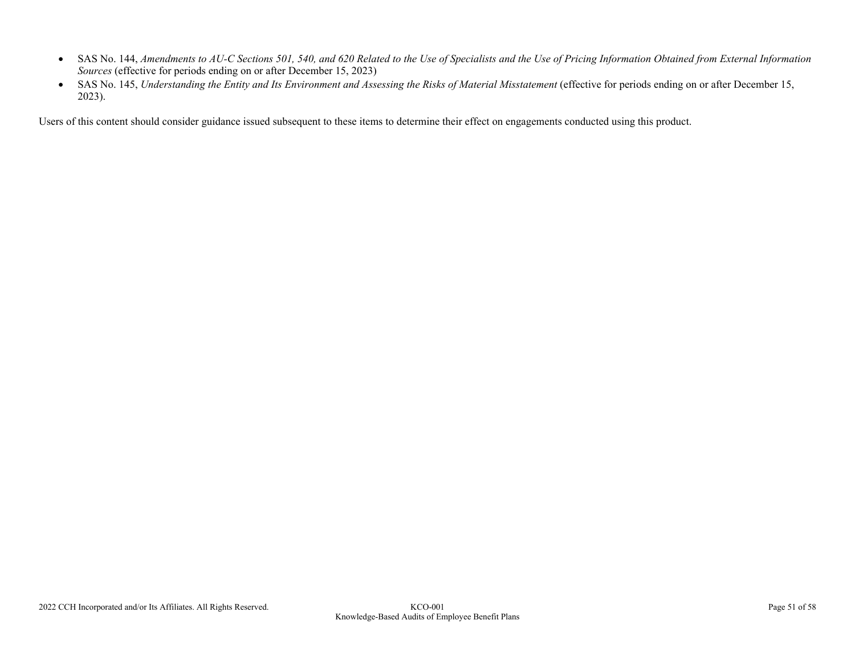- SAS No. 144, *Amendments to AU-C Sections 501, 540, and 620 Related to the Use of Specialists and the Use of Pricing Information Obtained from External Information Sources* (effective for periods ending on or after December 15, 2023)
- SAS No. 145, *Understanding the Entity and Its Environment and Assessing the Risks of Material Misstatement* (effective for periods ending on or after December 15, 2023).

Users of this content should consider guidance issued subsequent to these items to determine their effect on engagements conducted using this product.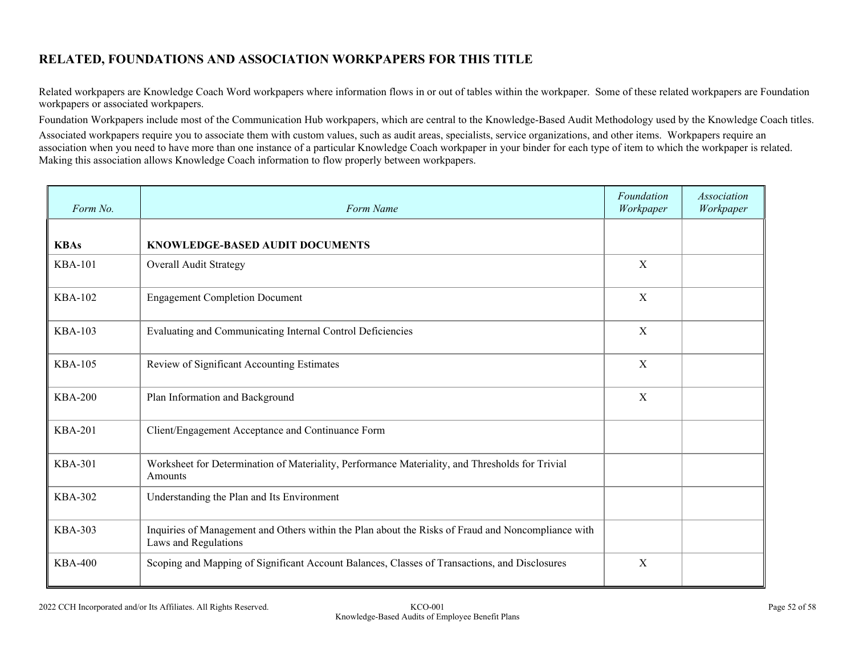## **RELATED, FOUNDATIONS AND ASSOCIATION WORKPAPERS FOR THIS TITLE**

Related workpapers are Knowledge Coach Word workpapers where information flows in or out of tables within the workpaper. Some of these related workpapers are Foundation workpapers or associated workpapers.

Foundation Workpapers include most of the Communication Hub workpapers, which are central to the Knowledge-Based Audit Methodology used by the Knowledge Coach titles.

Associated workpapers require you to associate them with custom values, such as audit areas, specialists, service organizations, and other items. Workpapers require an association when you need to have more than one instance of a particular Knowledge Coach workpaper in your binder for each type of item to which the workpaper is related. Making this association allows Knowledge Coach information to flow properly between workpapers.

| Form No.       | Form Name                                                                                                                  | Foundation<br>Workpaper   | Association<br>Workpaper |
|----------------|----------------------------------------------------------------------------------------------------------------------------|---------------------------|--------------------------|
| <b>KBAs</b>    | KNOWLEDGE-BASED AUDIT DOCUMENTS                                                                                            |                           |                          |
| <b>KBA-101</b> | Overall Audit Strategy                                                                                                     | X                         |                          |
| <b>KBA-102</b> | <b>Engagement Completion Document</b>                                                                                      | $\boldsymbol{\mathrm{X}}$ |                          |
| <b>KBA-103</b> | Evaluating and Communicating Internal Control Deficiencies                                                                 | $\boldsymbol{\mathrm{X}}$ |                          |
| <b>KBA-105</b> | Review of Significant Accounting Estimates                                                                                 | X                         |                          |
| <b>KBA-200</b> | Plan Information and Background                                                                                            | X                         |                          |
| <b>KBA-201</b> | Client/Engagement Acceptance and Continuance Form                                                                          |                           |                          |
| <b>KBA-301</b> | Worksheet for Determination of Materiality, Performance Materiality, and Thresholds for Trivial<br>Amounts                 |                           |                          |
| <b>KBA-302</b> | Understanding the Plan and Its Environment                                                                                 |                           |                          |
| <b>KBA-303</b> | Inquiries of Management and Others within the Plan about the Risks of Fraud and Noncompliance with<br>Laws and Regulations |                           |                          |
| <b>KBA-400</b> | Scoping and Mapping of Significant Account Balances, Classes of Transactions, and Disclosures                              | X                         |                          |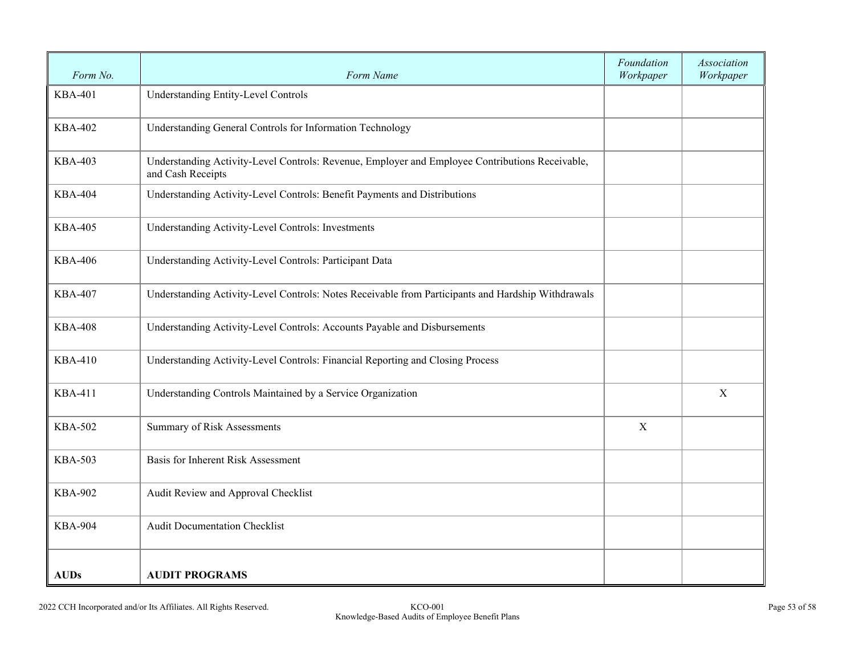| Form No.       | Form Name                                                                                                            | Foundation<br>Workpaper | <b>Association</b><br>Workpaper |
|----------------|----------------------------------------------------------------------------------------------------------------------|-------------------------|---------------------------------|
| <b>KBA-401</b> | Understanding Entity-Level Controls                                                                                  |                         |                                 |
| <b>KBA-402</b> | Understanding General Controls for Information Technology                                                            |                         |                                 |
| <b>KBA-403</b> | Understanding Activity-Level Controls: Revenue, Employer and Employee Contributions Receivable,<br>and Cash Receipts |                         |                                 |
| <b>KBA-404</b> | Understanding Activity-Level Controls: Benefit Payments and Distributions                                            |                         |                                 |
| <b>KBA-405</b> | Understanding Activity-Level Controls: Investments                                                                   |                         |                                 |
| <b>KBA-406</b> | Understanding Activity-Level Controls: Participant Data                                                              |                         |                                 |
| <b>KBA-407</b> | Understanding Activity-Level Controls: Notes Receivable from Participants and Hardship Withdrawals                   |                         |                                 |
| <b>KBA-408</b> | Understanding Activity-Level Controls: Accounts Payable and Disbursements                                            |                         |                                 |
| <b>KBA-410</b> | Understanding Activity-Level Controls: Financial Reporting and Closing Process                                       |                         |                                 |
| <b>KBA-411</b> | Understanding Controls Maintained by a Service Organization                                                          |                         | $\mathbf X$                     |
| <b>KBA-502</b> | <b>Summary of Risk Assessments</b>                                                                                   | $\mathbf X$             |                                 |
| <b>KBA-503</b> | Basis for Inherent Risk Assessment                                                                                   |                         |                                 |
| <b>KBA-902</b> | Audit Review and Approval Checklist                                                                                  |                         |                                 |
| <b>KBA-904</b> | <b>Audit Documentation Checklist</b>                                                                                 |                         |                                 |
| <b>AUDs</b>    | <b>AUDIT PROGRAMS</b>                                                                                                |                         |                                 |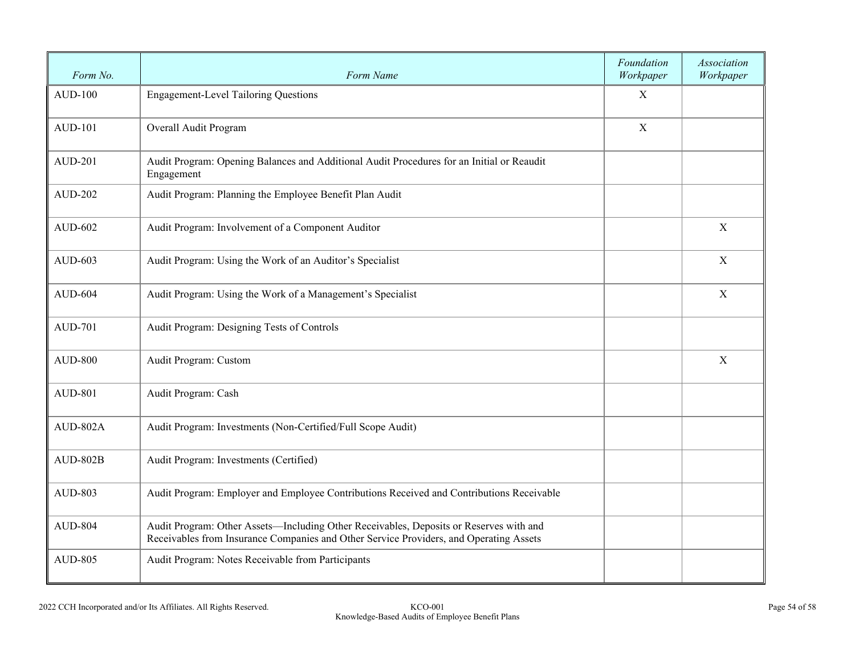| Form No.       | Form Name                                                                                                                                                                        | Foundation<br>Workpaper | Association<br>Workpaper |
|----------------|----------------------------------------------------------------------------------------------------------------------------------------------------------------------------------|-------------------------|--------------------------|
| <b>AUD-100</b> | <b>Engagement-Level Tailoring Questions</b>                                                                                                                                      | $\mathbf X$             |                          |
| <b>AUD-101</b> | Overall Audit Program                                                                                                                                                            | $\mathbf X$             |                          |
| <b>AUD-201</b> | Audit Program: Opening Balances and Additional Audit Procedures for an Initial or Reaudit<br>Engagement                                                                          |                         |                          |
| AUD-202        | Audit Program: Planning the Employee Benefit Plan Audit                                                                                                                          |                         |                          |
| <b>AUD-602</b> | Audit Program: Involvement of a Component Auditor                                                                                                                                |                         | $\mathbf X$              |
| AUD-603        | Audit Program: Using the Work of an Auditor's Specialist                                                                                                                         |                         | $\mathbf X$              |
| $AUD-604$      | Audit Program: Using the Work of a Management's Specialist                                                                                                                       |                         | $\mathbf X$              |
| <b>AUD-701</b> | Audit Program: Designing Tests of Controls                                                                                                                                       |                         |                          |
| <b>AUD-800</b> | Audit Program: Custom                                                                                                                                                            |                         | $\mathbf X$              |
| <b>AUD-801</b> | Audit Program: Cash                                                                                                                                                              |                         |                          |
| AUD-802A       | Audit Program: Investments (Non-Certified/Full Scope Audit)                                                                                                                      |                         |                          |
| $AUD-802B$     | Audit Program: Investments (Certified)                                                                                                                                           |                         |                          |
| <b>AUD-803</b> | Audit Program: Employer and Employee Contributions Received and Contributions Receivable                                                                                         |                         |                          |
| <b>AUD-804</b> | Audit Program: Other Assets—Including Other Receivables, Deposits or Reserves with and<br>Receivables from Insurance Companies and Other Service Providers, and Operating Assets |                         |                          |
| <b>AUD-805</b> | Audit Program: Notes Receivable from Participants                                                                                                                                |                         |                          |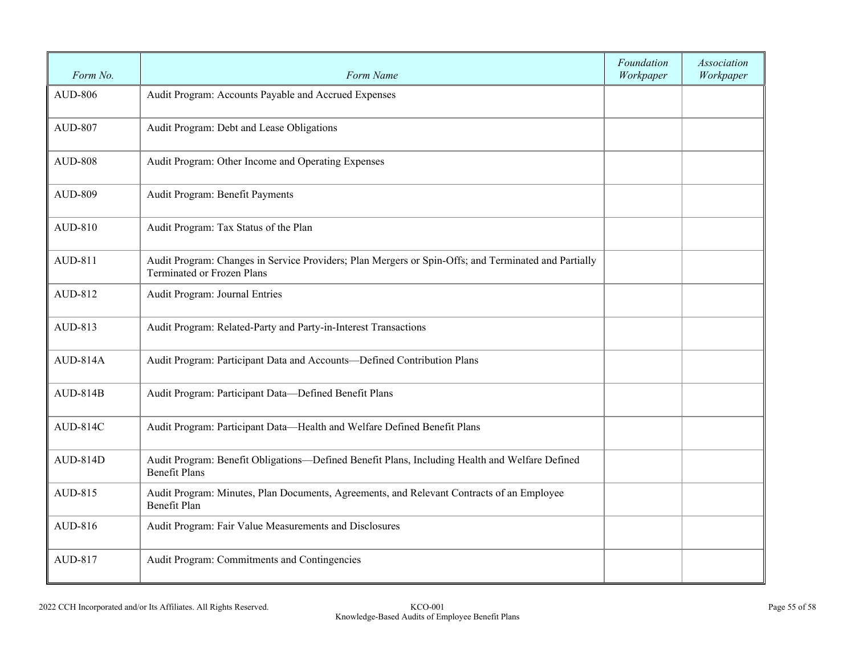| Form No.       | Form Name                                                                                                                                 | Foundation<br>Workpaper | <b>Association</b><br>Workpaper |
|----------------|-------------------------------------------------------------------------------------------------------------------------------------------|-------------------------|---------------------------------|
| <b>AUD-806</b> | Audit Program: Accounts Payable and Accrued Expenses                                                                                      |                         |                                 |
| <b>AUD-807</b> | Audit Program: Debt and Lease Obligations                                                                                                 |                         |                                 |
| <b>AUD-808</b> | Audit Program: Other Income and Operating Expenses                                                                                        |                         |                                 |
| <b>AUD-809</b> | Audit Program: Benefit Payments                                                                                                           |                         |                                 |
| AUD-810        | Audit Program: Tax Status of the Plan                                                                                                     |                         |                                 |
| AUD-811        | Audit Program: Changes in Service Providers; Plan Mergers or Spin-Offs; and Terminated and Partially<br><b>Terminated or Frozen Plans</b> |                         |                                 |
| AUD-812        | Audit Program: Journal Entries                                                                                                            |                         |                                 |
| AUD-813        | Audit Program: Related-Party and Party-in-Interest Transactions                                                                           |                         |                                 |
| AUD-814A       | Audit Program: Participant Data and Accounts-Defined Contribution Plans                                                                   |                         |                                 |
| $AUD-814B$     | Audit Program: Participant Data-Defined Benefit Plans                                                                                     |                         |                                 |
| AUD-814C       | Audit Program: Participant Data-Health and Welfare Defined Benefit Plans                                                                  |                         |                                 |
| AUD-814D       | Audit Program: Benefit Obligations-Defined Benefit Plans, Including Health and Welfare Defined<br><b>Benefit Plans</b>                    |                         |                                 |
| AUD-815        | Audit Program: Minutes, Plan Documents, Agreements, and Relevant Contracts of an Employee<br><b>Benefit Plan</b>                          |                         |                                 |
| AUD-816        | Audit Program: Fair Value Measurements and Disclosures                                                                                    |                         |                                 |
| AUD-817        | Audit Program: Commitments and Contingencies                                                                                              |                         |                                 |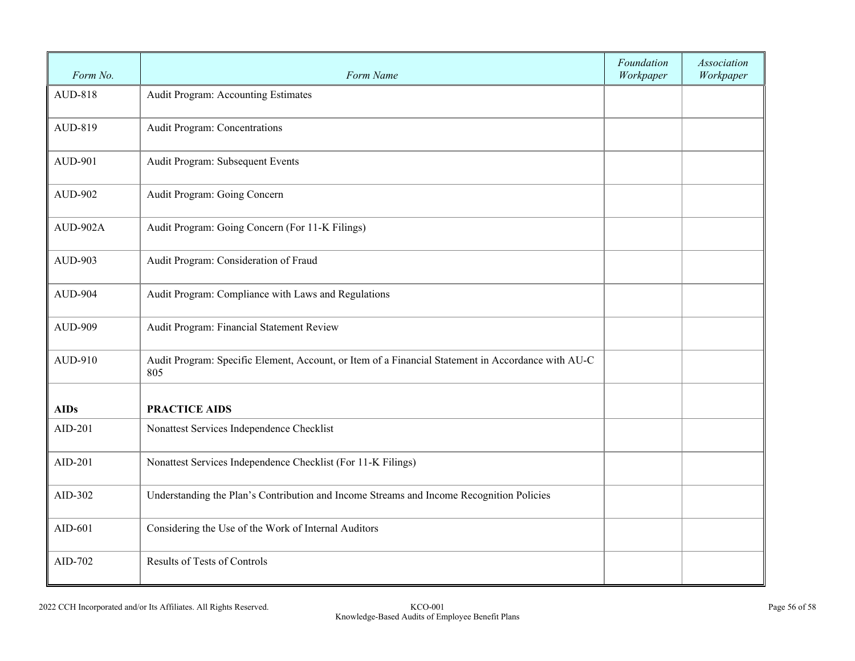| Form No.       | Form Name                                                                                                 | Foundation<br>Workpaper | Association<br>Workpaper |
|----------------|-----------------------------------------------------------------------------------------------------------|-------------------------|--------------------------|
| AUD-818        | Audit Program: Accounting Estimates                                                                       |                         |                          |
| AUD-819        | Audit Program: Concentrations                                                                             |                         |                          |
| <b>AUD-901</b> | Audit Program: Subsequent Events                                                                          |                         |                          |
| AUD-902        | Audit Program: Going Concern                                                                              |                         |                          |
| AUD-902A       | Audit Program: Going Concern (For 11-K Filings)                                                           |                         |                          |
| AUD-903        | Audit Program: Consideration of Fraud                                                                     |                         |                          |
| <b>AUD-904</b> | Audit Program: Compliance with Laws and Regulations                                                       |                         |                          |
| <b>AUD-909</b> | Audit Program: Financial Statement Review                                                                 |                         |                          |
| AUD-910        | Audit Program: Specific Element, Account, or Item of a Financial Statement in Accordance with AU-C<br>805 |                         |                          |
| <b>AIDs</b>    | <b>PRACTICE AIDS</b>                                                                                      |                         |                          |
| AID-201        | Nonattest Services Independence Checklist                                                                 |                         |                          |
| AID-201        | Nonattest Services Independence Checklist (For 11-K Filings)                                              |                         |                          |
| AID-302        | Understanding the Plan's Contribution and Income Streams and Income Recognition Policies                  |                         |                          |
| $AID-601$      | Considering the Use of the Work of Internal Auditors                                                      |                         |                          |
| AID-702        | Results of Tests of Controls                                                                              |                         |                          |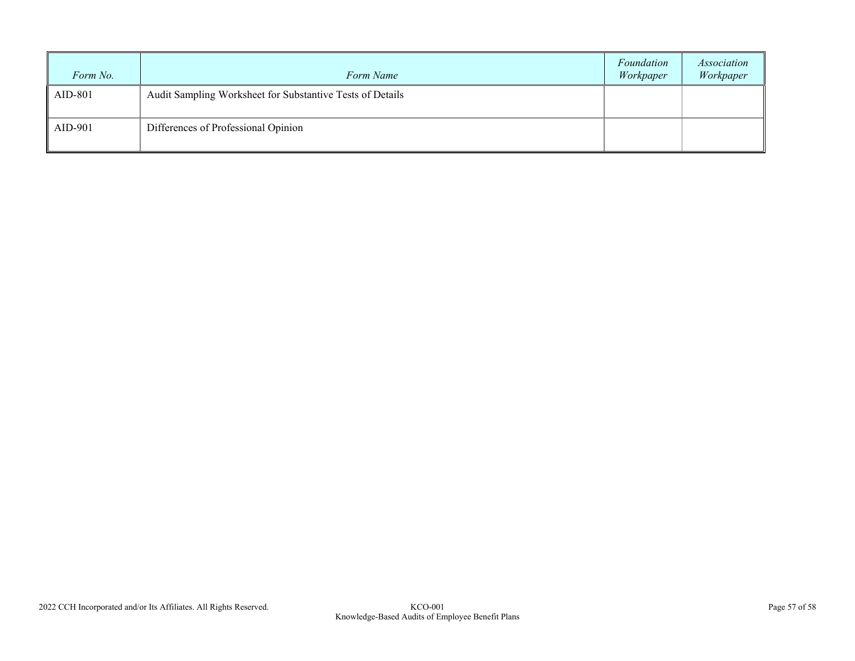| Form No. | Form Name                                                 | Foundation<br>Workpaper | Association<br>Workpaper |
|----------|-----------------------------------------------------------|-------------------------|--------------------------|
| AID-801  | Audit Sampling Worksheet for Substantive Tests of Details |                         |                          |
| AID-901  | Differences of Professional Opinion                       |                         |                          |